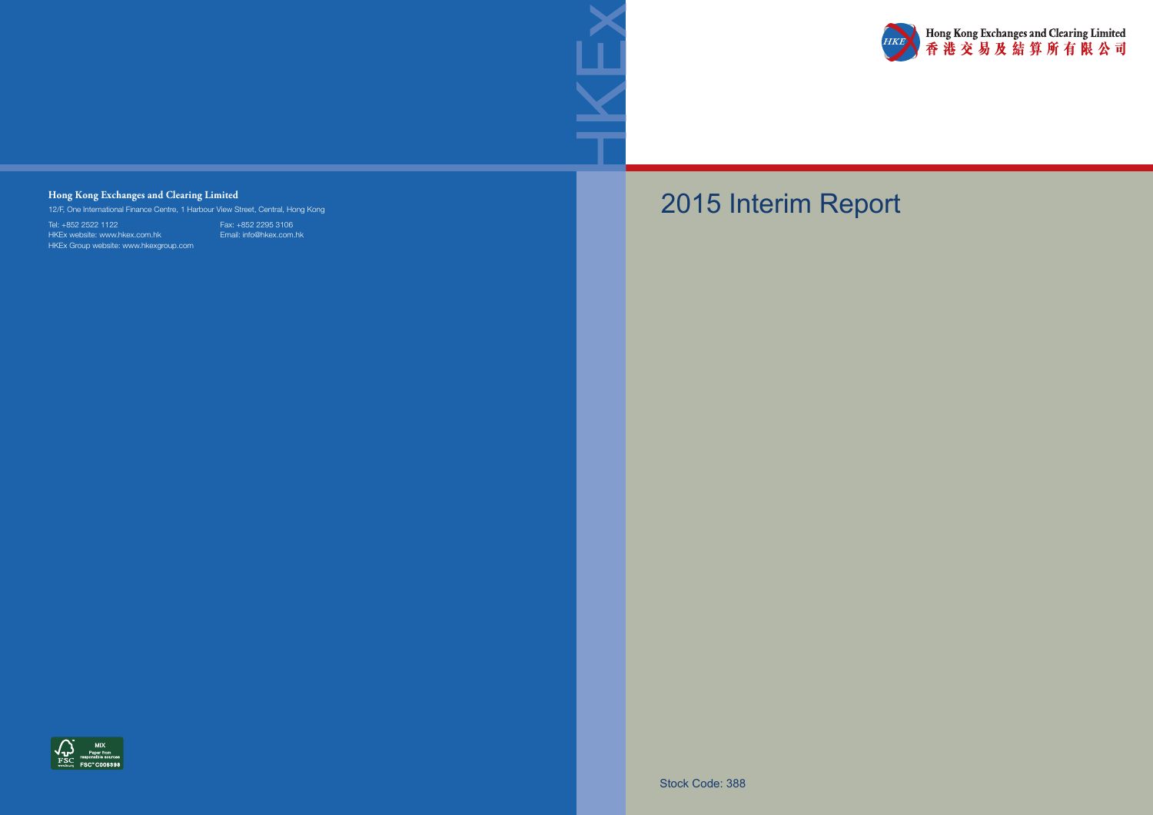



# 2015 Interim Report

Stock Code: 388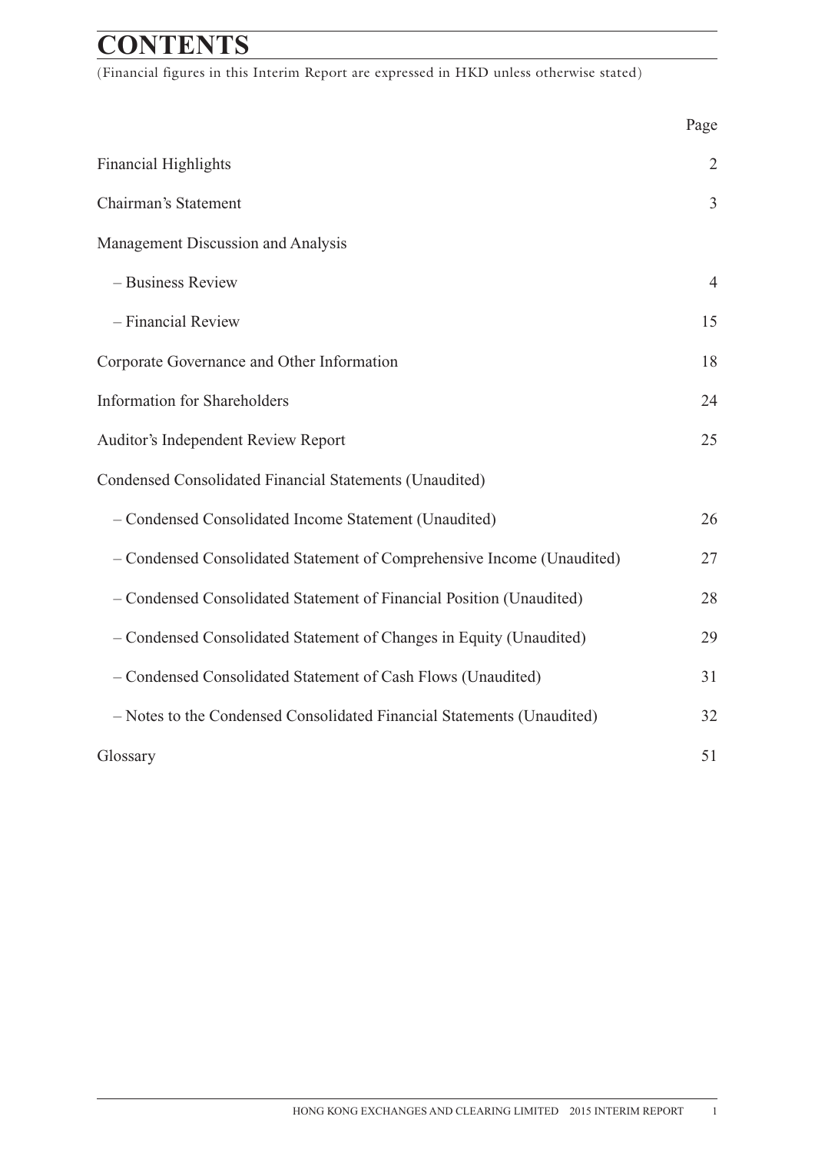## **CONTENTS**

(Financial figures in this Interim Report are expressed in HKD unless otherwise stated)

|                                                                        | Page           |
|------------------------------------------------------------------------|----------------|
| <b>Financial Highlights</b>                                            | $\overline{2}$ |
| Chairman's Statement                                                   | $\overline{3}$ |
| Management Discussion and Analysis                                     |                |
| - Business Review                                                      | $\overline{4}$ |
| - Financial Review                                                     | 15             |
| Corporate Governance and Other Information                             | 18             |
| <b>Information for Shareholders</b>                                    | 24             |
| Auditor's Independent Review Report                                    | 25             |
| Condensed Consolidated Financial Statements (Unaudited)                |                |
| - Condensed Consolidated Income Statement (Unaudited)                  | 26             |
| - Condensed Consolidated Statement of Comprehensive Income (Unaudited) | 27             |
| - Condensed Consolidated Statement of Financial Position (Unaudited)   | 28             |
| - Condensed Consolidated Statement of Changes in Equity (Unaudited)    | 29             |
| - Condensed Consolidated Statement of Cash Flows (Unaudited)           | 31             |
| - Notes to the Condensed Consolidated Financial Statements (Unaudited) | 32             |
| Glossary                                                               | 51             |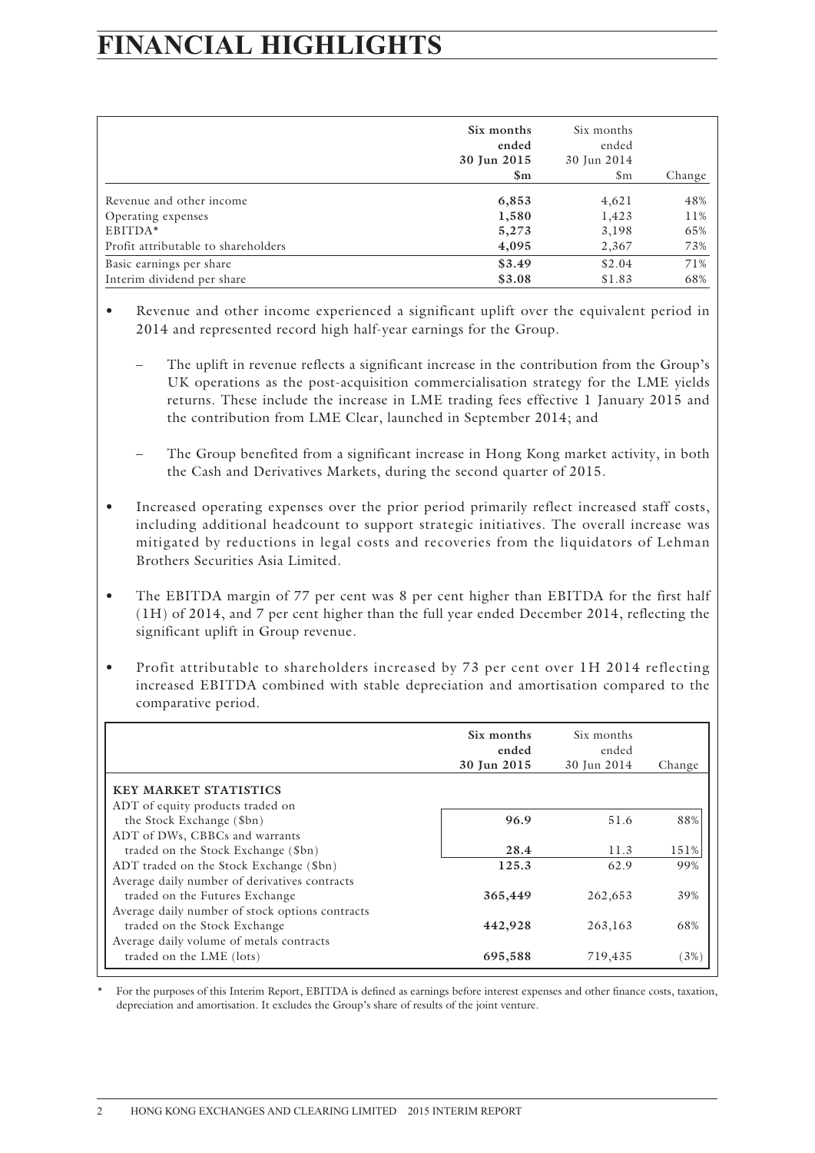## **FINANCIAL HIGHLIGHTS**

|                                     | Six months<br>ended<br>30 Jun 2015<br>$\mathbf{Sm}$ | Six months<br>ended<br>30 Jun 2014 |        |
|-------------------------------------|-----------------------------------------------------|------------------------------------|--------|
|                                     |                                                     | $\mathfrak{S}_{\mathrm{m}}$        | Change |
| Revenue and other income            | 6,853                                               | 4,621                              | 48%    |
| Operating expenses                  | 1,580                                               | 1,423                              | 11%    |
| EBITDA*                             | 5,273                                               | 3,198                              | 65%    |
| Profit attributable to shareholders | 4,095                                               | 2,367                              | 73%    |
| Basic earnings per share            | \$3.49                                              | \$2.04                             | 71%    |
| Interim dividend per share          | \$3.08                                              | \$1.83                             | 68%    |

- Revenue and other income experienced a significant uplift over the equivalent period in 2014 and represented record high half-year earnings for the Group.
	- The uplift in revenue reflects a significant increase in the contribution from the Group's UK operations as the post-acquisition commercialisation strategy for the LME yields returns. These include the increase in LME trading fees effective 1 January 2015 and the contribution from LME Clear, launched in September 2014; and
	- The Group benefited from a significant increase in Hong Kong market activity, in both the Cash and Derivatives Markets, during the second quarter of 2015.
- Increased operating expenses over the prior period primarily reflect increased staff costs, including additional headcount to support strategic initiatives. The overall increase was mitigated by reductions in legal costs and recoveries from the liquidators of Lehman Brothers Securities Asia Limited.
- The EBITDA margin of 77 per cent was 8 per cent higher than EBITDA for the first half (1H) of 2014, and 7 per cent higher than the full year ended December 2014, reflecting the significant uplift in Group revenue.
- Profit attributable to shareholders increased by 73 per cent over 1H 2014 reflecting increased EBITDA combined with stable depreciation and amortisation compared to the comparative period.

|                                                                  | Six months<br>ended<br>30 Jun 2015 | Six months<br>ended<br>30 Jun 2014 | Change |
|------------------------------------------------------------------|------------------------------------|------------------------------------|--------|
| <b>KEY MARKET STATISTICS</b><br>ADT of equity products traded on |                                    |                                    |        |
| the Stock Exchange (\$bn)                                        | 96.9                               | 51.6                               | 88%    |
| ADT of DWs, CBBCs and warrants                                   |                                    |                                    |        |
| traded on the Stock Exchange (\$bn)                              | 28.4                               | 11.3                               | 151%   |
| ADT traded on the Stock Exchange (\$bn)                          | 125.3                              | 62.9                               | 99%    |
| Average daily number of derivatives contracts                    |                                    |                                    |        |
| traded on the Futures Exchange                                   | 365,449                            | 262,653                            | 39%    |
| Average daily number of stock options contracts                  |                                    |                                    |        |
| traded on the Stock Exchange                                     | 442,928                            | 263,163                            | 68%    |
| Average daily volume of metals contracts                         |                                    |                                    |        |
| traded on the LME (lots)                                         | 695,588                            | 719,435                            | $3\%$  |

\* For the purposes of this Interim Report, EBITDA is defined as earnings before interest expenses and other finance costs, taxation, depreciation and amortisation. It excludes the Group's share of results of the joint venture.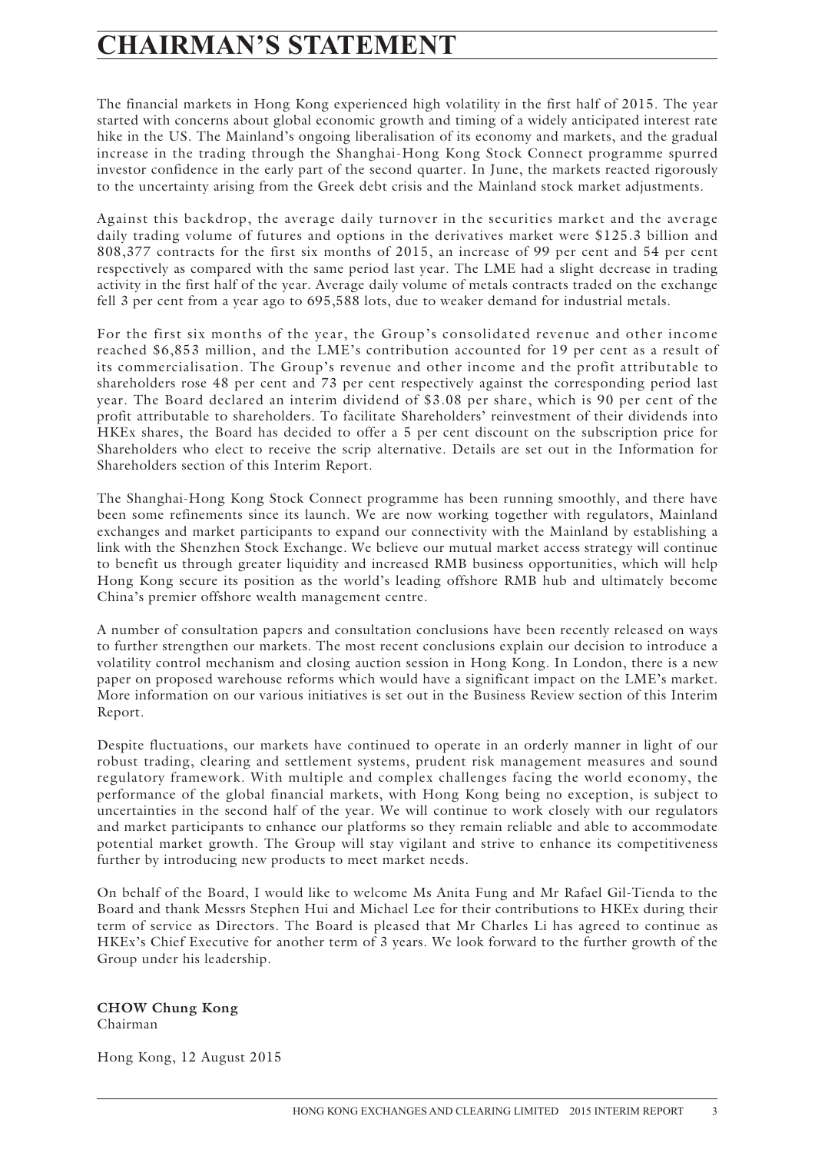## **CHAIRMAN'S STATEMENT**

The financial markets in Hong Kong experienced high volatility in the first half of 2015. The year started with concerns about global economic growth and timing of a widely anticipated interest rate hike in the US. The Mainland's ongoing liberalisation of its economy and markets, and the gradual increase in the trading through the Shanghai-Hong Kong Stock Connect programme spurred investor confidence in the early part of the second quarter. In June, the markets reacted rigorously to the uncertainty arising from the Greek debt crisis and the Mainland stock market adjustments.

Against this backdrop, the average daily turnover in the securities market and the average daily trading volume of futures and options in the derivatives market were \$125.3 billion and 808,377 contracts for the first six months of 2015, an increase of 99 per cent and 54 per cent respectively as compared with the same period last year. The LME had a slight decrease in trading activity in the first half of the year. Average daily volume of metals contracts traded on the exchange fell 3 per cent from a year ago to 695,588 lots, due to weaker demand for industrial metals.

For the first six months of the year, the Group's consolidated revenue and other income reached \$6,853 million, and the LME's contribution accounted for 19 per cent as a result of its commercialisation. The Group's revenue and other income and the profit attributable to shareholders rose 48 per cent and 73 per cent respectively against the corresponding period last year. The Board declared an interim dividend of \$3.08 per share, which is 90 per cent of the profit attributable to shareholders. To facilitate Shareholders' reinvestment of their dividends into HKEx shares, the Board has decided to offer a 5 per cent discount on the subscription price for Shareholders who elect to receive the scrip alternative. Details are set out in the Information for Shareholders section of this Interim Report.

The Shanghai-Hong Kong Stock Connect programme has been running smoothly, and there have been some refinements since its launch. We are now working together with regulators, Mainland exchanges and market participants to expand our connectivity with the Mainland by establishing a link with the Shenzhen Stock Exchange. We believe our mutual market access strategy will continue to benefit us through greater liquidity and increased RMB business opportunities, which will help Hong Kong secure its position as the world's leading offshore RMB hub and ultimately become China's premier offshore wealth management centre.

A number of consultation papers and consultation conclusions have been recently released on ways to further strengthen our markets. The most recent conclusions explain our decision to introduce a volatility control mechanism and closing auction session in Hong Kong. In London, there is a new paper on proposed warehouse reforms which would have a significant impact on the LME's market. More information on our various initiatives is set out in the Business Review section of this Interim Report.

Despite fluctuations, our markets have continued to operate in an orderly manner in light of our robust trading, clearing and settlement systems, prudent risk management measures and sound regulatory framework. With multiple and complex challenges facing the world economy, the performance of the global financial markets, with Hong Kong being no exception, is subject to uncertainties in the second half of the year. We will continue to work closely with our regulators and market participants to enhance our platforms so they remain reliable and able to accommodate potential market growth. The Group will stay vigilant and strive to enhance its competitiveness further by introducing new products to meet market needs.

On behalf of the Board, I would like to welcome Ms Anita Fung and Mr Rafael Gil-Tienda to the Board and thank Messrs Stephen Hui and Michael Lee for their contributions to HKEx during their term of service as Directors. The Board is pleased that Mr Charles Li has agreed to continue as HKEx's Chief Executive for another term of 3 years. We look forward to the further growth of the Group under his leadership.

**CHOW Chung Kong** Chairman

Hong Kong, 12 August 2015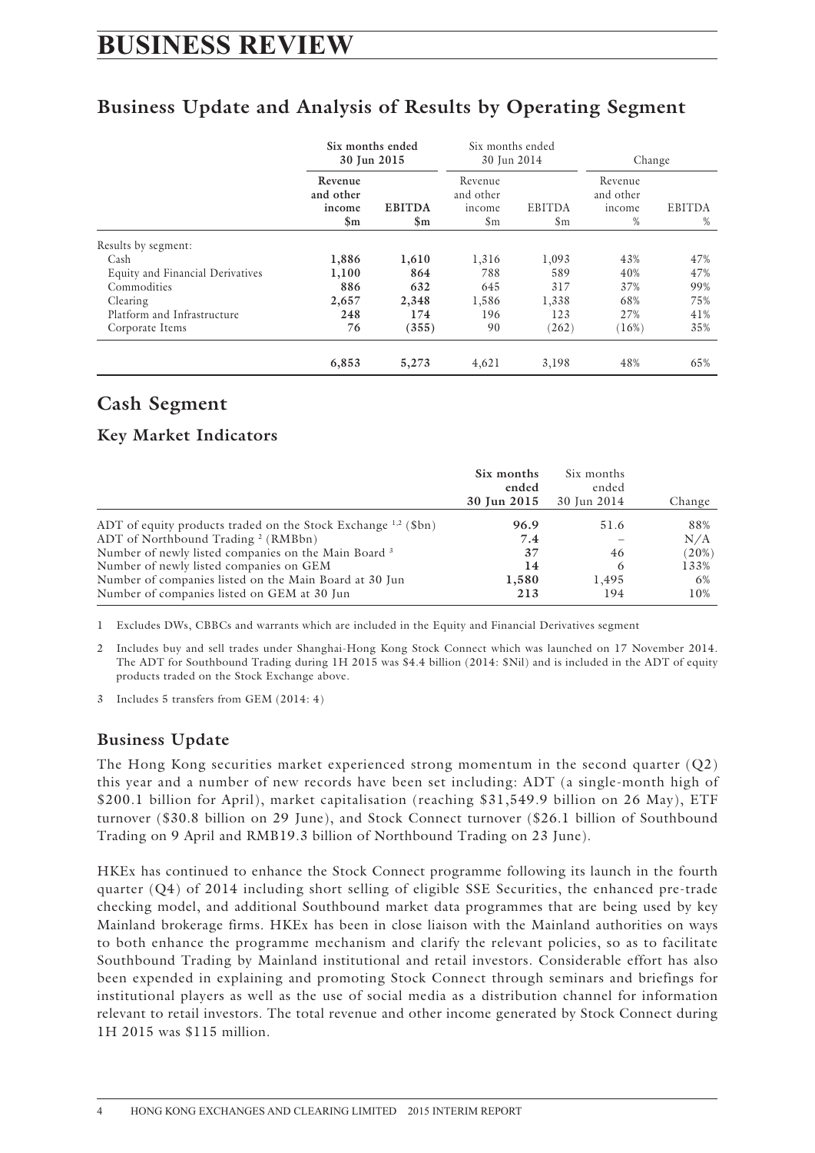## **BUSINESS REVIEW**

## **Business Update and Analysis of Results by Operating Segment**

|                                  |                                                  | Six months ended<br>30 Jun 2015 | Six months ended<br>30 Jun 2014                      |                                     | Change                                 |                    |
|----------------------------------|--------------------------------------------------|---------------------------------|------------------------------------------------------|-------------------------------------|----------------------------------------|--------------------|
|                                  | Revenue<br>and other<br>income<br>$\mathbf{\$m}$ | <b>EBITDA</b><br>$\mathbf{\$m}$ | Revenue<br>and other<br>income<br>$\mathfrak{S}_{m}$ | <b>EBITDA</b><br>$\mathfrak{S}_{m}$ | Revenue<br>and other<br>income<br>$\%$ | <b>EBITDA</b><br>% |
| Results by segment:              |                                                  |                                 |                                                      |                                     |                                        |                    |
| Cash                             | 1,886                                            | 1,610                           | 1,316                                                | 1,093                               | 43%                                    | 47%                |
| Equity and Financial Derivatives | 1,100                                            | 864                             | 788                                                  | 589                                 | 40%                                    | 47%                |
| Commodities                      | 886                                              | 632                             | 645                                                  | 317                                 | 37%                                    | 99%                |
| Clearing                         | 2,657                                            | 2,348                           | 1,586                                                | 1,338                               | 68%                                    | 75%                |
| Platform and Infrastructure      | 248                                              | 174                             | 196                                                  | 123                                 | 27%                                    | 41%                |
| Corporate Items                  | 76                                               | (355)                           | 90                                                   | (262)                               | (16%)                                  | 35%                |
|                                  | 6,853                                            | 5,273                           | 4,621                                                | 3,198                               | 48%                                    | 65%                |

## **Cash Segment**

### **Key Market Indicators**

|                                                                                                                       | Six months<br>ended<br>30 Jun 2015 | Six months<br>ended<br>30 Jun 2014 | Change     |
|-----------------------------------------------------------------------------------------------------------------------|------------------------------------|------------------------------------|------------|
| ADT of equity products traded on the Stock Exchange $^{1,2}$ (\$bn)<br>ADT of Northbound Trading <sup>2</sup> (RMBbn) | 96.9<br>7.4                        | 51.6                               | 88%<br>N/A |
| Number of newly listed companies on the Main Board <sup>3</sup>                                                       | 37                                 | 46                                 | (20%)      |
| Number of newly listed companies on GEM                                                                               | 14                                 | 6                                  | 133%       |
| Number of companies listed on the Main Board at 30 Jun<br>Number of companies listed on GEM at 30 Jun                 | 1,580<br>213                       | 1.495<br>194                       | 6%<br>10%  |

1 Excludes DWs, CBBCs and warrants which are included in the Equity and Financial Derivatives segment

2 Includes buy and sell trades under Shanghai-Hong Kong Stock Connect which was launched on 17 November 2014. The ADT for Southbound Trading during 1H 2015 was \$4.4 billion (2014: \$Nil) and is included in the ADT of equity products traded on the Stock Exchange above.

3 Includes 5 transfers from GEM (2014: 4)

### **Business Update**

The Hong Kong securities market experienced strong momentum in the second quarter (Q2) this year and a number of new records have been set including: ADT (a single-month high of \$200.1 billion for April), market capitalisation (reaching \$31,549.9 billion on 26 May), ETF turnover (\$30.8 billion on 29 June), and Stock Connect turnover (\$26.1 billion of Southbound Trading on 9 April and RMB19.3 billion of Northbound Trading on 23 June).

HKEx has continued to enhance the Stock Connect programme following its launch in the fourth quarter (Q4) of 2014 including short selling of eligible SSE Securities, the enhanced pre-trade checking model, and additional Southbound market data programmes that are being used by key Mainland brokerage firms. HKEx has been in close liaison with the Mainland authorities on ways to both enhance the programme mechanism and clarify the relevant policies, so as to facilitate Southbound Trading by Mainland institutional and retail investors. Considerable effort has also been expended in explaining and promoting Stock Connect through seminars and briefings for institutional players as well as the use of social media as a distribution channel for information relevant to retail investors. The total revenue and other income generated by Stock Connect during 1H 2015 was \$115 million.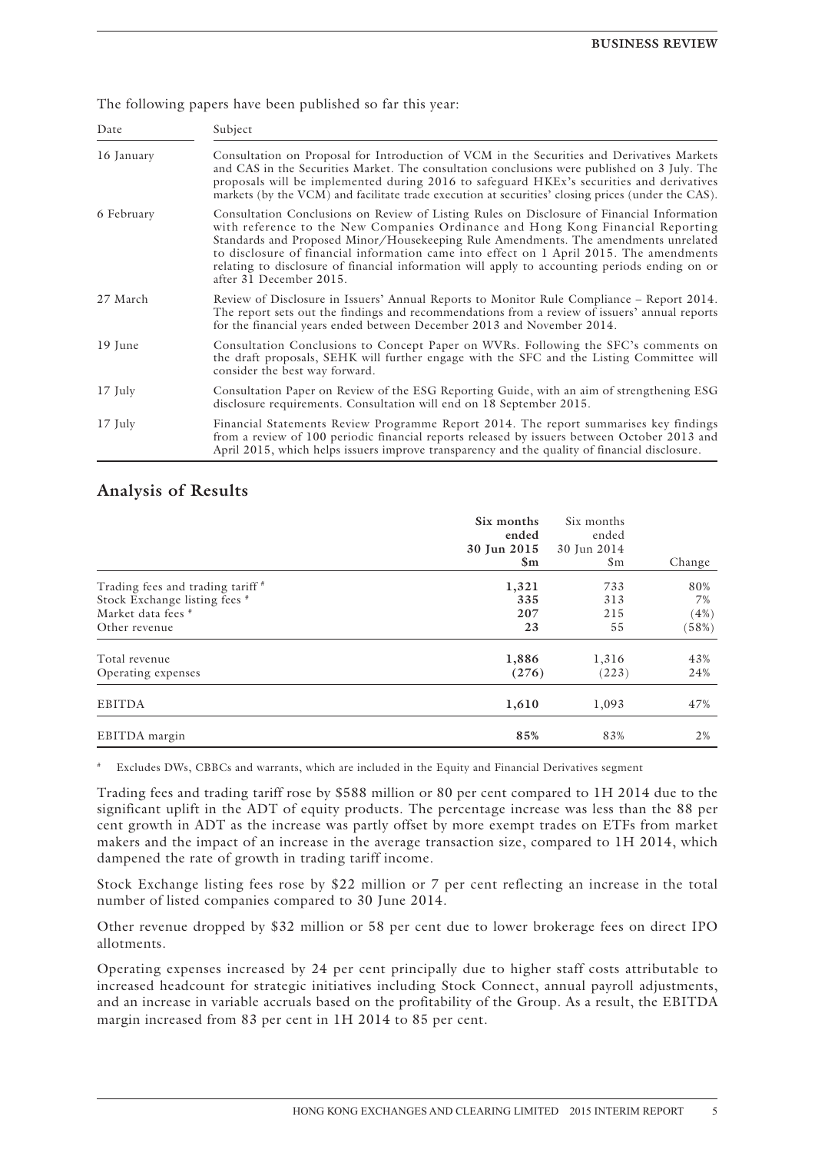The following papers have been published so far this year:

| Date       | Subject                                                                                                                                                                                                                                                                                                                                                                                                                                                                                     |
|------------|---------------------------------------------------------------------------------------------------------------------------------------------------------------------------------------------------------------------------------------------------------------------------------------------------------------------------------------------------------------------------------------------------------------------------------------------------------------------------------------------|
| 16 January | Consultation on Proposal for Introduction of VCM in the Securities and Derivatives Markets<br>and CAS in the Securities Market. The consultation conclusions were published on 3 July. The<br>proposals will be implemented during 2016 to safeguard HKEx's securities and derivatives<br>markets (by the VCM) and facilitate trade execution at securities' closing prices (under the CAS).                                                                                                |
| 6 February | Consultation Conclusions on Review of Listing Rules on Disclosure of Financial Information<br>with reference to the New Companies Ordinance and Hong Kong Financial Reporting<br>Standards and Proposed Minor/Housekeeping Rule Amendments. The amendments unrelated<br>to disclosure of financial information came into effect on 1 April 2015. The amendments<br>relating to disclosure of financial information will apply to accounting periods ending on or<br>after 31 December 2015. |
| 27 March   | Review of Disclosure in Issuers' Annual Reports to Monitor Rule Compliance – Report 2014.<br>The report sets out the findings and recommendations from a review of issuers' annual reports<br>for the financial years ended between December 2013 and November 2014.                                                                                                                                                                                                                        |
| 19 June    | Consultation Conclusions to Concept Paper on WVRs. Following the SFC's comments on<br>the draft proposals, SEHK will further engage with the SFC and the Listing Committee will<br>consider the best way forward.                                                                                                                                                                                                                                                                           |
| $17$ July  | Consultation Paper on Review of the ESG Reporting Guide, with an aim of strengthening ESG<br>disclosure requirements. Consultation will end on 18 September 2015.                                                                                                                                                                                                                                                                                                                           |
| $17$ July  | Financial Statements Review Programme Report 2014. The report summarises key findings<br>from a review of 100 periodic financial reports released by issuers between October 2013 and<br>April 2015, which helps issuers improve transparency and the quality of financial disclosure.                                                                                                                                                                                                      |

### **Analysis of Results**

|                                                                                                           | Six months<br>ended<br>30 Jun 2015<br>$\mathbf{Sm}$ | Six months<br>ended<br>30 Jun 2014<br>$\mathsf{Sm}$ | Change                     |
|-----------------------------------------------------------------------------------------------------------|-----------------------------------------------------|-----------------------------------------------------|----------------------------|
| Trading fees and trading tariff #<br>Stock Exchange listing fees #<br>Market data fees #<br>Other revenue | 1,321<br>335<br>207<br>23                           | 733<br>313<br>215<br>55                             | 80%<br>7%<br>(4%)<br>(58%) |
| Total revenue<br>Operating expenses                                                                       | 1,886<br>(276)                                      | 1,316<br>(223)                                      | 43%<br>24%                 |
| <b>EBITDA</b>                                                                                             | 1,610                                               | 1,093                                               | 47%                        |
| EBITDA margin                                                                                             | 85%                                                 | 83%                                                 | 2%                         |

# Excludes DWs, CBBCs and warrants, which are included in the Equity and Financial Derivatives segment

Trading fees and trading tariff rose by \$588 million or 80 per cent compared to 1H 2014 due to the significant uplift in the ADT of equity products. The percentage increase was less than the 88 per cent growth in ADT as the increase was partly offset by more exempt trades on ETFs from market makers and the impact of an increase in the average transaction size, compared to 1H 2014, which dampened the rate of growth in trading tariff income.

Stock Exchange listing fees rose by \$22 million or 7 per cent reflecting an increase in the total number of listed companies compared to 30 June 2014.

Other revenue dropped by \$32 million or 58 per cent due to lower brokerage fees on direct IPO allotments.

Operating expenses increased by 24 per cent principally due to higher staff costs attributable to increased headcount for strategic initiatives including Stock Connect, annual payroll adjustments, and an increase in variable accruals based on the profitability of the Group. As a result, the EBITDA margin increased from 83 per cent in 1H 2014 to 85 per cent.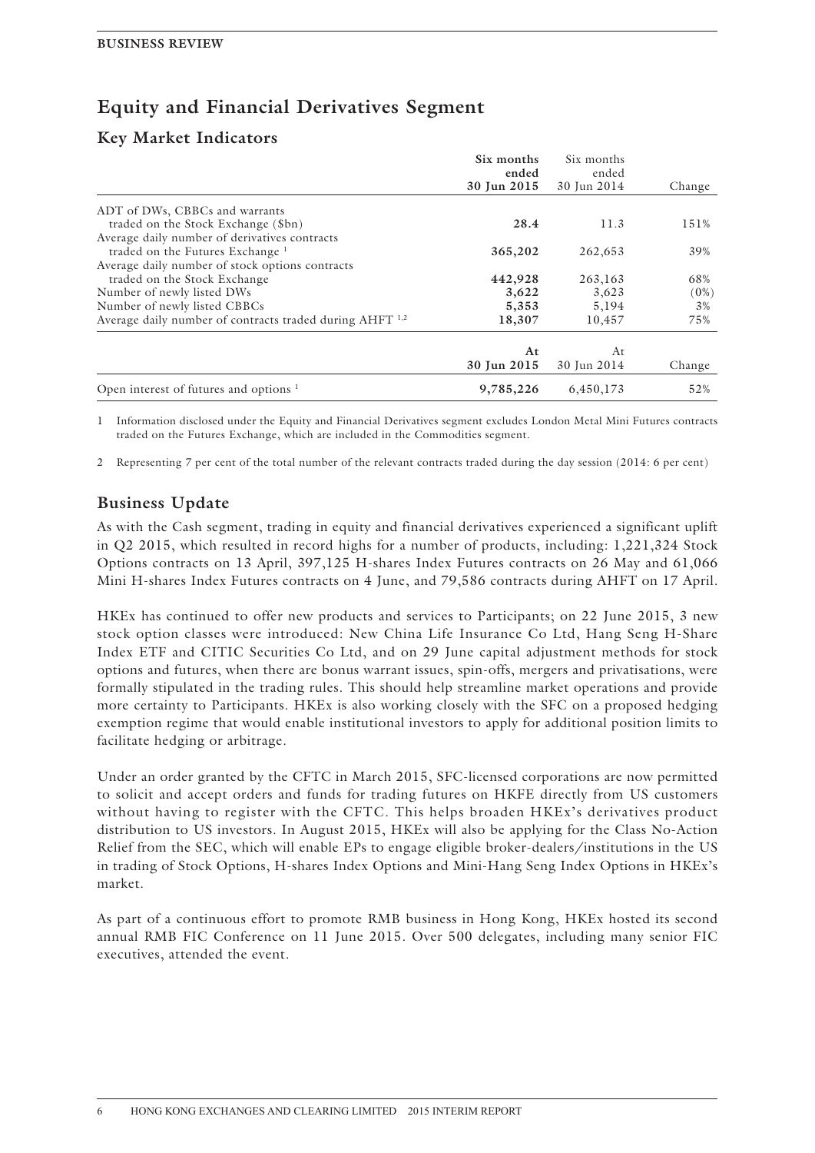## **Equity and Financial Derivatives Segment**

### **Key Market Indicators**

|                                                          | Six months           | Six months           |        |
|----------------------------------------------------------|----------------------|----------------------|--------|
|                                                          | ended<br>30 Jun 2015 | ended<br>30 Jun 2014 | Change |
| ADT of DWs, CBBCs and warrants                           |                      |                      |        |
| traded on the Stock Exchange (\$bn)                      | 28.4                 | 11.3                 | 151%   |
| Average daily number of derivatives contracts            |                      |                      |        |
| traded on the Futures Exchange <sup>1</sup>              | 365,202              | 262,653              | 39%    |
| Average daily number of stock options contracts          |                      |                      |        |
| traded on the Stock Exchange                             | 442,928              | 263,163              | 68%    |
| Number of newly listed DWs                               | 3,622                | 3,623                | (0%)   |
| Number of newly listed CBBCs                             | 5,353                | 5,194                | 3%     |
| Average daily number of contracts traded during AHFT 1,2 | 18,307               | 10,457               | 75%    |
|                                                          |                      |                      |        |
|                                                          | At                   | At                   |        |
|                                                          | 30 Jun 2015          | 30 Jun 2014          | Change |
| Open interest of futures and options $1$                 | 9,785,226            | 6,450,173            | 52%    |

1 Information disclosed under the Equity and Financial Derivatives segment excludes London Metal Mini Futures contracts traded on the Futures Exchange, which are included in the Commodities segment.

2 Representing 7 per cent of the total number of the relevant contracts traded during the day session (2014: 6 per cent)

### **Business Update**

As with the Cash segment, trading in equity and financial derivatives experienced a significant uplift in Q2 2015, which resulted in record highs for a number of products, including: 1,221,324 Stock Options contracts on 13 April, 397,125 H-shares Index Futures contracts on 26 May and 61,066 Mini H-shares Index Futures contracts on 4 June, and 79,586 contracts during AHFT on 17 April.

HKEx has continued to offer new products and services to Participants; on 22 June 2015, 3 new stock option classes were introduced: New China Life Insurance Co Ltd, Hang Seng H-Share Index ETF and CITIC Securities Co Ltd, and on 29 June capital adjustment methods for stock options and futures, when there are bonus warrant issues, spin-offs, mergers and privatisations, were formally stipulated in the trading rules. This should help streamline market operations and provide more certainty to Participants. HKEx is also working closely with the SFC on a proposed hedging exemption regime that would enable institutional investors to apply for additional position limits to facilitate hedging or arbitrage.

Under an order granted by the CFTC in March 2015, SFC-licensed corporations are now permitted to solicit and accept orders and funds for trading futures on HKFE directly from US customers without having to register with the CFTC. This helps broaden HKEx's derivatives product distribution to US investors. In August 2015, HKEx will also be applying for the Class No-Action Relief from the SEC, which will enable EPs to engage eligible broker-dealers/institutions in the US in trading of Stock Options, H-shares Index Options and Mini-Hang Seng Index Options in HKEx's market.

As part of a continuous effort to promote RMB business in Hong Kong, HKEx hosted its second annual RMB FIC Conference on 11 June 2015. Over 500 delegates, including many senior FIC executives, attended the event.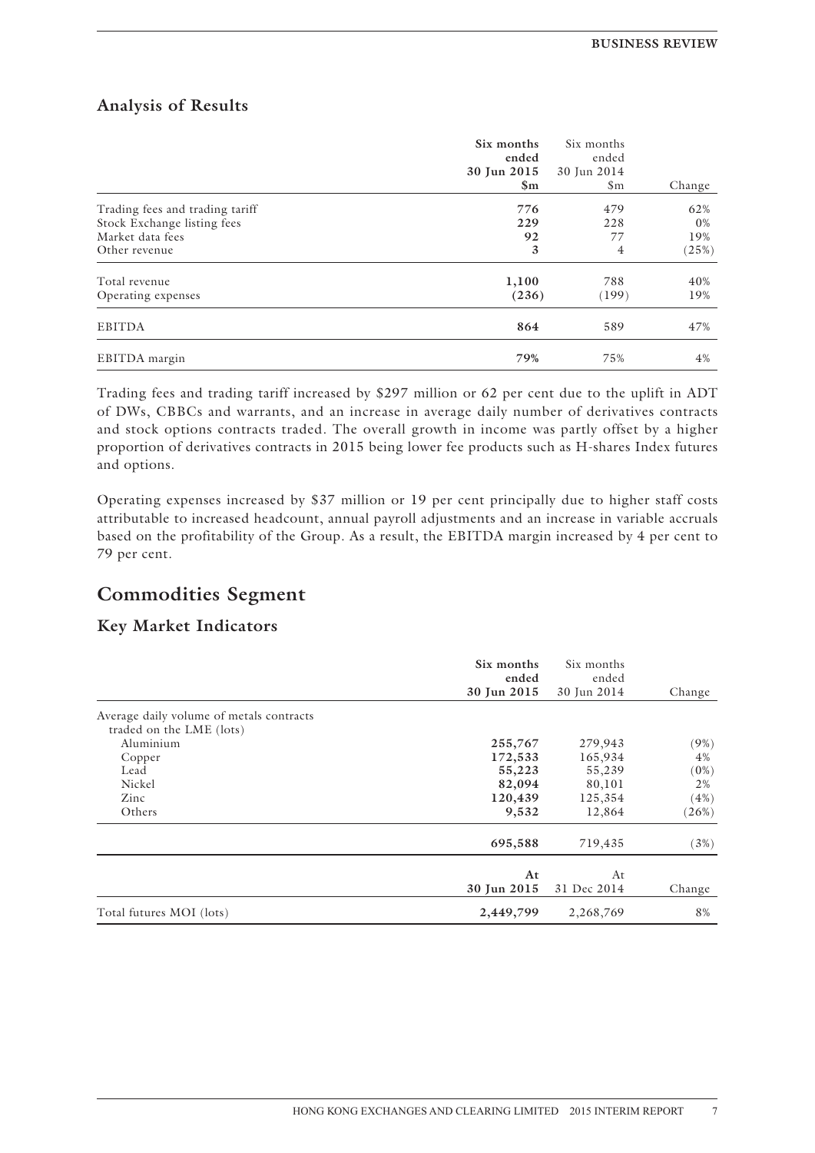### **Analysis of Results**

|                                                                                                     | Six months<br>ended<br>30 Jun 2015<br>$\mathbf{Sm}$ | Six months<br>ended<br>30 Jun 2014<br>$\mathsf{Sm}$ | Change                       |
|-----------------------------------------------------------------------------------------------------|-----------------------------------------------------|-----------------------------------------------------|------------------------------|
| Trading fees and trading tariff<br>Stock Exchange listing fees<br>Market data fees<br>Other revenue | 776<br>229<br>92<br>3                               | 479<br>228<br>77<br>$\overline{4}$                  | 62%<br>$0\%$<br>19%<br>(25%) |
| Total revenue<br>Operating expenses                                                                 | 1,100<br>(236)                                      | 788<br>(199)                                        | 40%<br>19%                   |
| <b>EBITDA</b>                                                                                       | 864                                                 | 589                                                 | 47%                          |
| EBITDA margin                                                                                       | 79%                                                 | 75%                                                 | 4%                           |

Trading fees and trading tariff increased by \$297 million or 62 per cent due to the uplift in ADT of DWs, CBBCs and warrants, and an increase in average daily number of derivatives contracts and stock options contracts traded. The overall growth in income was partly offset by a higher proportion of derivatives contracts in 2015 being lower fee products such as H-shares Index futures and options.

Operating expenses increased by \$37 million or 19 per cent principally due to higher staff costs attributable to increased headcount, annual payroll adjustments and an increase in variable accruals based on the profitability of the Group. As a result, the EBITDA margin increased by 4 per cent to 79 per cent.

## **Commodities Segment**

### **Key Market Indicators**

|                                          | Six months<br>ended<br>30 Jun 2015 | Six months<br>ended<br>30 Jun 2014 | Change  |
|------------------------------------------|------------------------------------|------------------------------------|---------|
| Average daily volume of metals contracts |                                    |                                    |         |
| traded on the LME (lots)                 |                                    |                                    |         |
| Aluminium                                | 255,767                            | 279,943                            | (9%)    |
| Copper                                   | 172,533                            | 165,934                            | 4%      |
| Lead                                     | 55,223                             | 55,239                             | $(0\%)$ |
| Nickel                                   | 82,094                             | 80,101                             | 2%      |
| Zinc                                     | 120,439                            | 125,354                            | (4%)    |
| Others                                   | 9,532                              | 12,864                             | (26%)   |
|                                          | 695,588                            | 719,435                            | (3%)    |
|                                          | At                                 | At                                 |         |
|                                          | 30 Jun 2015                        | 31 Dec 2014                        | Change  |
| Total futures MOI (lots)                 | 2,449,799                          | 2,268,769                          | 8%      |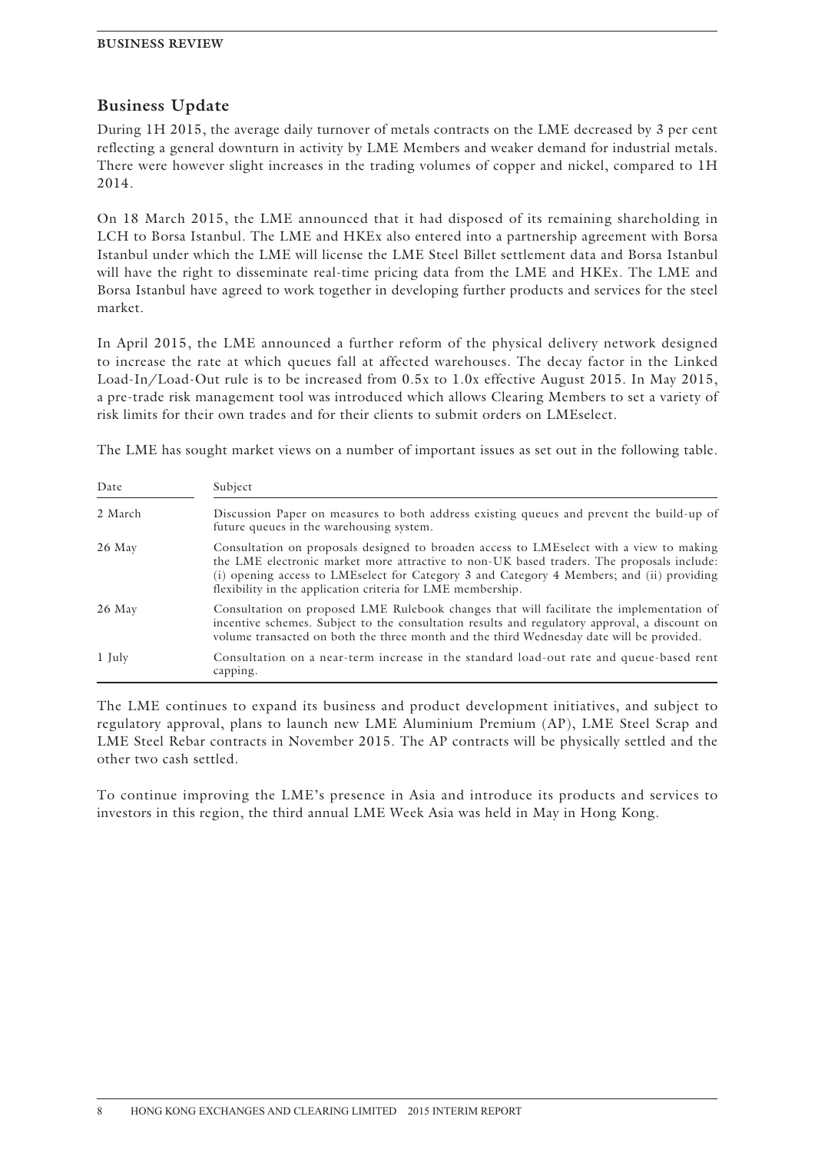### **Business Update**

During 1H 2015, the average daily turnover of metals contracts on the LME decreased by 3 per cent reflecting a general downturn in activity by LME Members and weaker demand for industrial metals. There were however slight increases in the trading volumes of copper and nickel, compared to 1H 2014.

On 18 March 2015, the LME announced that it had disposed of its remaining shareholding in LCH to Borsa Istanbul. The LME and HKEx also entered into a partnership agreement with Borsa Istanbul under which the LME will license the LME Steel Billet settlement data and Borsa Istanbul will have the right to disseminate real-time pricing data from the LME and HKEx. The LME and Borsa Istanbul have agreed to work together in developing further products and services for the steel market.

In April 2015, the LME announced a further reform of the physical delivery network designed to increase the rate at which queues fall at affected warehouses. The decay factor in the Linked Load-In/Load-Out rule is to be increased from 0.5x to 1.0x effective August 2015. In May 2015, a pre-trade risk management tool was introduced which allows Clearing Members to set a variety of risk limits for their own trades and for their clients to submit orders on LMEselect.

The LME has sought market views on a number of important issues as set out in the following table.

| Date    | Subject                                                                                                                                                                                                                                                                                                                                          |
|---------|--------------------------------------------------------------------------------------------------------------------------------------------------------------------------------------------------------------------------------------------------------------------------------------------------------------------------------------------------|
| 2 March | Discussion Paper on measures to both address existing queues and prevent the build-up of<br>future queues in the warehousing system.                                                                                                                                                                                                             |
| 26 May  | Consultation on proposals designed to broaden access to LMEselect with a view to making<br>the LME electronic market more attractive to non-UK based traders. The proposals include:<br>(i) opening access to LMEselect for Category 3 and Category 4 Members; and (ii) providing<br>flexibility in the application criteria for LME membership. |
| 26 May  | Consultation on proposed LME Rulebook changes that will facilitate the implementation of<br>incentive schemes. Subject to the consultation results and regulatory approval, a discount on<br>volume transacted on both the three month and the third Wednesday date will be provided.                                                            |
| 1 July  | Consultation on a near-term increase in the standard load-out rate and queue-based rent<br>capping.                                                                                                                                                                                                                                              |

The LME continues to expand its business and product development initiatives, and subject to regulatory approval, plans to launch new LME Aluminium Premium (AP), LME Steel Scrap and LME Steel Rebar contracts in November 2015. The AP contracts will be physically settled and the other two cash settled.

To continue improving the LME's presence in Asia and introduce its products and services to investors in this region, the third annual LME Week Asia was held in May in Hong Kong.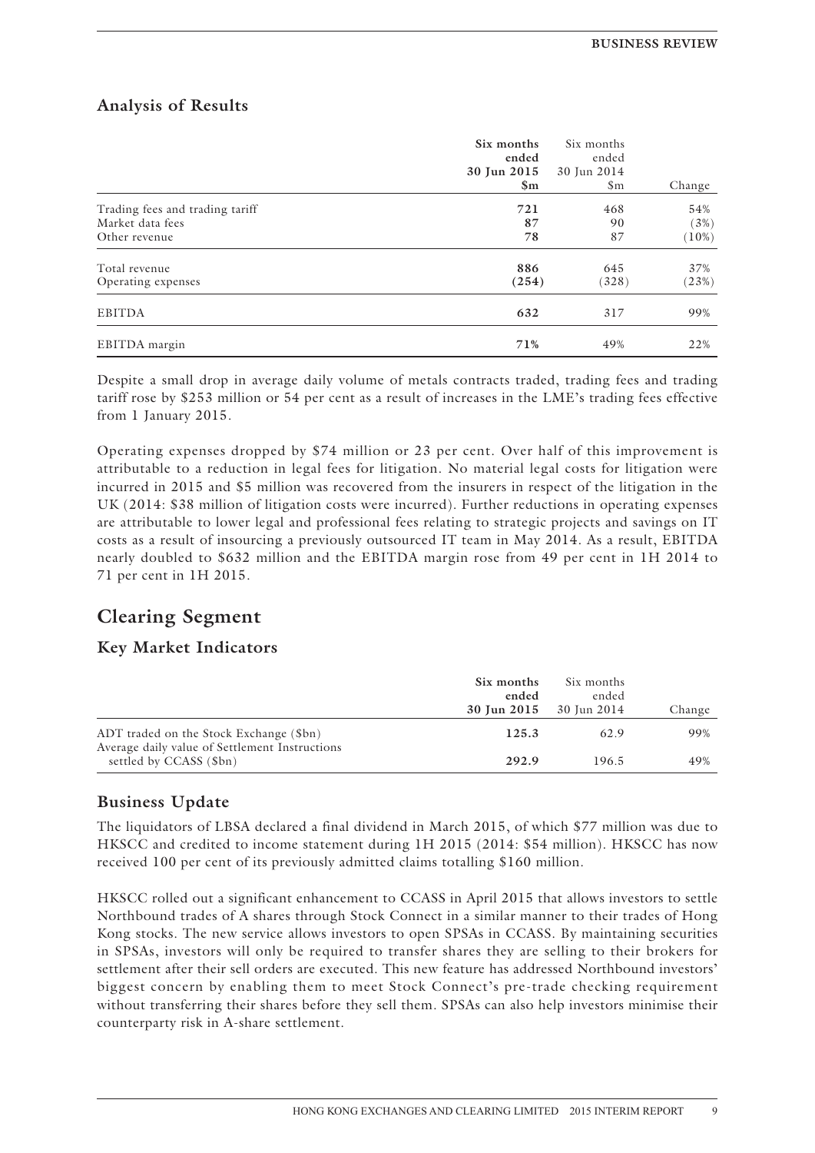### **Analysis of Results**

|                                                                      | Six months<br>ended<br>30 Jun 2015<br>$\mathbf{Sm}$ | Six months<br>ended<br>30 Jun 2014<br>\$m | Change               |
|----------------------------------------------------------------------|-----------------------------------------------------|-------------------------------------------|----------------------|
| Trading fees and trading tariff<br>Market data fees<br>Other revenue | 721<br>87<br>78                                     | 468<br>90<br>87                           | 54%<br>(3%)<br>(10%) |
| Total revenue<br>Operating expenses                                  | 886<br>(254)                                        | 645<br>(328)                              | 37%<br>(23%)         |
| <b>EBITDA</b>                                                        | 632                                                 | 317                                       | 99%                  |
| EBITDA margin                                                        | 71%                                                 | 49%                                       | 22%                  |

Despite a small drop in average daily volume of metals contracts traded, trading fees and trading tariff rose by \$253 million or 54 per cent as a result of increases in the LME's trading fees effective from 1 January 2015.

Operating expenses dropped by \$74 million or 23 per cent. Over half of this improvement is attributable to a reduction in legal fees for litigation. No material legal costs for litigation were incurred in 2015 and \$5 million was recovered from the insurers in respect of the litigation in the UK (2014: \$38 million of litigation costs were incurred). Further reductions in operating expenses are attributable to lower legal and professional fees relating to strategic projects and savings on IT costs as a result of insourcing a previously outsourced IT team in May 2014. As a result, EBITDA nearly doubled to \$632 million and the EBITDA margin rose from 49 per cent in 1H 2014 to 71 per cent in 1H 2015.

## **Clearing Segment**

### **Key Market Indicators**

|                                                                           | Six months<br>ended<br><b>30 Jun 2015</b> 30 Jun 2014 | Six months<br>ended | Change |
|---------------------------------------------------------------------------|-------------------------------------------------------|---------------------|--------|
| ADT traded on the Stock Exchange (\$bn)                                   | 125.3                                                 | 62.9                | 99%    |
| Average daily value of Settlement Instructions<br>settled by CCASS (\$bn) | 292.9                                                 | 196.5               | 49%    |

### **Business Update**

The liquidators of LBSA declared a final dividend in March 2015, of which \$77 million was due to HKSCC and credited to income statement during 1H 2015 (2014: \$54 million). HKSCC has now received 100 per cent of its previously admitted claims totalling \$160 million.

HKSCC rolled out a significant enhancement to CCASS in April 2015 that allows investors to settle Northbound trades of A shares through Stock Connect in a similar manner to their trades of Hong Kong stocks. The new service allows investors to open SPSAs in CCASS. By maintaining securities in SPSAs, investors will only be required to transfer shares they are selling to their brokers for settlement after their sell orders are executed. This new feature has addressed Northbound investors' biggest concern by enabling them to meet Stock Connect's pre-trade checking requirement without transferring their shares before they sell them. SPSAs can also help investors minimise their counterparty risk in A-share settlement.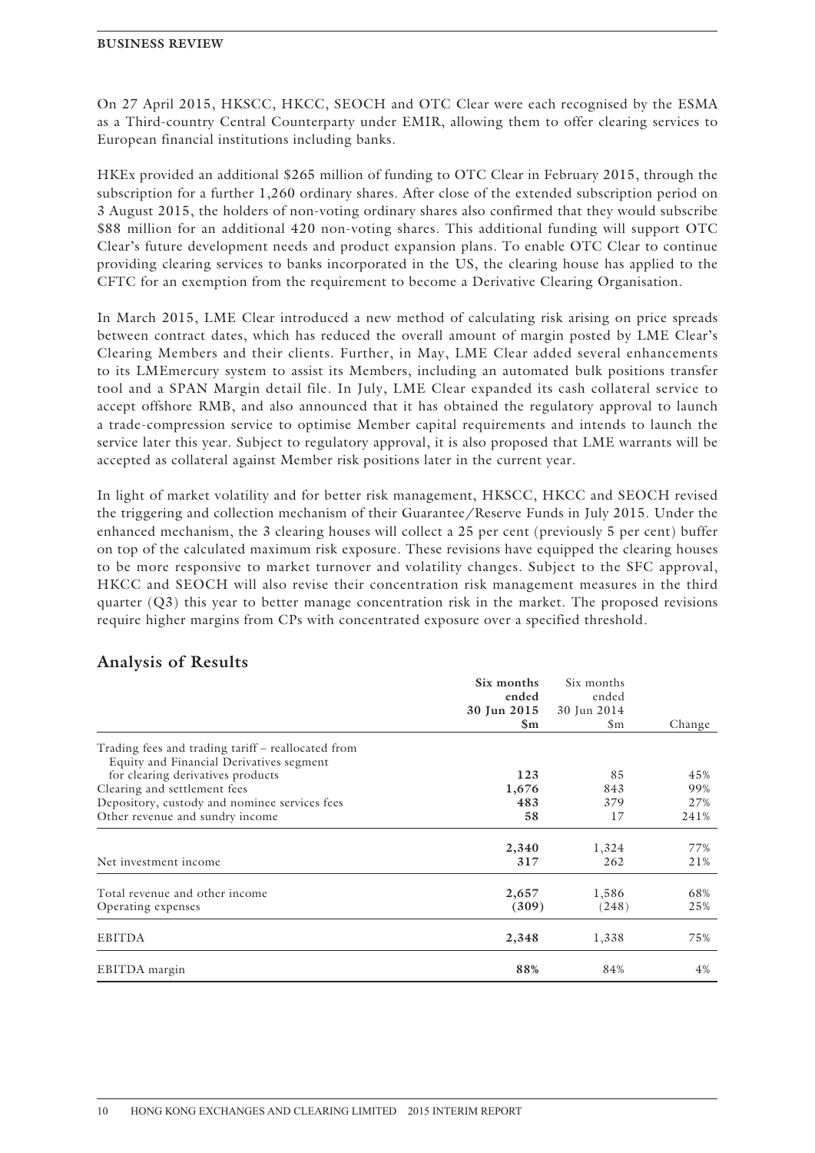On 27 April 2015, HKSCC, HKCC, SEOCH and OTC Clear were each recognised by the ESMA as a Third-country Central Counterparty under EMIR, allowing them to offer clearing services to European financial institutions including banks.

HKEx provided an additional \$265 million of funding to OTC Clear in February 2015, through the subscription for a further 1,260 ordinary shares. After close of the extended subscription period on 3 August 2015, the holders of non-voting ordinary shares also confirmed that they would subscribe \$88 million for an additional 420 non-voting shares. This additional funding will support OTC Clear's future development needs and product expansion plans. To enable OTC Clear to continue providing clearing services to banks incorporated in the US, the clearing house has applied to the CFTC for an exemption from the requirement to become a Derivative Clearing Organisation.

In March 2015, LME Clear introduced a new method of calculating risk arising on price spreads between contract dates, which has reduced the overall amount of margin posted by LME Clear's Clearing Members and their clients. Further, in May, LME Clear added several enhancements to its LMEmercury system to assist its Members, including an automated bulk positions transfer tool and a SPAN Margin detail file. In July, LME Clear expanded its cash collateral service to accept offshore RMB, and also announced that it has obtained the regulatory approval to launch a trade-compression service to optimise Member capital requirements and intends to launch the service later this year. Subject to regulatory approval, it is also proposed that LME warrants will be accepted as collateral against Member risk positions later in the current year.

In light of market volatility and for better risk management, HKSCC, HKCC and SEOCH revised the triggering and collection mechanism of their Guarantee/Reserve Funds in July 2015. Under the enhanced mechanism, the 3 clearing houses will collect a 25 per cent (previously 5 per cent) buffer on top of the calculated maximum risk exposure. These revisions have equipped the clearing houses to be more responsive to market turnover and volatility changes. Subject to the SFC approval, HKCC and SEOCH will also revise their concentration risk management measures in the third quarter  $(Q3)$  this year to better manage concentration risk in the market. The proposed revisions require higher margins from CPs with concentrated exposure over a specified threshold.

|                                                    | Six months    | Six months     |        |
|----------------------------------------------------|---------------|----------------|--------|
|                                                    | ended         | ended          |        |
|                                                    | 30 Jun 2015   | 30 Jun 2014    |        |
|                                                    | $\mathbf{Sm}$ | S <sub>m</sub> | Change |
| Trading fees and trading tariff – reallocated from |               |                |        |
| Equity and Financial Derivatives segment           |               |                |        |
| for clearing derivatives products                  | 123           | 85             | 45%    |
| Clearing and settlement fees                       | 1,676         | 843            | 99%    |
| Depository, custody and nominee services fees      | 483           | 379            | 27%    |
| Other revenue and sundry income                    | 58            | 17             | 241%   |
|                                                    | 2,340         | 1,324          | 77%    |
| Net investment income                              | 317           | 262            | 21%    |
| Total revenue and other income                     | 2,657         | 1,586          | 68%    |
| Operating expenses                                 | (309)         | (248)          | 25%    |
| <b>EBITDA</b>                                      | 2,348         | 1,338          | 75%    |
| EBITDA margin                                      | 88%           | 84%            | 4%     |

### **Analysis of Results**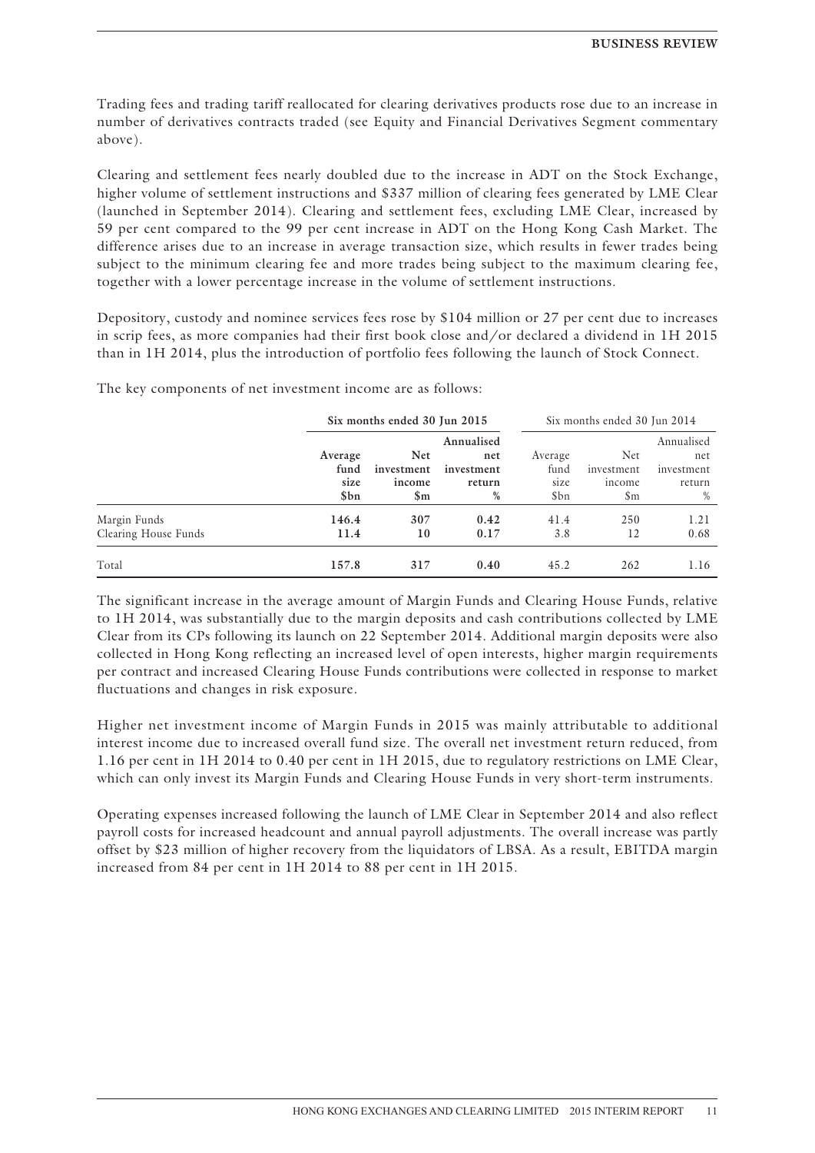Trading fees and trading tariff reallocated for clearing derivatives products rose due to an increase in number of derivatives contracts traded (see Equity and Financial Derivatives Segment commentary above).

Clearing and settlement fees nearly doubled due to the increase in ADT on the Stock Exchange, higher volume of settlement instructions and \$337 million of clearing fees generated by LME Clear (launched in September 2014). Clearing and settlement fees, excluding LME Clear, increased by 59 per cent compared to the 99 per cent increase in ADT on the Hong Kong Cash Market. The difference arises due to an increase in average transaction size, which results in fewer trades being subject to the minimum clearing fee and more trades being subject to the maximum clearing fee, together with a lower percentage increase in the volume of settlement instructions.

Depository, custody and nominee services fees rose by \$104 million or 27 per cent due to increases in scrip fees, as more companies had their first book close and/or declared a dividend in 1H 2015 than in 1H 2014, plus the introduction of portfolio fees following the launch of Stock Connect.

|                                      |                                 | Six months ended 30 Jun 2015              |                                                | Six months ended 30 Jun 2014    |                                                  |                                                |
|--------------------------------------|---------------------------------|-------------------------------------------|------------------------------------------------|---------------------------------|--------------------------------------------------|------------------------------------------------|
|                                      | Average<br>fund<br>size<br>\$bn | <b>Net</b><br>investment<br>income<br>\$m | Annualised<br>net<br>investment<br>return<br>% | Average<br>fund<br>size<br>\$bn | Net.<br>investment<br>income<br>$\mathbb{S}_{m}$ | Annualised<br>net<br>investment<br>return<br>% |
| Margin Funds<br>Clearing House Funds | 146.4<br>11.4                   | 307<br>10                                 | 0.42<br>0.17                                   | 41.4<br>3.8                     | 250<br>12                                        | 1.21<br>0.68                                   |
| Total                                | 157.8                           | 317                                       | 0.40                                           | 45.2                            | 262                                              | 1.16                                           |

The key components of net investment income are as follows:

The significant increase in the average amount of Margin Funds and Clearing House Funds, relative to 1H 2014, was substantially due to the margin deposits and cash contributions collected by LME Clear from its CPs following its launch on 22 September 2014. Additional margin deposits were also collected in Hong Kong reflecting an increased level of open interests, higher margin requirements per contract and increased Clearing House Funds contributions were collected in response to market fluctuations and changes in risk exposure.

Higher net investment income of Margin Funds in 2015 was mainly attributable to additional interest income due to increased overall fund size. The overall net investment return reduced, from 1.16 per cent in 1H 2014 to 0.40 per cent in 1H 2015, due to regulatory restrictions on LME Clear, which can only invest its Margin Funds and Clearing House Funds in very short-term instruments.

Operating expenses increased following the launch of LME Clear in September 2014 and also reflect payroll costs for increased headcount and annual payroll adjustments. The overall increase was partly offset by \$23 million of higher recovery from the liquidators of LBSA. As a result, EBITDA margin increased from 84 per cent in 1H 2014 to 88 per cent in 1H 2015.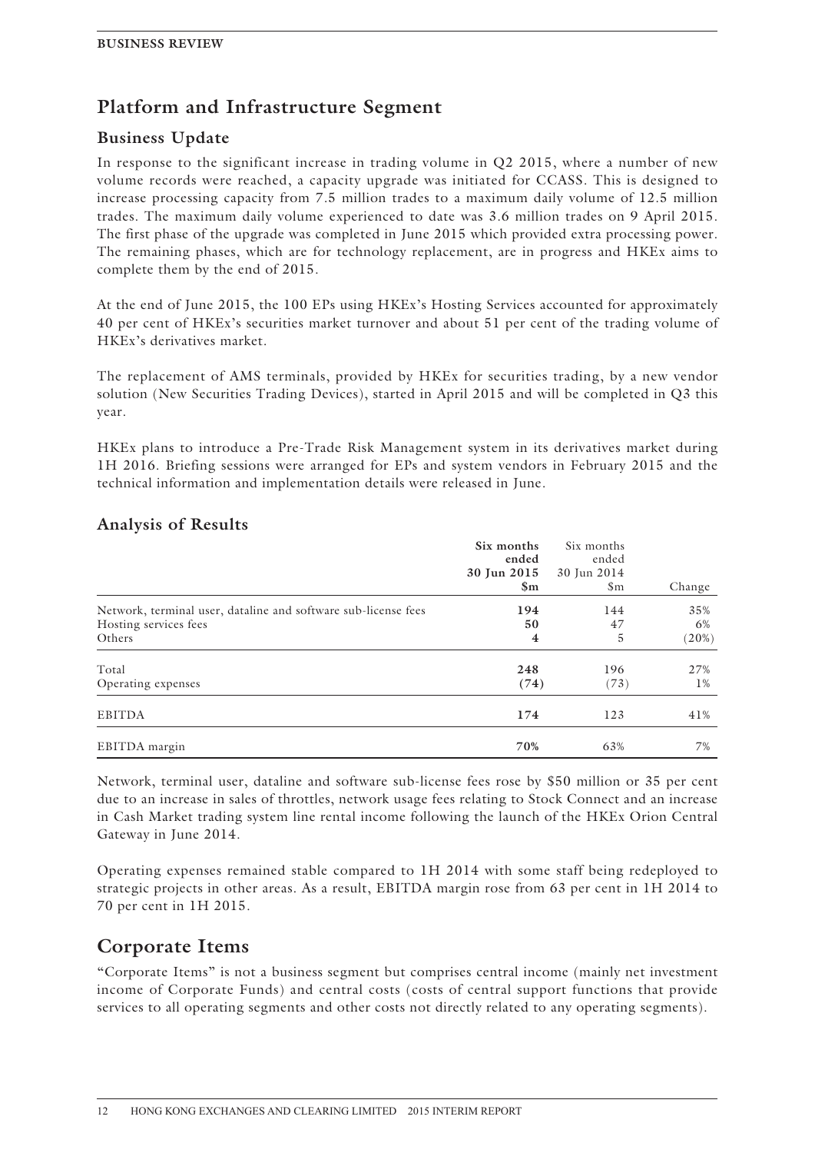## **Platform and Infrastructure Segment**

### **Business Update**

In response to the significant increase in trading volume in Q2 2015, where a number of new volume records were reached, a capacity upgrade was initiated for CCASS. This is designed to increase processing capacity from 7.5 million trades to a maximum daily volume of 12.5 million trades. The maximum daily volume experienced to date was 3.6 million trades on 9 April 2015. The first phase of the upgrade was completed in June 2015 which provided extra processing power. The remaining phases, which are for technology replacement, are in progress and HKEx aims to complete them by the end of 2015.

At the end of June 2015, the 100 EPs using HKEx's Hosting Services accounted for approximately 40 per cent of HKEx's securities market turnover and about 51 per cent of the trading volume of HKEx's derivatives market.

The replacement of AMS terminals, provided by HKEx for securities trading, by a new vendor solution (New Securities Trading Devices), started in April 2015 and will be completed in Q3 this year.

HKEx plans to introduce a Pre-Trade Risk Management system in its derivatives market during 1H 2016. Briefing sessions were arranged for EPs and system vendors in February 2015 and the technical information and implementation details were released in June.

|                                                                                                   | Six months<br>ended<br>30 Jun 2015<br>$\mathbf{Sm}$ | Six months<br>ended<br>30 Jun 2014<br>$\mathsf{Sm}$ | Change             |
|---------------------------------------------------------------------------------------------------|-----------------------------------------------------|-----------------------------------------------------|--------------------|
| Network, terminal user, dataline and software sub-license fees<br>Hosting services fees<br>Others | 194<br>50<br>$\overline{\mathbf{4}}$                | 144<br>47<br>5                                      | 35%<br>6%<br>(20%) |
| Total<br>Operating expenses                                                                       | 248<br>(74)                                         | 196<br>(73)                                         | 27%<br>$1\%$       |
| <b>EBITDA</b>                                                                                     | 174                                                 | 123                                                 | 41%                |
| EBITDA margin                                                                                     | 70%                                                 | 63%                                                 | 7%                 |

### **Analysis of Results**

Network, terminal user, dataline and software sub-license fees rose by \$50 million or 35 per cent due to an increase in sales of throttles, network usage fees relating to Stock Connect and an increase in Cash Market trading system line rental income following the launch of the HKEx Orion Central Gateway in June 2014.

Operating expenses remained stable compared to 1H 2014 with some staff being redeployed to strategic projects in other areas. As a result, EBITDA margin rose from 63 per cent in 1H 2014 to 70 per cent in 1H 2015.

## **Corporate Items**

"Corporate Items" is not a business segment but comprises central income (mainly net investment income of Corporate Funds) and central costs (costs of central support functions that provide services to all operating segments and other costs not directly related to any operating segments).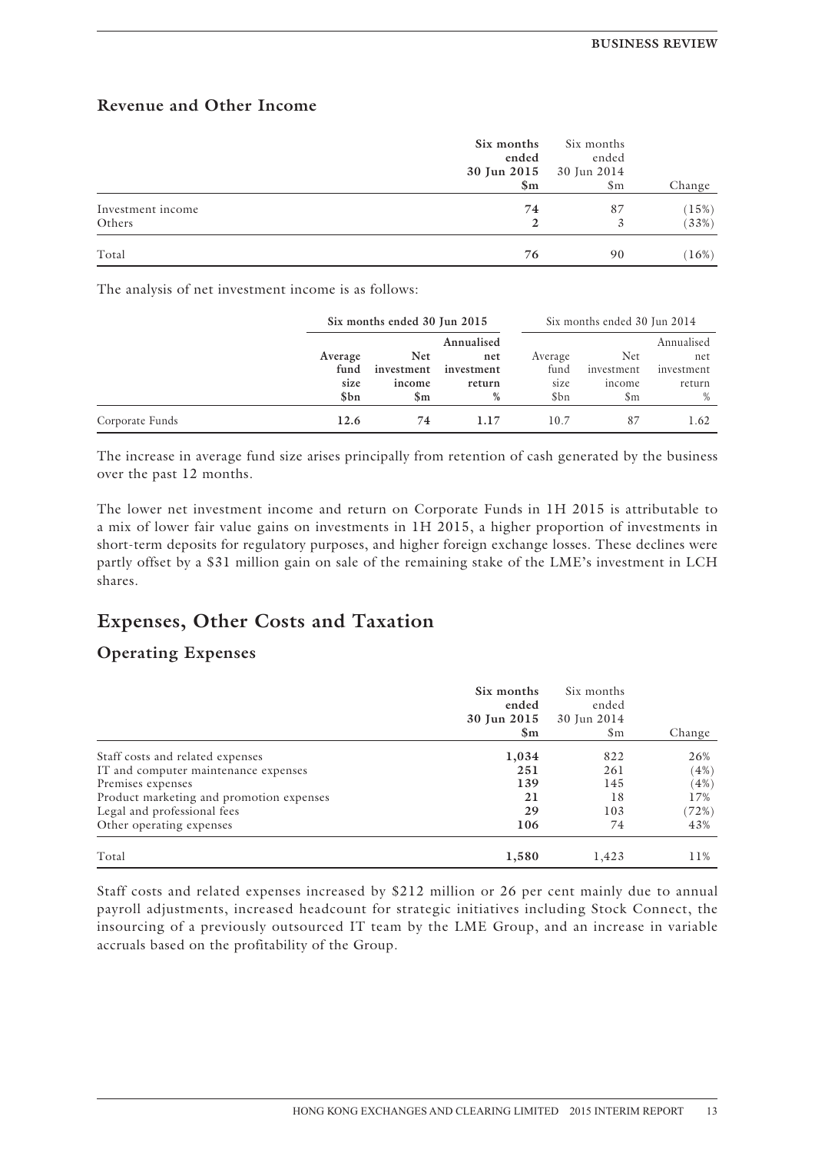### **Revenue and Other Income**

|                             | Six months<br>ended<br>30 Jun 2015 30 Jun 2014<br>$\mathbf{Sm}$ | Six months<br>ended<br>$\mathfrak{S}_{m}$ | Change         |
|-----------------------------|-----------------------------------------------------------------|-------------------------------------------|----------------|
| Investment income<br>Others | 74<br>$\mathbf{2}$                                              | 87                                        | (15%)<br>(33%) |
| Total                       | 76                                                              | 90                                        | (16%)          |

The analysis of net investment income is as follows:

|                 |              | Six months ended 30 Jun 2015 |                      | Six months ended 30 Jun 2014 |                      |                      |
|-----------------|--------------|------------------------------|----------------------|------------------------------|----------------------|----------------------|
|                 | Average      | <b>Net</b>                   | Annualised<br>net    | Average                      | Net                  | Annualised<br>net    |
|                 | fund<br>size | investment<br>income         | investment<br>return | fund<br>size                 | investment<br>income | investment<br>return |
|                 | \$bn         | $\mathbb{S}_{\mathrm{m}}$    | %                    | \$bn                         | \$m                  | $\%$                 |
| Corporate Funds | 12.6         | 74                           | 1.17                 | 10.7                         | 87                   | 1.62                 |

The increase in average fund size arises principally from retention of cash generated by the business over the past 12 months.

The lower net investment income and return on Corporate Funds in 1H 2015 is attributable to a mix of lower fair value gains on investments in 1H 2015, a higher proportion of investments in short-term deposits for regulatory purposes, and higher foreign exchange losses. These declines were partly offset by a \$31 million gain on sale of the remaining stake of the LME's investment in LCH shares.

## **Expenses, Other Costs and Taxation**

### **Operating Expenses**

|                                          | Six months<br>ended<br>30 Jun 2015<br>$\mathbf{Sm}$ | Six months<br>ended<br>30 Jun 2014<br>$\mathsf{Sm}$ | Change |
|------------------------------------------|-----------------------------------------------------|-----------------------------------------------------|--------|
| Staff costs and related expenses         | 1,034                                               | 822                                                 | 26%    |
| IT and computer maintenance expenses     | 251                                                 | 261                                                 | (4%)   |
| Premises expenses                        | 139                                                 | 145                                                 | (4%)   |
| Product marketing and promotion expenses | 21                                                  | 18                                                  | 17%    |
| Legal and professional fees              | 29                                                  | 103                                                 | (72%)  |
| Other operating expenses                 | 106                                                 | 74                                                  | 43%    |
| Total                                    | 1,580                                               | 1,423                                               | 11%    |

Staff costs and related expenses increased by \$212 million or 26 per cent mainly due to annual payroll adjustments, increased headcount for strategic initiatives including Stock Connect, the insourcing of a previously outsourced IT team by the LME Group, and an increase in variable accruals based on the profitability of the Group.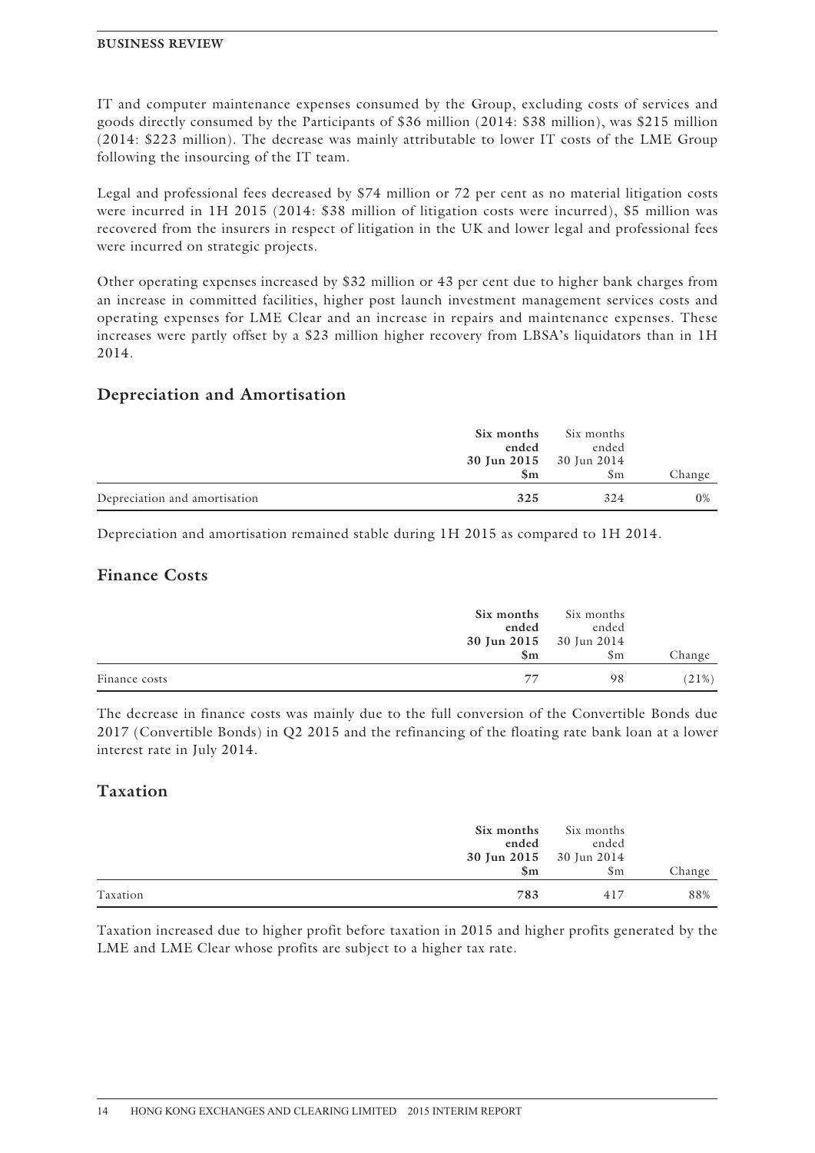IT and computer maintenance expenses consumed by the Group, excluding costs of services and goods directly consumed by the Participants of \$36 million (2014: \$38 million), was \$215 million (2014: \$223 million). The decrease was mainly attributable to lower IT costs of the LME Group following the insourcing of the IT team.

Legal and professional fees decreased by \$74 million or 72 per cent as no material litigation costs were incurred in 1H 2015 (2014: \$38 million of litigation costs were incurred), \$5 million was recovered from the insurers in respect of litigation in the UK and lower legal and professional fees were incurred on strategic projects.

Other operating expenses increased by \$32 million or 43 per cent due to higher bank charges from an increase in committed facilities, higher post launch investment management services costs and operating expenses for LME Clear and an increase in repairs and maintenance expenses. These increases were partly offset by a \$23 million higher recovery from LBSA's liquidators than in 1H 2014.

### **Depreciation and Amortisation**

|                               | Six months              | Six months |        |
|-------------------------------|-------------------------|------------|--------|
|                               | ended                   | ended      |        |
|                               | 30 Jun 2015 30 Jun 2014 |            |        |
|                               | $\mathbf{Sm}$           | $\rm Sm$   | Change |
| Depreciation and amortisation | 325                     | 324        | $0\%$  |

Depreciation and amortisation remained stable during 1H 2015 as compared to 1H 2014.

### **Finance Costs**

|               | Six months<br>ended | Six months<br>ended                      |        |
|---------------|---------------------|------------------------------------------|--------|
|               | $\mathbf{Sm}$       | 30 Jun 2015 30 Jun 2014<br>$\mathbf{Sm}$ | Change |
| Finance costs | 77                  | 98                                       | (21%)  |

The decrease in finance costs was mainly due to the full conversion of the Convertible Bonds due 2017 (Convertible Bonds) in Q2 2015 and the refinancing of the floating rate bank loan at a lower interest rate in July 2014.

### **Taxation**

|          | Six months<br>ended                      | Six months<br>ended |        |
|----------|------------------------------------------|---------------------|--------|
|          | 30 Jun 2015 30 Jun 2014<br>$\mathbf{Sm}$ | $\mathbf{Sm}$       | Change |
| Taxation | 783                                      | 417                 | 88%    |

Taxation increased due to higher profit before taxation in 2015 and higher profits generated by the LME and LME Clear whose profits are subject to a higher tax rate.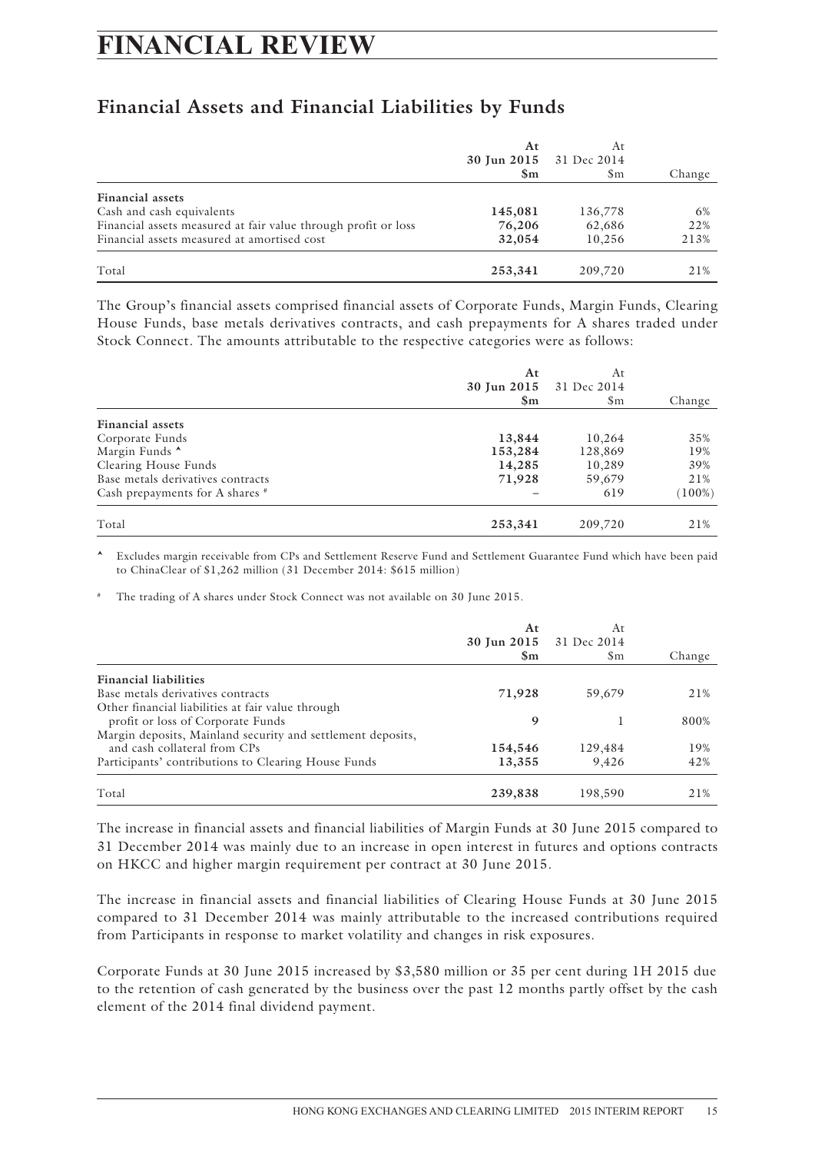## **FINANCIAL REVIEW**

## **Financial Assets and Financial Liabilities by Funds**

|                                                                | At<br>30 Jun 2015 31 Dec 2014<br>$\mathbf{Sm}$ | At<br>\$m | Change |
|----------------------------------------------------------------|------------------------------------------------|-----------|--------|
| <b>Financial assets</b>                                        |                                                |           |        |
| Cash and cash equivalents                                      | 145,081                                        | 136,778   | 6%     |
| Financial assets measured at fair value through profit or loss | 76,206                                         | 62,686    | 22%    |
| Financial assets measured at amortised cost                    | 32,054                                         | 10.256    | 213%   |
| Total                                                          | 253,341                                        | 209,720   | 21%    |

The Group's financial assets comprised financial assets of Corporate Funds, Margin Funds, Clearing House Funds, base metals derivatives contracts, and cash prepayments for A shares traded under Stock Connect. The amounts attributable to the respective categories were as follows:

|                                   | At<br>30 Jun 2015<br>$\mathbf{Sm}$ | At<br>31 Dec 2014<br>$\mathsf{Sm}$ | Change    |
|-----------------------------------|------------------------------------|------------------------------------|-----------|
| <b>Financial assets</b>           |                                    |                                    |           |
| Corporate Funds                   | 13,844                             | 10,264                             | 35%       |
| Margin Funds ^                    | 153,284                            | 128,869                            | 19%       |
| Clearing House Funds              | 14,285                             | 10,289                             | 39%       |
| Base metals derivatives contracts | 71,928                             | 59,679                             | 21%       |
| Cash prepayments for A shares #   |                                    | 619                                | $(100\%)$ |
| Total                             | 253,341                            | 209,720                            | 21%       |

<sup>i</sup> Excludes margin receivable from CPs and Settlement Reserve Fund and Settlement Guarantee Fund which have been paid to ChinaClear of \$1,262 million (31 December 2014: \$615 million)

The trading of A shares under Stock Connect was not available on 30 June 2015.

|                                                             | At<br>$\mathbf{Sm}$ | At<br>30 Jun 2015 31 Dec 2014<br>$\rm Sm$ | Change |
|-------------------------------------------------------------|---------------------|-------------------------------------------|--------|
| <b>Financial liabilities</b>                                |                     |                                           |        |
| Base metals derivatives contracts                           | 71,928              | 59,679                                    | 21%    |
| Other financial liabilities at fair value through           |                     |                                           |        |
| profit or loss of Corporate Funds                           | 9                   |                                           | 800%   |
| Margin deposits, Mainland security and settlement deposits, |                     |                                           |        |
| and cash collateral from CPs                                | 154,546             | 129,484                                   | 19%    |
| Participants' contributions to Clearing House Funds         | 13,355              | 9.426                                     | 42%    |
| Total                                                       | 239,838             | 198,590                                   | 21%    |

The increase in financial assets and financial liabilities of Margin Funds at 30 June 2015 compared to 31 December 2014 was mainly due to an increase in open interest in futures and options contracts on HKCC and higher margin requirement per contract at 30 June 2015.

The increase in financial assets and financial liabilities of Clearing House Funds at 30 June 2015 compared to 31 December 2014 was mainly attributable to the increased contributions required from Participants in response to market volatility and changes in risk exposures.

Corporate Funds at 30 June 2015 increased by \$3,580 million or 35 per cent during 1H 2015 due to the retention of cash generated by the business over the past 12 months partly offset by the cash element of the 2014 final dividend payment.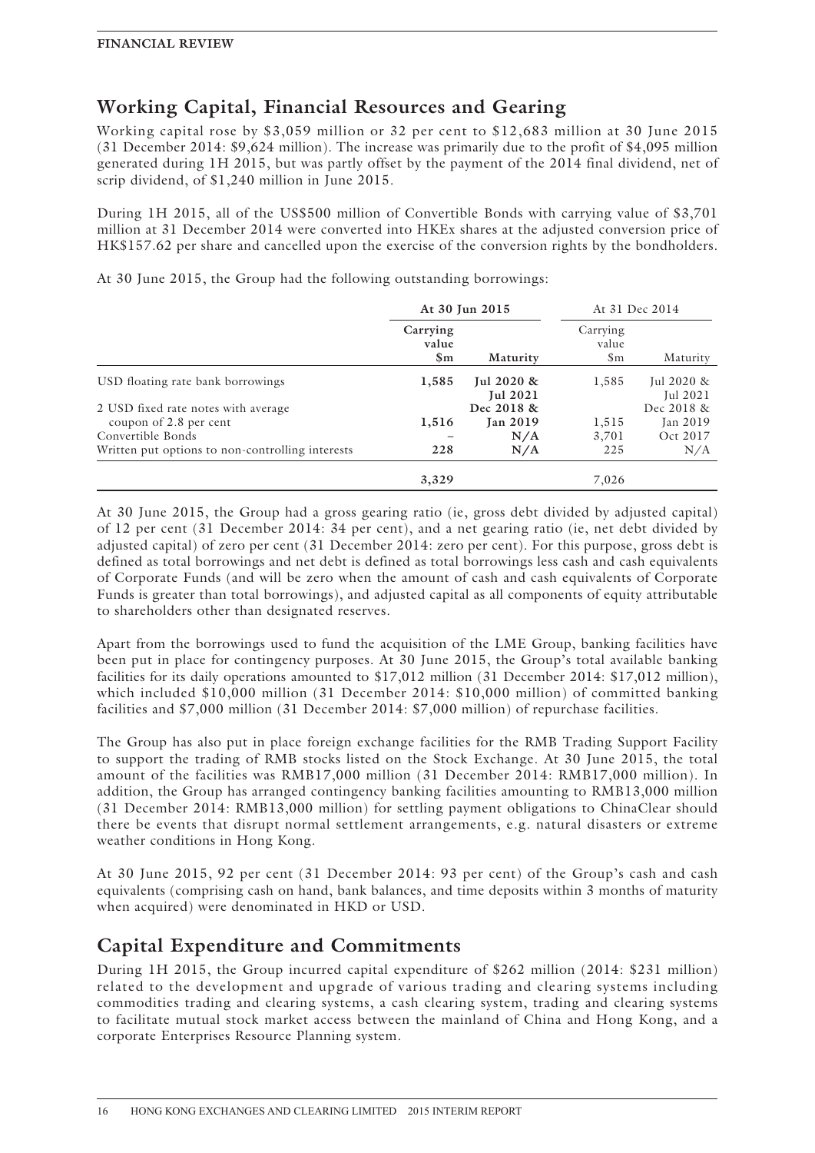## **Working Capital, Financial Resources and Gearing**

Working capital rose by \$3,059 million or 32 per cent to \$12,683 million at 30 June 2015 (31 December 2014: \$9,624 million). The increase was primarily due to the profit of \$4,095 million generated during 1H 2015, but was partly offset by the payment of the 2014 final dividend, net of scrip dividend, of \$1,240 million in June 2015.

During 1H 2015, all of the US\$500 million of Convertible Bonds with carrying value of \$3,701 million at 31 December 2014 were converted into HKEx shares at the adjusted conversion price of HK\$157.62 per share and cancelled upon the exercise of the conversion rights by the bondholders.

At 30 June 2015, the Group had the following outstanding borrowings:

|                                                  | At 30 Jun 2015                     |                                  |                                    | At 31 Dec 2014         |
|--------------------------------------------------|------------------------------------|----------------------------------|------------------------------------|------------------------|
|                                                  | Carrying<br>value<br>$\mathbf{Sm}$ | Maturity                         | Carrying<br>value<br>$\mathbf{Sm}$ | Maturity               |
| USD floating rate bank borrowings                | 1,585                              | Jul $2020 \&$<br><b>Jul 2021</b> | 1,585                              | Jul 2020 &<br>Jul 2021 |
| 2 USD fixed rate notes with average              |                                    | Dec 2018 &                       |                                    | Dec 2018 &             |
| coupon of 2.8 per cent                           | 1,516                              | <b>Jan 2019</b>                  | 1,515                              | Jan 2019               |
| Convertible Bonds                                |                                    | N/A                              | 3,701                              | Oct 2017               |
| Written put options to non-controlling interests | 228                                | N/A                              | 225                                | N/A                    |
|                                                  | 3,329                              |                                  | 7,026                              |                        |

At 30 June 2015, the Group had a gross gearing ratio (ie, gross debt divided by adjusted capital) of 12 per cent (31 December 2014: 34 per cent), and a net gearing ratio (ie, net debt divided by adjusted capital) of zero per cent (31 December 2014: zero per cent). For this purpose, gross debt is defined as total borrowings and net debt is defined as total borrowings less cash and cash equivalents of Corporate Funds (and will be zero when the amount of cash and cash equivalents of Corporate Funds is greater than total borrowings), and adjusted capital as all components of equity attributable to shareholders other than designated reserves.

Apart from the borrowings used to fund the acquisition of the LME Group, banking facilities have been put in place for contingency purposes. At 30 June 2015, the Group's total available banking facilities for its daily operations amounted to \$17,012 million (31 December 2014: \$17,012 million), which included \$10,000 million (31 December 2014: \$10,000 million) of committed banking facilities and \$7,000 million (31 December 2014: \$7,000 million) of repurchase facilities.

The Group has also put in place foreign exchange facilities for the RMB Trading Support Facility to support the trading of RMB stocks listed on the Stock Exchange. At 30 June 2015, the total amount of the facilities was RMB17,000 million (31 December 2014: RMB17,000 million). In addition, the Group has arranged contingency banking facilities amounting to RMB13,000 million (31 December 2014: RMB13,000 million) for settling payment obligations to ChinaClear should there be events that disrupt normal settlement arrangements, e.g. natural disasters or extreme weather conditions in Hong Kong.

At 30 June 2015, 92 per cent (31 December 2014: 93 per cent) of the Group's cash and cash equivalents (comprising cash on hand, bank balances, and time deposits within 3 months of maturity when acquired) were denominated in HKD or USD.

## **Capital Expenditure and Commitments**

During 1H 2015, the Group incurred capital expenditure of \$262 million (2014: \$231 million) related to the development and upgrade of various trading and clearing systems including commodities trading and clearing systems, a cash clearing system, trading and clearing systems to facilitate mutual stock market access between the mainland of China and Hong Kong, and a corporate Enterprises Resource Planning system.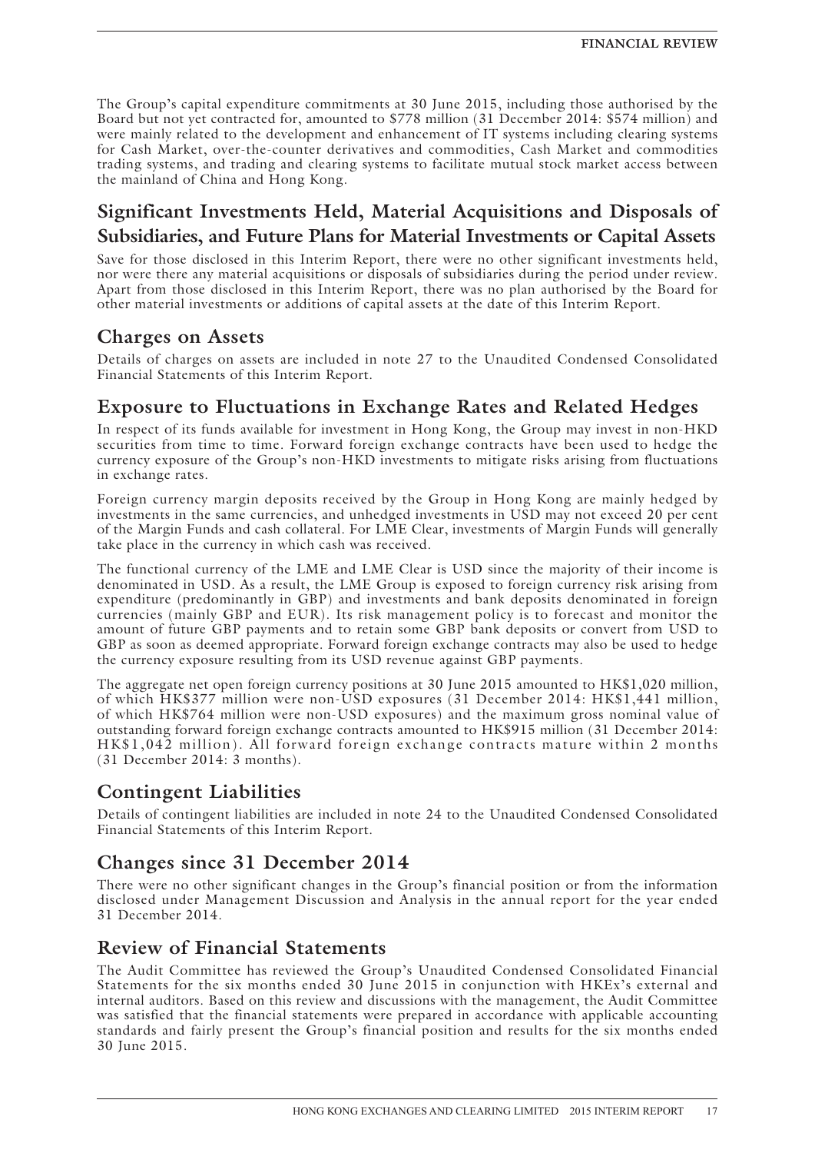The Group's capital expenditure commitments at 30 June 2015, including those authorised by the Board but not yet contracted for, amounted to \$778 million (31 December 2014: \$574 million) and were mainly related to the development and enhancement of IT systems including clearing systems for Cash Market, over-the-counter derivatives and commodities, Cash Market and commodities trading systems, and trading and clearing systems to facilitate mutual stock market access between the mainland of China and Hong Kong.

## **Significant Investments Held, Material Acquisitions and Disposals of Subsidiaries, and Future Plans for Material Investments or Capital Assets**

Save for those disclosed in this Interim Report, there were no other significant investments held, nor were there any material acquisitions or disposals of subsidiaries during the period under review. Apart from those disclosed in this Interim Report, there was no plan authorised by the Board for other material investments or additions of capital assets at the date of this Interim Report.

## **Charges on Assets**

Details of charges on assets are included in note 27 to the Unaudited Condensed Consolidated Financial Statements of this Interim Report.

## **Exposure to Fluctuations in Exchange Rates and Related Hedges**

In respect of its funds available for investment in Hong Kong, the Group may invest in non-HKD securities from time to time. Forward foreign exchange contracts have been used to hedge the currency exposure of the Group's non-HKD investments to mitigate risks arising from fluctuations in exchange rates.

Foreign currency margin deposits received by the Group in Hong Kong are mainly hedged by investments in the same currencies, and unhedged investments in USD may not exceed 20 per cent of the Margin Funds and cash collateral. For LME Clear, investments of Margin Funds will generally take place in the currency in which cash was received.

The functional currency of the LME and LME Clear is USD since the majority of their income is denominated in USD. As a result, the LME Group is exposed to foreign currency risk arising from expenditure (predominantly in GBP) and investments and bank deposits denominated in foreign currencies (mainly GBP and EUR). Its risk management policy is to forecast and monitor the amount of future GBP payments and to retain some GBP bank deposits or convert from USD to GBP as soon as deemed appropriate. Forward foreign exchange contracts may also be used to hedge the currency exposure resulting from its USD revenue against GBP payments.

The aggregate net open foreign currency positions at 30 June 2015 amounted to HK\$1,020 million, of which HK\$377 million were non-USD exposures (31 December 2014: HK\$1,441 million, of which HK\$764 million were non-USD exposures) and the maximum gross nominal value of outstanding forward foreign exchange contracts amounted to HK\$915 million (31 December 2014: HK\$1,042 million). All forward foreign exchange contracts mature within 2 months (31 December 2014: 3 months).

## **Contingent Liabilities**

Details of contingent liabilities are included in note 24 to the Unaudited Condensed Consolidated Financial Statements of this Interim Report.

## **Changes since 31 December 2014**

There were no other significant changes in the Group's financial position or from the information disclosed under Management Discussion and Analysis in the annual report for the year ended 31 December 2014.

## **Review of Financial Statements**

The Audit Committee has reviewed the Group's Unaudited Condensed Consolidated Financial Statements for the six months ended 30 June 2015 in conjunction with HKEx's external and internal auditors. Based on this review and discussions with the management, the Audit Committee was satisfied that the financial statements were prepared in accordance with applicable accounting standards and fairly present the Group's financial position and results for the six months ended 30 June 2015.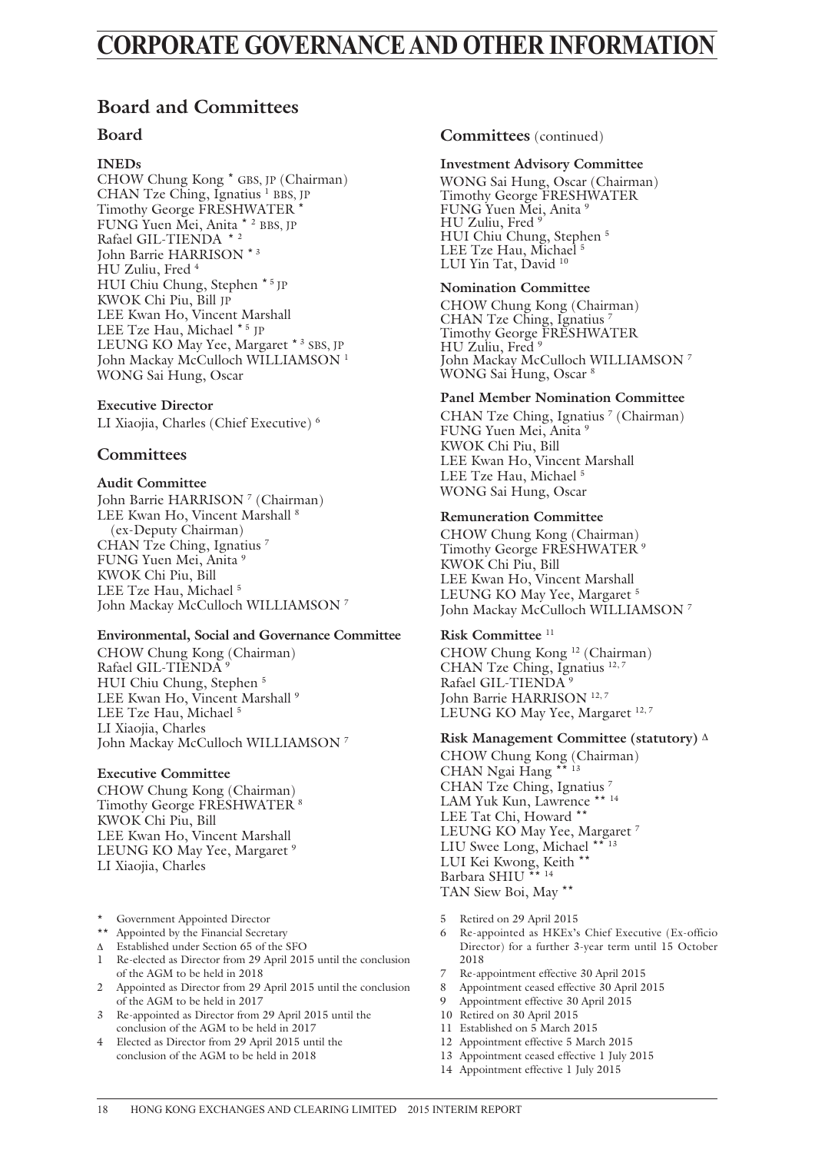## **CORPORATE GOVERNANCE AND OTHER INFORMATION**

## **Board and Committees**

### **Board**

### **INEDs**

CHOW Chung Kong \* GBS, JP (Chairman) CHAN Tze Ching, Ignatius <sup>1</sup> BBS, JP Timothy George FRESHWATER \* FUNG Yuen Mei, Anita \* <sup>2</sup> BBS, JP Rafael GIL-TIENDA \* <sup>2</sup> John Barrie HARRISON \* 3 HU Zuliu, Fred 4 HUI Chiu Chung, Stephen \* 5 JP KWOK Chi Piu, Bill JP LEE Kwan Ho, Vincent Marshall LEE Tze Hau, Michael \* 5 JP LEUNG KO May Yee, Margaret \* 3 SBS, JP John Mackay McCulloch WILLIAMSON<sup>1</sup> WONG Sai Hung, Oscar

### **Executive Director**

LI Xiaojia, Charles (Chief Executive) 6

### **Committees**

### **Audit Committee**

John Barrie HARRISON<sup>7</sup> (Chairman) LEE Kwan Ho, Vincent Marshall<sup>8</sup> (ex-Deputy Chairman) CHAN Tze Ching, Ignatius 7 FUNG Yuen Mei, Anita 9 KWOK Chi Piu, Bill LEE Tze Hau, Michael<sup>5</sup> John Mackay McCulloch WILLIAMSON 7

#### **Environmental, Social and Governance Committee**

CHOW Chung Kong (Chairman) Rafael GIL-TIENDA<sup>9</sup> HUI Chiu Chung, Stephen 5 LEE Kwan Ho, Vincent Marshall<sup>9</sup> LEE Tze Hau, Michael<sup>5</sup> LI Xiaojia, Charles John Mackay McCulloch WILLIAMSON 7

#### **Executive Committee**

CHOW Chung Kong (Chairman) Timothy George FRESHWATER 8 KWOK Chi Piu, Bill LEE Kwan Ho, Vincent Marshall LEUNG KO May Yee, Margaret<sup>9</sup> LI Xiaojia, Charles

- Government Appointed Director
- \*\* Appointed by the Financial Secretary
- Δ Established under Section 65 of the SFO
- 1 Re-elected as Director from 29 April 2015 until the conclusion of the AGM to be held in 2018
- 2 Appointed as Director from 29 April 2015 until the conclusion of the AGM to be held in 2017
- 3 Re-appointed as Director from 29 April 2015 until the conclusion of the AGM to be held in 2017
- 4 Elected as Director from 29 April 2015 until the conclusion of the AGM to be held in 2018

### **Committees** (continued)

#### **Investment Advisory Committee**

WONG Sai Hung, Oscar (Chairman) Timothy George FRESHWATER FUNG Yuen Mei, Anita 9 HU Zuliu, Fred 9 HUI Chiu Chung, Stephen 5 LEE Tze Hau, Michael<sup>5</sup> LUI Yin Tat, David <sup>10</sup>

### **Nomination Committee**

CHOW Chung Kong (Chairman) CHAN Tze Ching, Ignatius Timothy George FRESHWATER HU Zuliu, Fred 9 John Mackay McCulloch WILLIAMSON 7 WONG Sai Hung, Oscar 8

#### **Panel Member Nomination Committee**

CHAN Tze Ching, Ignatius<sup>7</sup> (Chairman) FUNG Yuen Mei, Anita 9 KWOK Chi Piu, Bill LEE Kwan Ho, Vincent Marshall LEE Tze Hau, Michael 5 WONG Sai Hung, Oscar

### **Remuneration Committee**

CHOW Chung Kong (Chairman) Timothy George FRESHWATER 9 KWOK Chi Piu, Bill LEE Kwan Ho, Vincent Marshall LEUNG KO May Yee, Margaret<sup>5</sup> John Mackay McCulloch WILLIAMSON 7

### **Risk Committee** <sup>11</sup>

CHOW Chung Kong 12 (Chairman) CHAN Tze Ching, Ignatius <sup>12, 7</sup> Rafael GIL-TIENDA<sup>9</sup> John Barrie HARRISON<sup>12,7</sup> LEUNG KO May Yee, Margaret <sup>12, 7</sup>

#### **Risk Management Committee (statutory)** Δ

CHOW Chung Kong (Chairman) CHAN Ngai Hang \*\* CHAN Tze Ching, Ignatius 7 LAM Yuk Kun, Lawrence \*\* <sup>14</sup> LEE Tat Chi, Howard \*\* LEUNG KO May Yee, Margaret<sup>7</sup> LIU Swee Long, Michael \* LUI Kei Kwong, Keith \*\* Barbara SHIU \*\* <sup>14</sup> TAN Siew Boi, May \*\*

- 5 Retired on 29 April 2015
- 6 Re-appointed as HKEx's Chief Executive (Ex-officio Director) for a further 3-year term until 15 October 2018
- 7 Re-appointment effective 30 April 2015
- 8 Appointment ceased effective 30 April 2015
- 9 Appointment effective 30 April 2015
- 10 Retired on 30 April 2015
- 11 Established on 5 March 2015
- 12 Appointment effective 5 March 2015
- 13 Appointment ceased effective 1 July 2015
- 14 Appointment effective 1 July 2015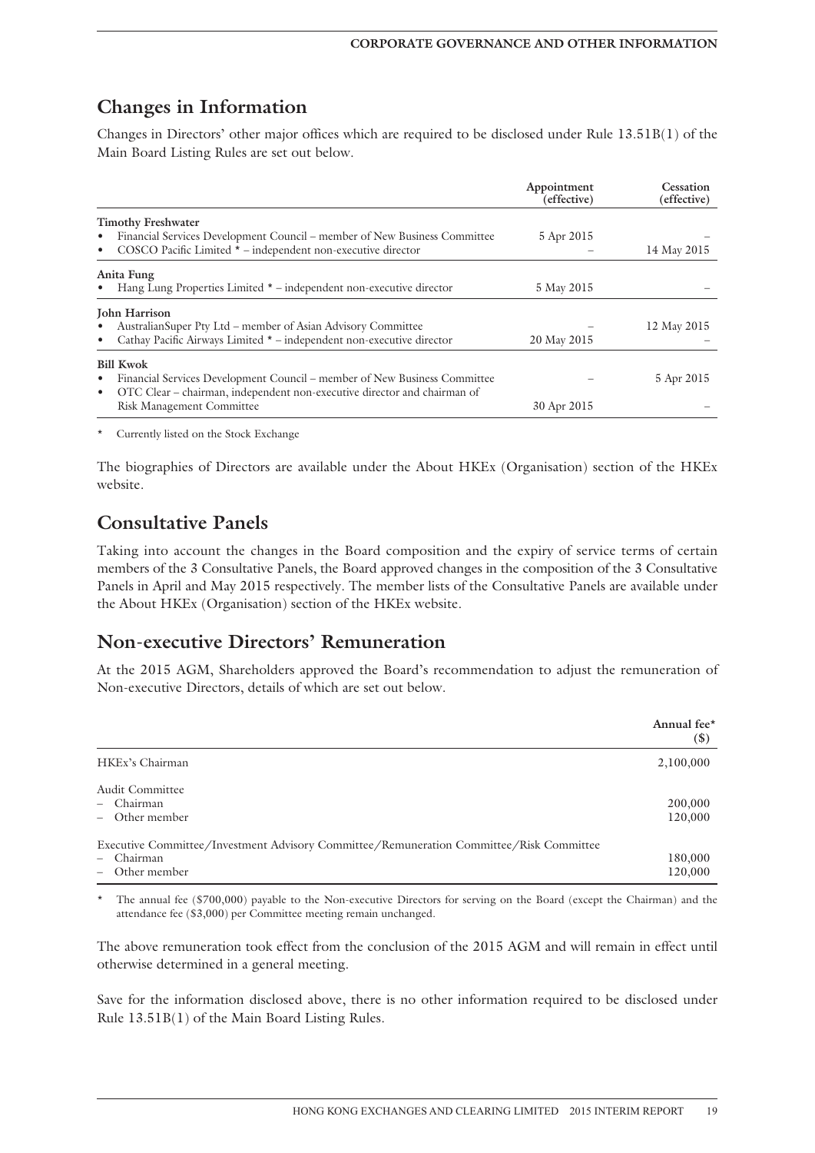## **Changes in Information**

Changes in Directors' other major offices which are required to be disclosed under Rule 13.51B(1) of the Main Board Listing Rules are set out below.

|                                                                                                                                                                                     | Appointment<br>(effective) | Cessation<br>(effective) |
|-------------------------------------------------------------------------------------------------------------------------------------------------------------------------------------|----------------------------|--------------------------|
| <b>Timothy Freshwater</b>                                                                                                                                                           |                            |                          |
| Financial Services Development Council – member of New Business Committee<br>$\bullet$<br>COSCO Pacific Limited * - independent non-executive director<br>٠                         | 5 Apr 2015                 | 14 May 2015              |
| Anita Fung<br>Hang Lung Properties Limited * – independent non-executive director                                                                                                   | 5 May 2015                 |                          |
| John Harrison<br>Australian Super Pty Ltd – member of Asian Advisory Committee<br>Cathay Pacific Airways Limited * - independent non-executive director<br>٠                        | 20 May 2015                | 12 May 2015              |
| <b>Bill Kwok</b><br>Financial Services Development Council – member of New Business Committee<br>٠<br>OTC Clear – chairman, independent non-executive director and chairman of<br>٠ |                            | 5 Apr 2015               |
| <b>Risk Management Committee</b>                                                                                                                                                    | 30 Apr 2015                |                          |

Currently listed on the Stock Exchange

The biographies of Directors are available under the About HKEx (Organisation) section of the HKEx website.

## **Consultative Panels**

Taking into account the changes in the Board composition and the expiry of service terms of certain members of the 3 Consultative Panels, the Board approved changes in the composition of the 3 Consultative Panels in April and May 2015 respectively. The member lists of the Consultative Panels are available under the About HKEx (Organisation) section of the HKEx website.

### **Non-executive Directors' Remuneration**

At the 2015 AGM, Shareholders approved the Board's recommendation to adjust the remuneration of Non-executive Directors, details of which are set out below.

|                                                                                         | Annual fee*<br>$(\$)$ |
|-----------------------------------------------------------------------------------------|-----------------------|
| HKEx's Chairman                                                                         | 2,100,000             |
| Audit Committee<br>- Chairman<br>- Other member                                         | 200,000<br>120,000    |
| Executive Committee/Investment Advisory Committee/Remuneration Committee/Risk Committee |                       |
| - Chairman                                                                              | 180,000               |
| Other member<br>$\overline{\phantom{0}}$                                                | 120,000               |

The annual fee (\$700,000) payable to the Non-executive Directors for serving on the Board (except the Chairman) and the attendance fee (\$3,000) per Committee meeting remain unchanged.

The above remuneration took effect from the conclusion of the 2015 AGM and will remain in effect until otherwise determined in a general meeting.

Save for the information disclosed above, there is no other information required to be disclosed under Rule 13.51B(1) of the Main Board Listing Rules.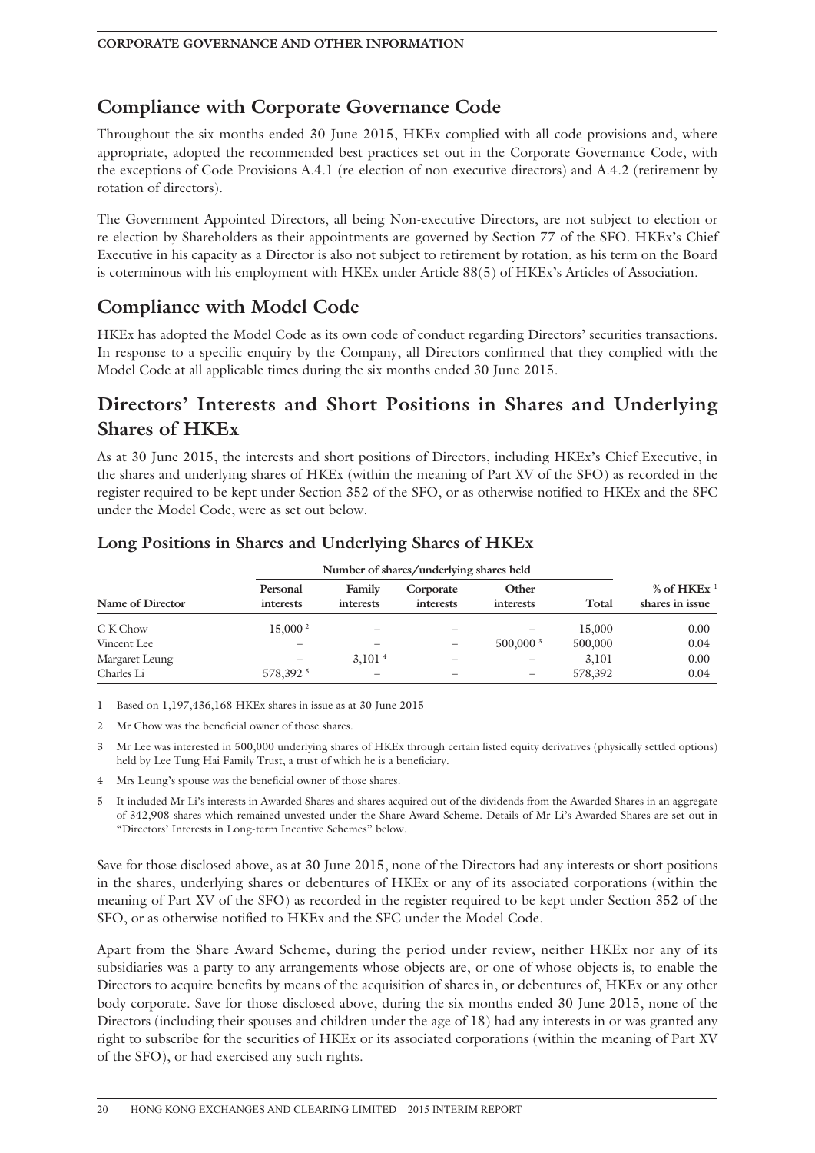## **Compliance with Corporate Governance Code**

Throughout the six months ended 30 June 2015, HKEx complied with all code provisions and, where appropriate, adopted the recommended best practices set out in the Corporate Governance Code, with the exceptions of Code Provisions A.4.1 (re-election of non-executive directors) and A.4.2 (retirement by rotation of directors).

The Government Appointed Directors, all being Non-executive Directors, are not subject to election or re-election by Shareholders as their appointments are governed by Section 77 of the SFO. HKEx's Chief Executive in his capacity as a Director is also not subject to retirement by rotation, as his term on the Board is coterminous with his employment with HKEx under Article 88(5) of HKEx's Articles of Association.

## **Compliance with Model Code**

HKEx has adopted the Model Code as its own code of conduct regarding Directors' securities transactions. In response to a specific enquiry by the Company, all Directors confirmed that they complied with the Model Code at all applicable times during the six months ended 30 June 2015.

## **Directors' Interests and Short Positions in Shares and Underlying Shares of HKEx**

As at 30 June 2015, the interests and short positions of Directors, including HKEx's Chief Executive, in the shares and underlying shares of HKEx (within the meaning of Part XV of the SFO) as recorded in the register required to be kept under Section 352 of the SFO, or as otherwise notified to HKEx and the SFC under the Model Code, were as set out below.

|                  |                       |                            | Number of shares/underlying shares held |                        |         |                                  |
|------------------|-----------------------|----------------------------|-----------------------------------------|------------------------|---------|----------------------------------|
| Name of Director | Personal<br>interests | Family<br><i>interests</i> | Corporate<br>interests                  | Other<br>interests     | Total   | % of HKEx $1$<br>shares in issue |
| C K Chow         | 15,000 <sup>2</sup>   |                            |                                         |                        | 15,000  | 0.00                             |
| Vincent Lee      |                       |                            |                                         | $500,000$ <sup>3</sup> | 500,000 | 0.04                             |
| Margaret Leung   |                       | $3.101 +$                  |                                         |                        | 3.101   | 0.00                             |

### **Long Positions in Shares and Underlying Shares of HKEx**

1 Based on 1,197,436,168 HKEx shares in issue as at 30 June 2015

2 Mr Chow was the beneficial owner of those shares.

3 Mr Lee was interested in 500,000 underlying shares of HKEx through certain listed equity derivatives (physically settled options) held by Lee Tung Hai Family Trust, a trust of which he is a beneficiary.

Charles Li 578,392 5 – – – – 578,392 0.04

4 Mrs Leung's spouse was the beneficial owner of those shares.

5 It included Mr Li's interests in Awarded Shares and shares acquired out of the dividends from the Awarded Shares in an aggregate of 342,908 shares which remained unvested under the Share Award Scheme. Details of Mr Li's Awarded Shares are set out in "Directors' Interests in Long-term Incentive Schemes" below.

Save for those disclosed above, as at 30 June 2015, none of the Directors had any interests or short positions in the shares, underlying shares or debentures of HKEx or any of its associated corporations (within the meaning of Part XV of the SFO) as recorded in the register required to be kept under Section 352 of the SFO, or as otherwise notified to HKEx and the SFC under the Model Code.

Apart from the Share Award Scheme, during the period under review, neither HKEx nor any of its subsidiaries was a party to any arrangements whose objects are, or one of whose objects is, to enable the Directors to acquire benefits by means of the acquisition of shares in, or debentures of, HKEx or any other body corporate. Save for those disclosed above, during the six months ended 30 June 2015, none of the Directors (including their spouses and children under the age of 18) had any interests in or was granted any right to subscribe for the securities of HKEx or its associated corporations (within the meaning of Part XV of the SFO), or had exercised any such rights.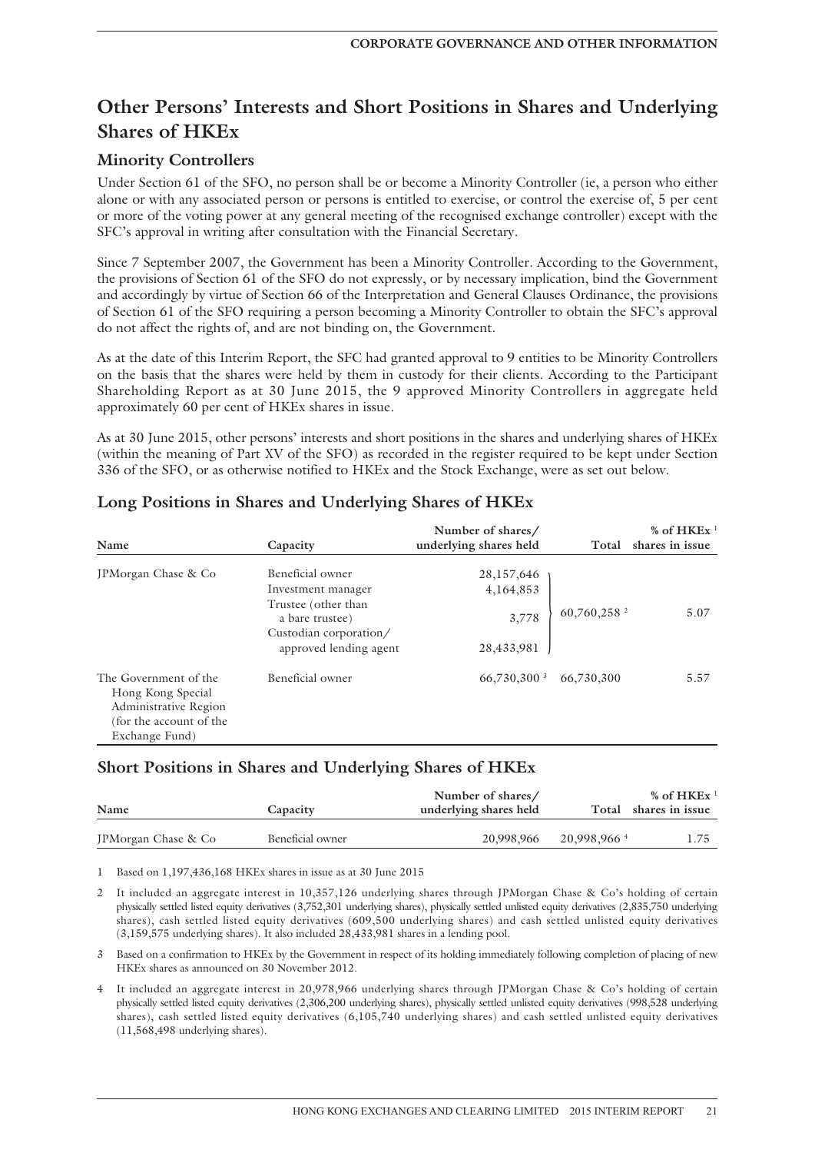## **Other Persons' Interests and Short Positions in Shares and Underlying Shares of HKEx**

### **Minority Controllers**

Under Section 61 of the SFO, no person shall be or become a Minority Controller (ie, a person who either alone or with any associated person or persons is entitled to exercise, or control the exercise of, 5 per cent or more of the voting power at any general meeting of the recognised exchange controller) except with the SFC's approval in writing after consultation with the Financial Secretary.

Since 7 September 2007, the Government has been a Minority Controller. According to the Government, the provisions of Section 61 of the SFO do not expressly, or by necessary implication, bind the Government and accordingly by virtue of Section 66 of the Interpretation and General Clauses Ordinance, the provisions of Section 61 of the SFO requiring a person becoming a Minority Controller to obtain the SFC's approval do not affect the rights of, and are not binding on, the Government.

As at the date of this Interim Report, the SFC had granted approval to 9 entities to be Minority Controllers on the basis that the shares were held by them in custody for their clients. According to the Participant Shareholding Report as at 30 June 2015, the 9 approved Minority Controllers in aggregate held approximately 60 per cent of HKEx shares in issue.

As at 30 June 2015, other persons' interests and short positions in the shares and underlying shares of HKEx (within the meaning of Part XV of the SFO) as recorded in the register required to be kept under Section 336 of the SFO, or as otherwise notified to HKEx and the Stock Exchange, were as set out below.

| Name                                                                                                             | Capacity                                                                                   | Number of shares/<br>underlying shares held | Total           | % of $HKEx$<br>shares in issue |
|------------------------------------------------------------------------------------------------------------------|--------------------------------------------------------------------------------------------|---------------------------------------------|-----------------|--------------------------------|
| JPMorgan Chase & Co                                                                                              | Beneficial owner                                                                           | 28,157,646                                  |                 |                                |
|                                                                                                                  | Investment manager                                                                         | 4,164,853                                   |                 |                                |
|                                                                                                                  | Trustee (other than<br>a bare trustee)<br>Custodian corporation/<br>approved lending agent | 3,778<br>28,433,981                         | 60,760,258 $^2$ | 5.07                           |
| The Government of the<br>Hong Kong Special<br>Administrative Region<br>(for the account of the<br>Exchange Fund) | Beneficial owner                                                                           | 66,730,300 $3$                              | 66,730,300      | 5.57                           |

## **Long Positions in Shares and Underlying Shares of HKEx**

### **Short Positions in Shares and Underlying Shares of HKEx**

| Name                | Capacity         | Number of shares/<br>underlying shares held |                         | % of $HKEx$ <sup>1</sup><br>Total shares in issue |
|---------------------|------------------|---------------------------------------------|-------------------------|---------------------------------------------------|
| JPMorgan Chase & Co | Beneficial owner | 20,998,966                                  | 20,998,966 <sup>4</sup> | 1.75                                              |

1 Based on 1,197,436,168 HKEx shares in issue as at 30 June 2015

2 It included an aggregate interest in 10,357,126 underlying shares through JPMorgan Chase & Co's holding of certain physically settled listed equity derivatives (3,752,301 underlying shares), physically settled unlisted equity derivatives (2,835,750 underlying shares), cash settled listed equity derivatives (609,500 underlying shares) and cash settled unlisted equity derivatives (3,159,575 underlying shares). It also included 28,433,981 shares in a lending pool.

3 Based on a confirmation to HKEx by the Government in respect of its holding immediately following completion of placing of new HKEx shares as announced on 30 November 2012.

4 It included an aggregate interest in 20,978,966 underlying shares through JPMorgan Chase & Co's holding of certain physically settled listed equity derivatives (2,306,200 underlying shares), physically settled unlisted equity derivatives (998,528 underlying shares), cash settled listed equity derivatives (6,105,740 underlying shares) and cash settled unlisted equity derivatives (11,568,498 underlying shares).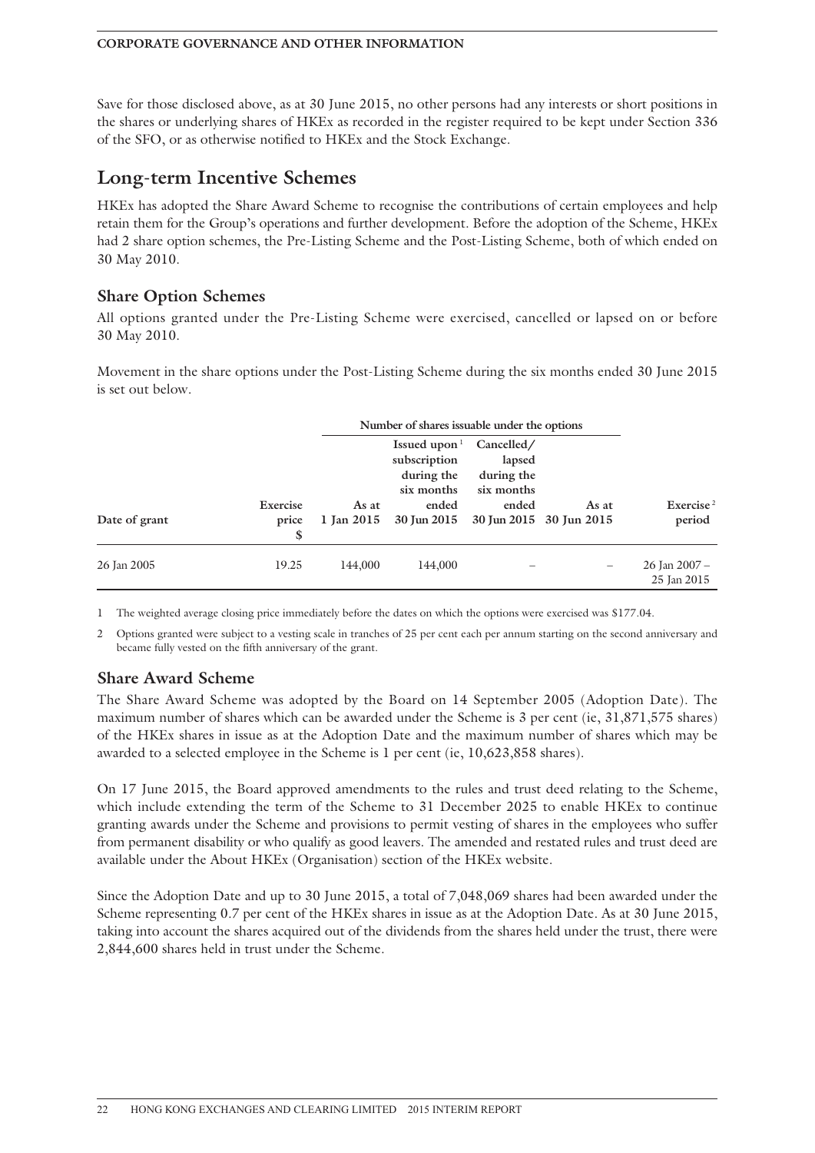Save for those disclosed above, as at 30 June 2015, no other persons had any interests or short positions in the shares or underlying shares of HKEx as recorded in the register required to be kept under Section 336 of the SFO, or as otherwise notified to HKEx and the Stock Exchange.

## **Long-term Incentive Schemes**

HKEx has adopted the Share Award Scheme to recognise the contributions of certain employees and help retain them for the Group's operations and further development. Before the adoption of the Scheme, HKEx had 2 share option schemes, the Pre-Listing Scheme and the Post-Listing Scheme, both of which ended on 30 May 2010.

### **Share Option Schemes**

All options granted under the Pre-Listing Scheme were exercised, cancelled or lapsed on or before 30 May 2010.

Movement in the share options under the Post-Listing Scheme during the six months ended 30 June 2015 is set out below.

|               |                        | Number of shares issuable under the options |                                                |            |       |                              |
|---------------|------------------------|---------------------------------------------|------------------------------------------------|------------|-------|------------------------------|
|               |                        |                                             | Issued upon $1$                                | Cancelled/ |       |                              |
|               |                        |                                             | subscription                                   | lapsed     |       |                              |
|               |                        |                                             | during the                                     | during the |       |                              |
|               |                        |                                             | six months                                     | six months |       |                              |
|               | Exercise               | As at                                       | ended                                          | ended      | As at | Exercise <sup>2</sup>        |
| Date of grant | price<br><sup>\$</sup> |                                             | 1 Jan 2015 30 Jun 2015 30 Jun 2015 30 Jun 2015 |            |       | period                       |
| 26 Jan 2005   | 19.25                  | 144.000                                     | 144,000                                        |            | -     | 26 Jan 2007 -<br>25 Jan 2015 |

1 The weighted average closing price immediately before the dates on which the options were exercised was \$177.04.

2 Options granted were subject to a vesting scale in tranches of 25 per cent each per annum starting on the second anniversary and became fully vested on the fifth anniversary of the grant.

### **Share Award Scheme**

The Share Award Scheme was adopted by the Board on 14 September 2005 (Adoption Date). The maximum number of shares which can be awarded under the Scheme is 3 per cent (ie, 31,871,575 shares) of the HKEx shares in issue as at the Adoption Date and the maximum number of shares which may be awarded to a selected employee in the Scheme is 1 per cent (ie, 10,623,858 shares).

On 17 June 2015, the Board approved amendments to the rules and trust deed relating to the Scheme, which include extending the term of the Scheme to 31 December 2025 to enable HKEx to continue granting awards under the Scheme and provisions to permit vesting of shares in the employees who suffer from permanent disability or who qualify as good leavers. The amended and restated rules and trust deed are available under the About HKEx (Organisation) section of the HKEx website.

Since the Adoption Date and up to 30 June 2015, a total of 7,048,069 shares had been awarded under the Scheme representing 0.7 per cent of the HKEx shares in issue as at the Adoption Date. As at 30 June 2015, taking into account the shares acquired out of the dividends from the shares held under the trust, there were 2,844,600 shares held in trust under the Scheme.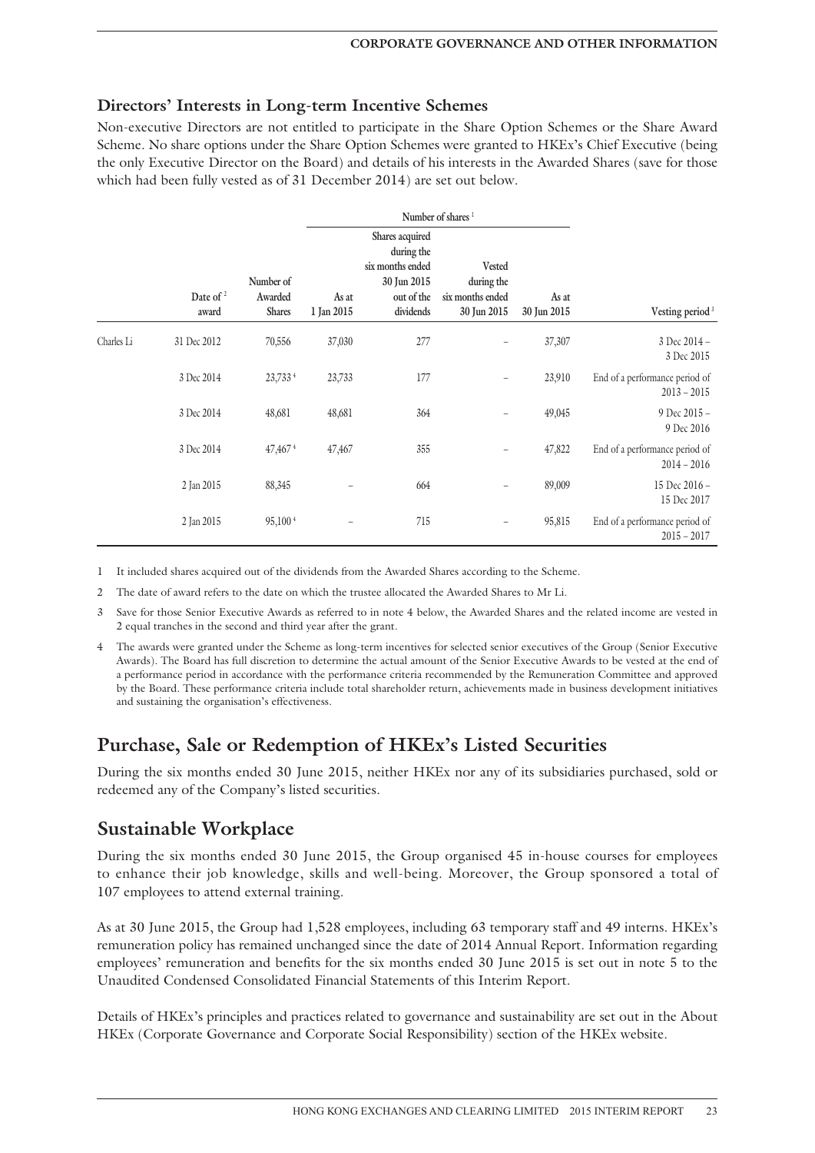### **Directors' Interests in Long-term Incentive Schemes**

Non-executive Directors are not entitled to participate in the Share Option Schemes or the Share Award Scheme. No share options under the Share Option Schemes were granted to HKEx's Chief Executive (being the only Executive Director on the Board) and details of his interests in the Awarded Shares (save for those which had been fully vested as of 31 December 2014) are set out below.

|            |                      |                                       |                     | Number of shares <sup>1</sup>                                                               |                                                                |                      |                                                 |
|------------|----------------------|---------------------------------------|---------------------|---------------------------------------------------------------------------------------------|----------------------------------------------------------------|----------------------|-------------------------------------------------|
|            | Date of $2$<br>award | Number of<br>Awarded<br><b>Shares</b> | As at<br>1 Jan 2015 | Shares acquired<br>during the<br>six months ended<br>30 Jun 2015<br>out of the<br>dividends | <b>Vested</b><br>during the<br>six months ended<br>30 Jun 2015 | As at<br>30 Jun 2015 | Vesting period <sup>3</sup>                     |
| Charles Li | 31 Dec 2012          | 70,556                                | 37,030              | 277                                                                                         | $\overline{\phantom{0}}$                                       | 37,307               | 3 Dec 2014 -<br>3 Dec 2015                      |
|            | 3 Dec 2014           | 23,733 4                              | 23,733              | 177                                                                                         | -                                                              | 23,910               | End of a performance period of<br>$2013 - 2015$ |
|            | 3 Dec 2014           | 48,681                                | 48,681              | 364                                                                                         | $\overline{\phantom{0}}$                                       | 49,045               | 9 Dec 2015 -<br>9 Dec 2016                      |
|            | 3 Dec 2014           | $47,467$ <sup>4</sup>                 | 47,467              | 355                                                                                         | -                                                              | 47,822               | End of a performance period of<br>$2014 - 2016$ |
|            | 2 Jan 2015           | 88,345                                |                     | 664                                                                                         | $\overline{\phantom{0}}$                                       | 89,009               | 15 Dec 2016 -<br>15 Dec 2017                    |
|            | 2 Jan 2015           | 95,100 <sup>4</sup>                   | $\qquad \qquad -$   | 715                                                                                         | $\qquad \qquad -$                                              | 95,815               | End of a performance period of<br>$2015 - 2017$ |

1 It included shares acquired out of the dividends from the Awarded Shares according to the Scheme.

- 2 The date of award refers to the date on which the trustee allocated the Awarded Shares to Mr Li.
- 3 Save for those Senior Executive Awards as referred to in note 4 below, the Awarded Shares and the related income are vested in 2 equal tranches in the second and third year after the grant.
- 4 The awards were granted under the Scheme as long-term incentives for selected senior executives of the Group (Senior Executive Awards). The Board has full discretion to determine the actual amount of the Senior Executive Awards to be vested at the end of a performance period in accordance with the performance criteria recommended by the Remuneration Committee and approved by the Board. These performance criteria include total shareholder return, achievements made in business development initiatives and sustaining the organisation's effectiveness.

## **Purchase, Sale or Redemption of HKEx's Listed Securities**

During the six months ended 30 June 2015, neither HKEx nor any of its subsidiaries purchased, sold or redeemed any of the Company's listed securities.

## **Sustainable Workplace**

During the six months ended 30 June 2015, the Group organised 45 in-house courses for employees to enhance their job knowledge, skills and well-being. Moreover, the Group sponsored a total of 107 employees to attend external training.

As at 30 June 2015, the Group had 1,528 employees, including 63 temporary staff and 49 interns. HKEx's remuneration policy has remained unchanged since the date of 2014 Annual Report. Information regarding employees' remuneration and benefits for the six months ended 30 June 2015 is set out in note 5 to the Unaudited Condensed Consolidated Financial Statements of this Interim Report.

Details of HKEx's principles and practices related to governance and sustainability are set out in the About HKEx (Corporate Governance and Corporate Social Responsibility) section of the HKEx website.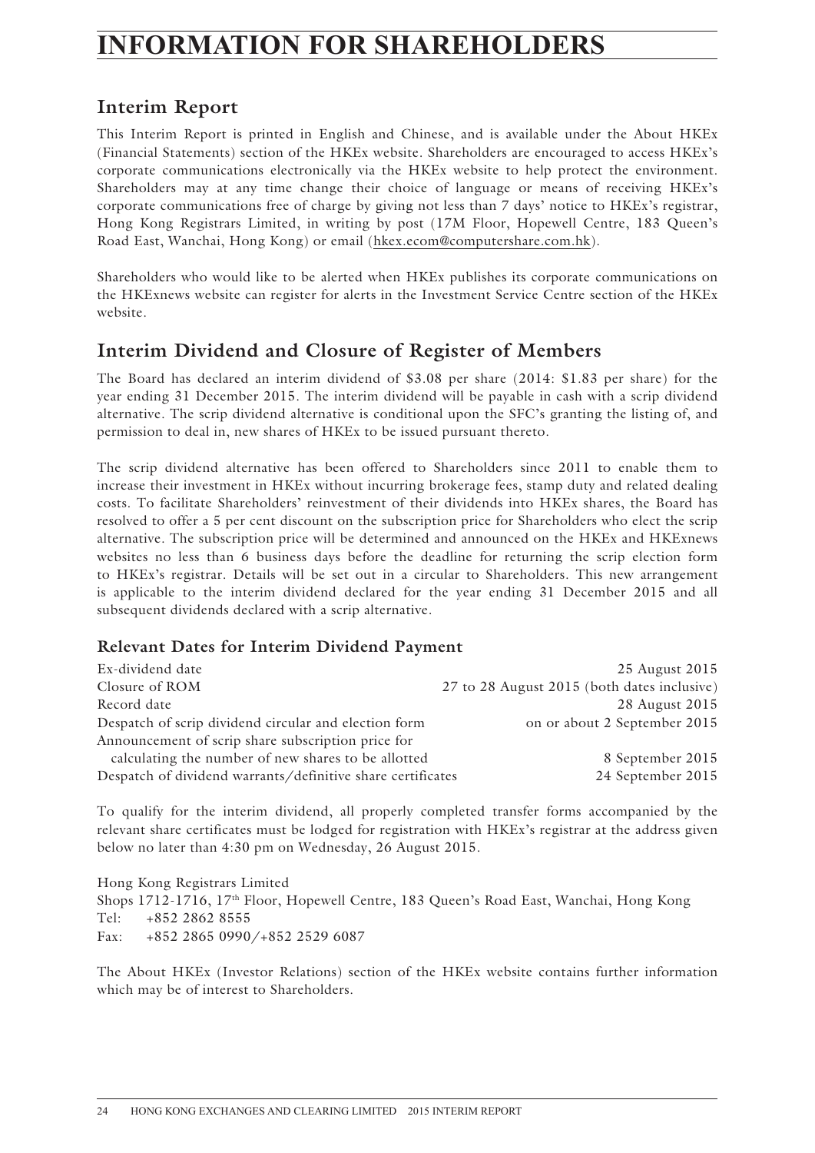## **INFORMATION FOR SHAREHOLDERS**

## **Interim Report**

This Interim Report is printed in English and Chinese, and is available under the About HKEx (Financial Statements) section of the HKEx website. Shareholders are encouraged to access HKEx's corporate communications electronically via the HKEx website to help protect the environment. Shareholders may at any time change their choice of language or means of receiving HKEx's corporate communications free of charge by giving not less than 7 days' notice to HKEx's registrar, Hong Kong Registrars Limited, in writing by post (17M Floor, Hopewell Centre, 183 Queen's Road East, Wanchai, Hong Kong) or email (hkex.ecom@computershare.com.hk).

Shareholders who would like to be alerted when HKEx publishes its corporate communications on the HKExnews website can register for alerts in the Investment Service Centre section of the HKEx website.

## **Interim Dividend and Closure of Register of Members**

The Board has declared an interim dividend of \$3.08 per share (2014: \$1.83 per share) for the year ending 31 December 2015. The interim dividend will be payable in cash with a scrip dividend alternative. The scrip dividend alternative is conditional upon the SFC's granting the listing of, and permission to deal in, new shares of HKEx to be issued pursuant thereto.

The scrip dividend alternative has been offered to Shareholders since 2011 to enable them to increase their investment in HKEx without incurring brokerage fees, stamp duty and related dealing costs. To facilitate Shareholders' reinvestment of their dividends into HKEx shares, the Board has resolved to offer a 5 per cent discount on the subscription price for Shareholders who elect the scrip alternative. The subscription price will be determined and announced on the HKEx and HKExnews websites no less than 6 business days before the deadline for returning the scrip election form to HKEx's registrar. Details will be set out in a circular to Shareholders. This new arrangement is applicable to the interim dividend declared for the year ending 31 December 2015 and all subsequent dividends declared with a scrip alternative.

### **Relevant Dates for Interim Dividend Payment**

| Ex-dividend date                                            | 25 August 2015                              |
|-------------------------------------------------------------|---------------------------------------------|
| Closure of ROM                                              | 27 to 28 August 2015 (both dates inclusive) |
| Record date                                                 | 28 August 2015                              |
| Despatch of scrip dividend circular and election form       | on or about 2 September 2015                |
| Announcement of scrip share subscription price for          |                                             |
| calculating the number of new shares to be allotted         | 8 September 2015                            |
| Despatch of dividend warrants/definitive share certificates | 24 September 2015                           |

To qualify for the interim dividend, all properly completed transfer forms accompanied by the relevant share certificates must be lodged for registration with HKEx's registrar at the address given below no later than 4:30 pm on Wednesday, 26 August 2015.

Hong Kong Registrars Limited Shops 1712-1716, 17th Floor, Hopewell Centre, 183 Queen's Road East, Wanchai, Hong Kong Tel: +852 2862 8555 Fax: +852 2865 0990/+852 2529 6087

The About HKEx (Investor Relations) section of the HKEx website contains further information which may be of interest to Shareholders.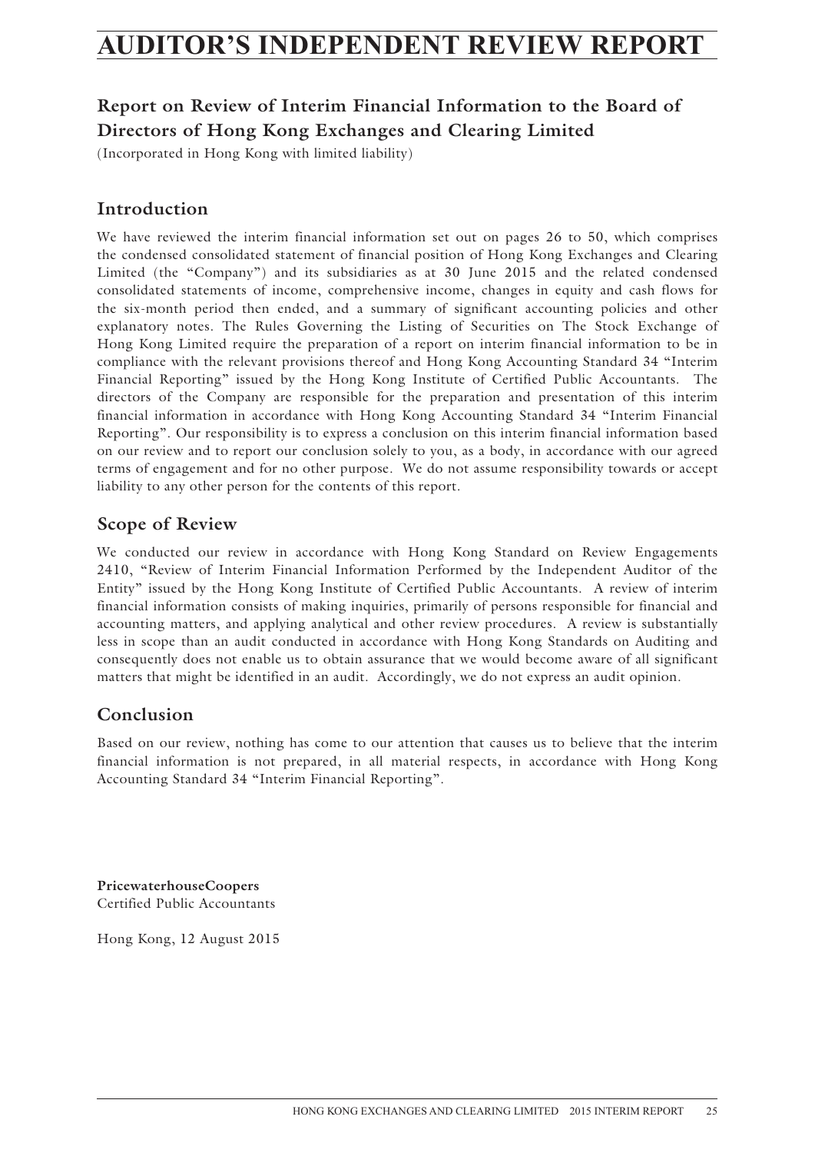## **AUDITOR'S INDEPENDENT REVIEW REPORT**

## **Report on Review of Interim Financial Information to the Board of Directors of Hong Kong Exchanges and Clearing Limited**

(Incorporated in Hong Kong with limited liability)

## **Introduction**

We have reviewed the interim financial information set out on pages 26 to 50, which comprises the condensed consolidated statement of financial position of Hong Kong Exchanges and Clearing Limited (the "Company") and its subsidiaries as at 30 June 2015 and the related condensed consolidated statements of income, comprehensive income, changes in equity and cash flows for the six-month period then ended, and a summary of significant accounting policies and other explanatory notes. The Rules Governing the Listing of Securities on The Stock Exchange of Hong Kong Limited require the preparation of a report on interim financial information to be in compliance with the relevant provisions thereof and Hong Kong Accounting Standard 34 "Interim Financial Reporting" issued by the Hong Kong Institute of Certified Public Accountants. The directors of the Company are responsible for the preparation and presentation of this interim financial information in accordance with Hong Kong Accounting Standard 34 "Interim Financial Reporting". Our responsibility is to express a conclusion on this interim financial information based on our review and to report our conclusion solely to you, as a body, in accordance with our agreed terms of engagement and for no other purpose. We do not assume responsibility towards or accept liability to any other person for the contents of this report.

### **Scope of Review**

We conducted our review in accordance with Hong Kong Standard on Review Engagements 2410, "Review of Interim Financial Information Performed by the Independent Auditor of the Entity" issued by the Hong Kong Institute of Certified Public Accountants. A review of interim financial information consists of making inquiries, primarily of persons responsible for financial and accounting matters, and applying analytical and other review procedures. A review is substantially less in scope than an audit conducted in accordance with Hong Kong Standards on Auditing and consequently does not enable us to obtain assurance that we would become aware of all significant matters that might be identified in an audit. Accordingly, we do not express an audit opinion.

### **Conclusion**

Based on our review, nothing has come to our attention that causes us to believe that the interim financial information is not prepared, in all material respects, in accordance with Hong Kong Accounting Standard 34 "Interim Financial Reporting".

**PricewaterhouseCoopers** Certified Public Accountants

Hong Kong, 12 August 2015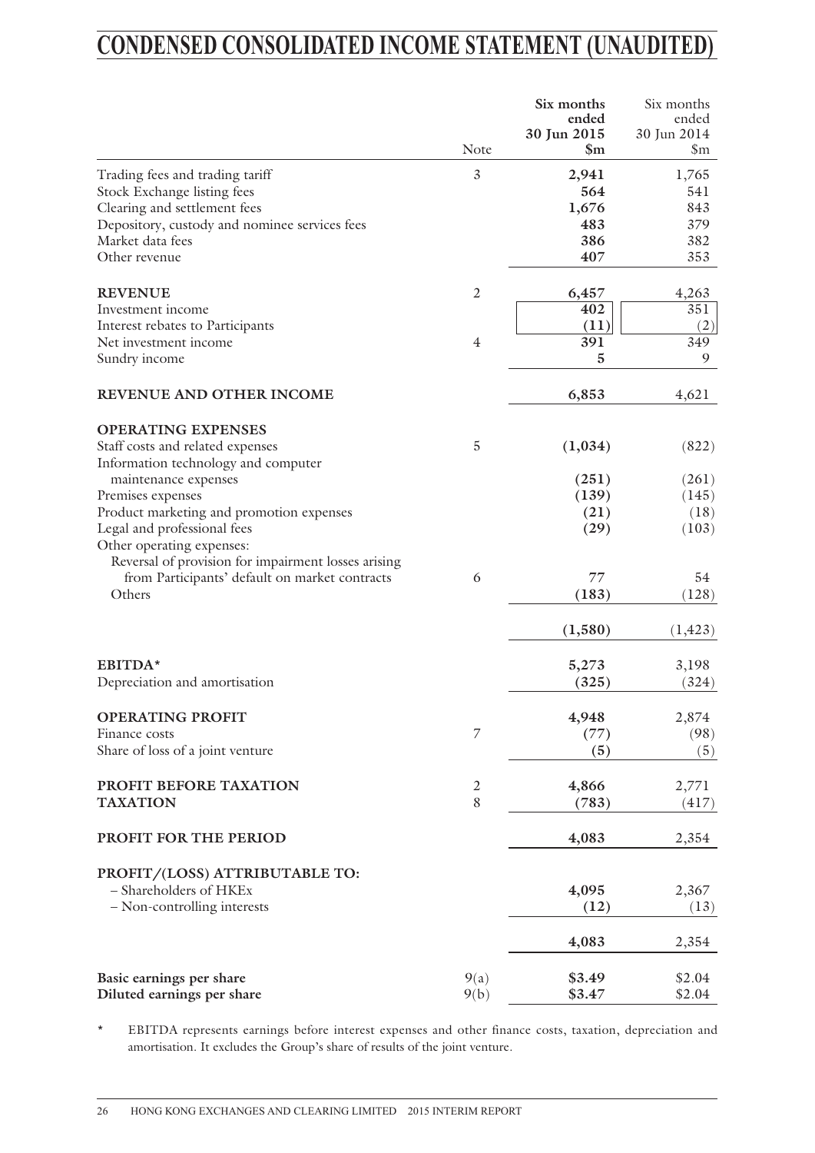## **CONDENSED CONSOLIDATED INCOME STATEMENT (UNAUDITED)**

|                                                                         |                | Six months<br>ended<br>30 Jun 2015 | Six months<br>ended<br>30 Jun 2014 |
|-------------------------------------------------------------------------|----------------|------------------------------------|------------------------------------|
|                                                                         | Note           | $\mathbb{S}_{\mathrm{m}}$          | $\mathfrak{S}_{m}$                 |
| Trading fees and trading tariff                                         | 3              | 2,941                              | 1,765                              |
| Stock Exchange listing fees                                             |                | 564                                | 541                                |
| Clearing and settlement fees                                            |                | 1,676                              | 843                                |
| Depository, custody and nominee services fees                           |                | 483                                | 379                                |
| Market data fees                                                        |                | 386                                | 382                                |
| Other revenue                                                           |                | 407                                | 353                                |
| <b>REVENUE</b>                                                          | $\mathfrak{2}$ | 6,457                              | 4,263                              |
| Investment income                                                       |                | 402                                | 351                                |
| Interest rebates to Participants                                        |                | (11)                               | (2)                                |
| Net investment income                                                   | $\overline{4}$ | 391                                | 349                                |
| Sundry income                                                           |                | 5                                  | 9                                  |
| REVENUE AND OTHER INCOME                                                |                | 6,853                              | 4,621                              |
| <b>OPERATING EXPENSES</b>                                               |                |                                    |                                    |
| Staff costs and related expenses<br>Information technology and computer | 5              | (1,034)                            | (822)                              |
| maintenance expenses                                                    |                | (251)                              | (261)                              |
| Premises expenses                                                       |                | (139)                              | (145)                              |
|                                                                         |                | (21)                               |                                    |
| Product marketing and promotion expenses                                |                |                                    | (18)                               |
| Legal and professional fees                                             |                | (29)                               | (103)                              |
| Other operating expenses:                                               |                |                                    |                                    |
| Reversal of provision for impairment losses arising                     |                |                                    |                                    |
| from Participants' default on market contracts                          | 6              | 77                                 | 54                                 |
| Others                                                                  |                | (183)                              | (128)                              |
|                                                                         |                | (1,580)                            | (1, 423)                           |
| EBITDA*                                                                 |                | 5,273                              | 3,198                              |
| Depreciation and amortisation                                           |                | (325)                              | (324)                              |
|                                                                         |                |                                    |                                    |
| <b>OPERATING PROFIT</b>                                                 |                | 4,948                              | 2,874                              |
| Finance costs                                                           | $\overline{7}$ | (77)                               | (98)                               |
| Share of loss of a joint venture                                        |                | (5)                                | (5)                                |
| PROFIT BEFORE TAXATION                                                  | $\mathfrak{2}$ | 4,866                              | 2,771                              |
| <b>TAXATION</b>                                                         | 8              | (783)                              | (417)                              |
| PROFIT FOR THE PERIOD                                                   |                | 4,083                              | 2,354                              |
| PROFIT/(LOSS) ATTRIBUTABLE TO:                                          |                |                                    |                                    |
| - Shareholders of HKEx                                                  |                | 4,095                              | 2,367                              |
| - Non-controlling interests                                             |                | (12)                               | (13)                               |
|                                                                         |                | 4,083                              | 2,354                              |
| Basic earnings per share                                                | 9(a)           | \$3.49                             | \$2.04                             |
| Diluted earnings per share                                              | 9(b)           | \$3.47                             | \$2.04                             |

\* EBITDA represents earnings before interest expenses and other finance costs, taxation, depreciation and amortisation. It excludes the Group's share of results of the joint venture.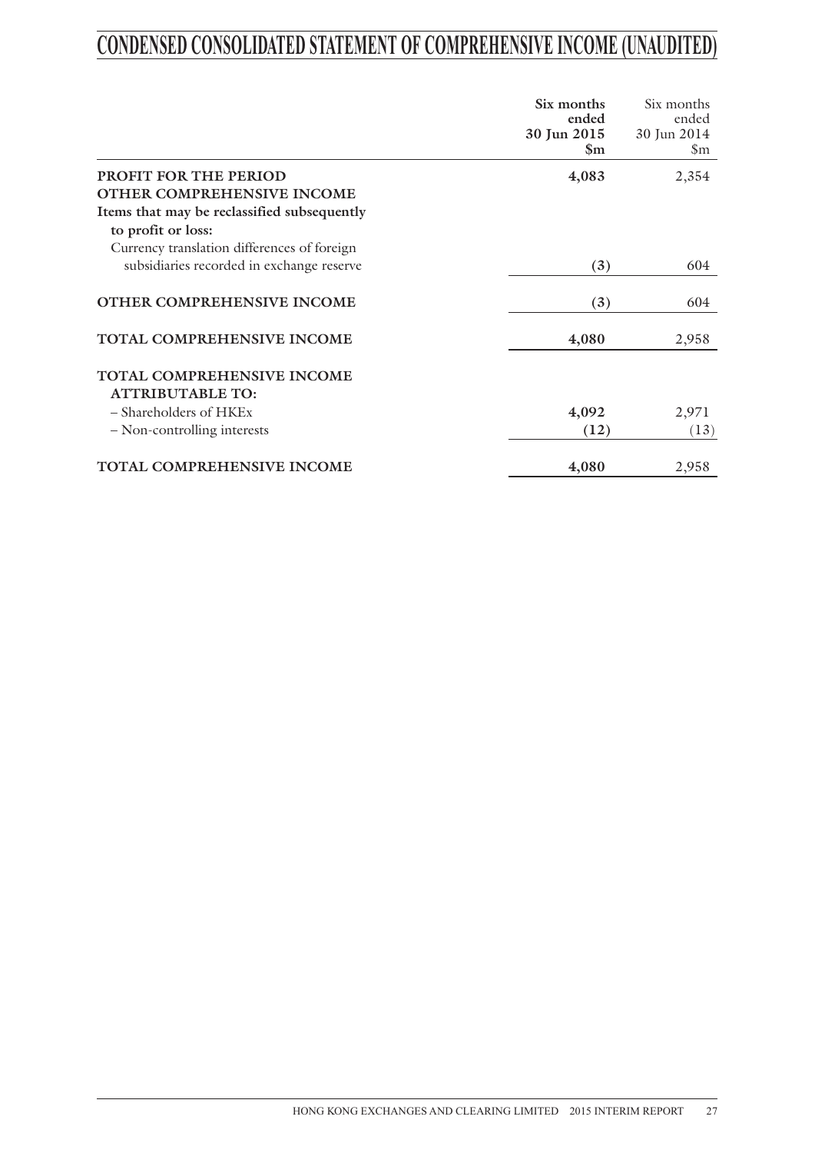## **CONDENSED CONSOLIDATED STATEMENT OF COMPREHENSIVE INCOME (UNAUDITED)**

|                                             | Six months              | Six months                |
|---------------------------------------------|-------------------------|---------------------------|
|                                             | ended                   | ended                     |
|                                             | 30 Jun 2015             | 30 Jun 2014               |
|                                             | $\mathbb{S}_{\text{m}}$ | $\mathbb{S}_{\mathrm{m}}$ |
| PROFIT FOR THE PERIOD                       | 4,083                   | 2,354                     |
| OTHER COMPREHENSIVE INCOME                  |                         |                           |
| Items that may be reclassified subsequently |                         |                           |
| to profit or loss:                          |                         |                           |
| Currency translation differences of foreign |                         |                           |
| subsidiaries recorded in exchange reserve   | (3)                     | 604                       |
| OTHER COMPREHENSIVE INCOME                  | (3)                     | 604                       |
| TOTAL COMPREHENSIVE INCOME                  | 4,080                   | 2,958                     |
| TOTAL COMPREHENSIVE INCOME                  |                         |                           |
| <b>ATTRIBUTABLE TO:</b>                     |                         |                           |
| $-$ Shareholders of $HKEx$                  | 4,092                   | 2,971                     |
| - Non-controlling interests                 | (12)                    | (13)                      |
| <b>TOTAL COMPREHENSIVE INCOME</b>           | 4,080                   | 2,958                     |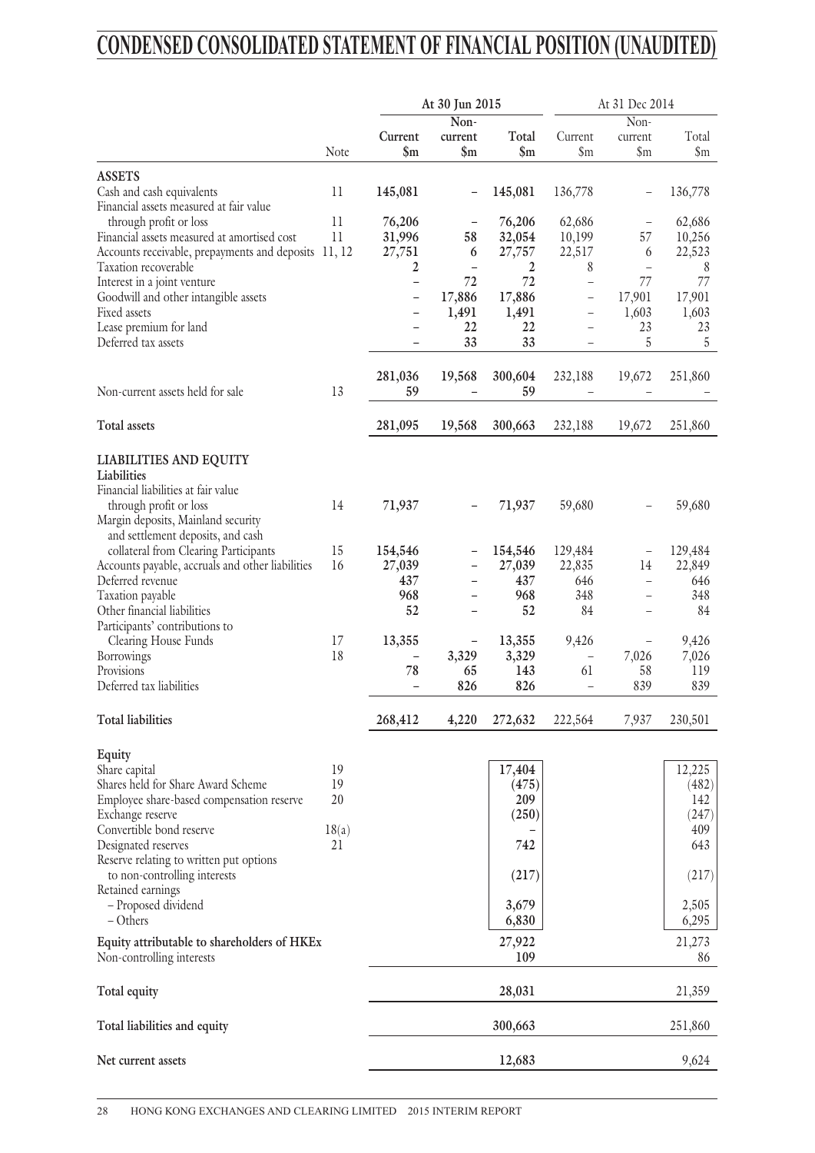## **CONDENSED CONSOLIDATED STATEMENT OF FINANCIAL POSITION (UNAUDITED)**

| Non-<br>$\overline{\text{Non-}}$<br>Current<br>Total<br>Total<br>Current<br>current<br>current<br>$\mathbf{\$m}$<br>Note<br>$\mathbf{\$m}$<br>$\mathbf{\$m}$<br>$\mathfrak{S}_{m}$<br>$\mathsf{S}_{\mathrm{m}}$<br>$\mathsf{Sm}$<br><b>ASSETS</b><br>Cash and cash equivalents<br>$_{11}$<br>145,081<br>145,081<br>136,778<br>136,778<br>-<br>Financial assets measured at fair value<br>11<br>through profit or loss<br>76,206<br>76,206<br>62,686<br>62,686<br>11<br>31,996<br>10,199<br>Financial assets measured at amortised cost<br>58<br>32,054<br>57<br>10,256<br>Accounts receivable, prepayments and deposits 11, 12<br>6<br>27,757<br>22,517<br>22,523<br>27,751<br>6<br>2<br>Taxation recoverable<br>2<br>8<br>8<br>$\overline{a}$<br>$\overline{\phantom{0}}$<br>72<br>72<br>77<br>Interest in a joint venture<br>77<br>$\overline{\phantom{0}}$<br>$\overline{\phantom{0}}$<br>17,886<br>17,886<br>17,901<br>17,901<br>Goodwill and other intangible assets<br>$\overline{\phantom{0}}$<br>-<br>Fixed assets<br>1,491<br>1,491<br>1,603<br>1,603<br>$\overline{\phantom{0}}$<br>Lease premium for land<br>22<br>22<br>23<br>23<br>33<br>33<br>5<br>Deferred tax assets<br>5<br>$\qquad \qquad -$<br>L.<br>281,036<br>19,568<br>300,604<br>232,188<br>19,672<br>251,860<br>59<br>59<br>Non-current assets held for sale<br>13<br>Total assets<br>281,095<br>19,568<br>300,663<br>232,188<br>19,672<br>251,860<br><b>LIABILITIES AND EQUITY</b><br>Liabilities<br>Financial liabilities at fair value<br>14<br>71,937<br>71,937<br>59,680<br>59,680<br>through profit or loss<br>Margin deposits, Mainland security<br>and settlement deposits, and cash<br>collateral from Clearing Participants<br>15<br>154,546<br>154,546<br>129,484<br>129,484<br>Accounts payable, accruals and other liabilities<br>27,039<br>22,835<br>22,849<br>16<br>27,039<br>14<br>437<br>Deferred revenue<br>437<br>646<br>646<br>$\overline{a}$<br>÷<br>968<br>968<br>348<br>348<br>Taxation payable<br>-<br>$\overline{\phantom{0}}$<br>52<br>52<br>Other financial liabilities<br>84<br>84<br>Participants' contributions to<br>13,355<br>17<br>13,355<br>9,426<br>9,426<br>Clearing House Funds<br>18<br>3,329<br>3,329<br>7,026<br>7,026<br>Borrowings<br>$\overline{\phantom{0}}$<br>Provisions<br>78<br>65<br>143<br>61<br>58<br>119<br>Deferred tax liabilities<br>826<br>826<br>839<br>839<br>$\overline{\phantom{0}}$<br>$\overline{a}$<br><b>Total liabilities</b><br>268,412<br>4,220<br>272,632<br>222,564<br>7,937<br>230,501<br>Equity<br>12,225<br>Share capital<br>19<br>17,404<br>Shares held for Share Award Scheme<br>19<br>(475)<br>(482)<br>20<br>Employee share-based compensation reserve<br>209<br>142<br>(250)<br>(247)<br>Exchange reserve<br>Convertible bond reserve<br>18(a)<br>409<br>Designated reserves<br>21<br>742<br>643<br>Reserve relating to written put options<br>to non-controlling interests<br>(217)<br>(217)<br>Retained earnings<br>- Proposed dividend<br>3,679<br>2,505<br>6,830<br>6,295<br>– Others<br>27,922<br>21,273<br>Equity attributable to shareholders of HKEx<br>109<br>Non-controlling interests<br>86<br>28,031<br>Total equity<br>21,359<br>300,663<br>251,860<br>Total liabilities and equity<br>9,624<br>12,683<br>Net current assets |  | At 30 Jun 2015 | At 31 Dec 2014 |  |  |
|------------------------------------------------------------------------------------------------------------------------------------------------------------------------------------------------------------------------------------------------------------------------------------------------------------------------------------------------------------------------------------------------------------------------------------------------------------------------------------------------------------------------------------------------------------------------------------------------------------------------------------------------------------------------------------------------------------------------------------------------------------------------------------------------------------------------------------------------------------------------------------------------------------------------------------------------------------------------------------------------------------------------------------------------------------------------------------------------------------------------------------------------------------------------------------------------------------------------------------------------------------------------------------------------------------------------------------------------------------------------------------------------------------------------------------------------------------------------------------------------------------------------------------------------------------------------------------------------------------------------------------------------------------------------------------------------------------------------------------------------------------------------------------------------------------------------------------------------------------------------------------------------------------------------------------------------------------------------------------------------------------------------------------------------------------------------------------------------------------------------------------------------------------------------------------------------------------------------------------------------------------------------------------------------------------------------------------------------------------------------------------------------------------------------------------------------------------------------------------------------------------------------------------------------------------------------------------------------------------------------------------------------------------------------------------------------------------------------------------------------------------------------------------------------------------------------------------------------------------------------------------------------------------------------------------------------------------------------------------------------------------------------------------------------------------------------------------------------------------------------------------------------------------------------------------------------------------------------------------------------------------------------------------------------|--|----------------|----------------|--|--|
|                                                                                                                                                                                                                                                                                                                                                                                                                                                                                                                                                                                                                                                                                                                                                                                                                                                                                                                                                                                                                                                                                                                                                                                                                                                                                                                                                                                                                                                                                                                                                                                                                                                                                                                                                                                                                                                                                                                                                                                                                                                                                                                                                                                                                                                                                                                                                                                                                                                                                                                                                                                                                                                                                                                                                                                                                                                                                                                                                                                                                                                                                                                                                                                                                                                                                                |  |                |                |  |  |
|                                                                                                                                                                                                                                                                                                                                                                                                                                                                                                                                                                                                                                                                                                                                                                                                                                                                                                                                                                                                                                                                                                                                                                                                                                                                                                                                                                                                                                                                                                                                                                                                                                                                                                                                                                                                                                                                                                                                                                                                                                                                                                                                                                                                                                                                                                                                                                                                                                                                                                                                                                                                                                                                                                                                                                                                                                                                                                                                                                                                                                                                                                                                                                                                                                                                                                |  |                |                |  |  |
|                                                                                                                                                                                                                                                                                                                                                                                                                                                                                                                                                                                                                                                                                                                                                                                                                                                                                                                                                                                                                                                                                                                                                                                                                                                                                                                                                                                                                                                                                                                                                                                                                                                                                                                                                                                                                                                                                                                                                                                                                                                                                                                                                                                                                                                                                                                                                                                                                                                                                                                                                                                                                                                                                                                                                                                                                                                                                                                                                                                                                                                                                                                                                                                                                                                                                                |  |                |                |  |  |
|                                                                                                                                                                                                                                                                                                                                                                                                                                                                                                                                                                                                                                                                                                                                                                                                                                                                                                                                                                                                                                                                                                                                                                                                                                                                                                                                                                                                                                                                                                                                                                                                                                                                                                                                                                                                                                                                                                                                                                                                                                                                                                                                                                                                                                                                                                                                                                                                                                                                                                                                                                                                                                                                                                                                                                                                                                                                                                                                                                                                                                                                                                                                                                                                                                                                                                |  |                |                |  |  |
|                                                                                                                                                                                                                                                                                                                                                                                                                                                                                                                                                                                                                                                                                                                                                                                                                                                                                                                                                                                                                                                                                                                                                                                                                                                                                                                                                                                                                                                                                                                                                                                                                                                                                                                                                                                                                                                                                                                                                                                                                                                                                                                                                                                                                                                                                                                                                                                                                                                                                                                                                                                                                                                                                                                                                                                                                                                                                                                                                                                                                                                                                                                                                                                                                                                                                                |  |                |                |  |  |
|                                                                                                                                                                                                                                                                                                                                                                                                                                                                                                                                                                                                                                                                                                                                                                                                                                                                                                                                                                                                                                                                                                                                                                                                                                                                                                                                                                                                                                                                                                                                                                                                                                                                                                                                                                                                                                                                                                                                                                                                                                                                                                                                                                                                                                                                                                                                                                                                                                                                                                                                                                                                                                                                                                                                                                                                                                                                                                                                                                                                                                                                                                                                                                                                                                                                                                |  |                |                |  |  |
|                                                                                                                                                                                                                                                                                                                                                                                                                                                                                                                                                                                                                                                                                                                                                                                                                                                                                                                                                                                                                                                                                                                                                                                                                                                                                                                                                                                                                                                                                                                                                                                                                                                                                                                                                                                                                                                                                                                                                                                                                                                                                                                                                                                                                                                                                                                                                                                                                                                                                                                                                                                                                                                                                                                                                                                                                                                                                                                                                                                                                                                                                                                                                                                                                                                                                                |  |                |                |  |  |
|                                                                                                                                                                                                                                                                                                                                                                                                                                                                                                                                                                                                                                                                                                                                                                                                                                                                                                                                                                                                                                                                                                                                                                                                                                                                                                                                                                                                                                                                                                                                                                                                                                                                                                                                                                                                                                                                                                                                                                                                                                                                                                                                                                                                                                                                                                                                                                                                                                                                                                                                                                                                                                                                                                                                                                                                                                                                                                                                                                                                                                                                                                                                                                                                                                                                                                |  |                |                |  |  |
|                                                                                                                                                                                                                                                                                                                                                                                                                                                                                                                                                                                                                                                                                                                                                                                                                                                                                                                                                                                                                                                                                                                                                                                                                                                                                                                                                                                                                                                                                                                                                                                                                                                                                                                                                                                                                                                                                                                                                                                                                                                                                                                                                                                                                                                                                                                                                                                                                                                                                                                                                                                                                                                                                                                                                                                                                                                                                                                                                                                                                                                                                                                                                                                                                                                                                                |  |                |                |  |  |
|                                                                                                                                                                                                                                                                                                                                                                                                                                                                                                                                                                                                                                                                                                                                                                                                                                                                                                                                                                                                                                                                                                                                                                                                                                                                                                                                                                                                                                                                                                                                                                                                                                                                                                                                                                                                                                                                                                                                                                                                                                                                                                                                                                                                                                                                                                                                                                                                                                                                                                                                                                                                                                                                                                                                                                                                                                                                                                                                                                                                                                                                                                                                                                                                                                                                                                |  |                |                |  |  |
|                                                                                                                                                                                                                                                                                                                                                                                                                                                                                                                                                                                                                                                                                                                                                                                                                                                                                                                                                                                                                                                                                                                                                                                                                                                                                                                                                                                                                                                                                                                                                                                                                                                                                                                                                                                                                                                                                                                                                                                                                                                                                                                                                                                                                                                                                                                                                                                                                                                                                                                                                                                                                                                                                                                                                                                                                                                                                                                                                                                                                                                                                                                                                                                                                                                                                                |  |                |                |  |  |
|                                                                                                                                                                                                                                                                                                                                                                                                                                                                                                                                                                                                                                                                                                                                                                                                                                                                                                                                                                                                                                                                                                                                                                                                                                                                                                                                                                                                                                                                                                                                                                                                                                                                                                                                                                                                                                                                                                                                                                                                                                                                                                                                                                                                                                                                                                                                                                                                                                                                                                                                                                                                                                                                                                                                                                                                                                                                                                                                                                                                                                                                                                                                                                                                                                                                                                |  |                |                |  |  |
|                                                                                                                                                                                                                                                                                                                                                                                                                                                                                                                                                                                                                                                                                                                                                                                                                                                                                                                                                                                                                                                                                                                                                                                                                                                                                                                                                                                                                                                                                                                                                                                                                                                                                                                                                                                                                                                                                                                                                                                                                                                                                                                                                                                                                                                                                                                                                                                                                                                                                                                                                                                                                                                                                                                                                                                                                                                                                                                                                                                                                                                                                                                                                                                                                                                                                                |  |                |                |  |  |
|                                                                                                                                                                                                                                                                                                                                                                                                                                                                                                                                                                                                                                                                                                                                                                                                                                                                                                                                                                                                                                                                                                                                                                                                                                                                                                                                                                                                                                                                                                                                                                                                                                                                                                                                                                                                                                                                                                                                                                                                                                                                                                                                                                                                                                                                                                                                                                                                                                                                                                                                                                                                                                                                                                                                                                                                                                                                                                                                                                                                                                                                                                                                                                                                                                                                                                |  |                |                |  |  |
|                                                                                                                                                                                                                                                                                                                                                                                                                                                                                                                                                                                                                                                                                                                                                                                                                                                                                                                                                                                                                                                                                                                                                                                                                                                                                                                                                                                                                                                                                                                                                                                                                                                                                                                                                                                                                                                                                                                                                                                                                                                                                                                                                                                                                                                                                                                                                                                                                                                                                                                                                                                                                                                                                                                                                                                                                                                                                                                                                                                                                                                                                                                                                                                                                                                                                                |  |                |                |  |  |
|                                                                                                                                                                                                                                                                                                                                                                                                                                                                                                                                                                                                                                                                                                                                                                                                                                                                                                                                                                                                                                                                                                                                                                                                                                                                                                                                                                                                                                                                                                                                                                                                                                                                                                                                                                                                                                                                                                                                                                                                                                                                                                                                                                                                                                                                                                                                                                                                                                                                                                                                                                                                                                                                                                                                                                                                                                                                                                                                                                                                                                                                                                                                                                                                                                                                                                |  |                |                |  |  |
|                                                                                                                                                                                                                                                                                                                                                                                                                                                                                                                                                                                                                                                                                                                                                                                                                                                                                                                                                                                                                                                                                                                                                                                                                                                                                                                                                                                                                                                                                                                                                                                                                                                                                                                                                                                                                                                                                                                                                                                                                                                                                                                                                                                                                                                                                                                                                                                                                                                                                                                                                                                                                                                                                                                                                                                                                                                                                                                                                                                                                                                                                                                                                                                                                                                                                                |  |                |                |  |  |
|                                                                                                                                                                                                                                                                                                                                                                                                                                                                                                                                                                                                                                                                                                                                                                                                                                                                                                                                                                                                                                                                                                                                                                                                                                                                                                                                                                                                                                                                                                                                                                                                                                                                                                                                                                                                                                                                                                                                                                                                                                                                                                                                                                                                                                                                                                                                                                                                                                                                                                                                                                                                                                                                                                                                                                                                                                                                                                                                                                                                                                                                                                                                                                                                                                                                                                |  |                |                |  |  |
|                                                                                                                                                                                                                                                                                                                                                                                                                                                                                                                                                                                                                                                                                                                                                                                                                                                                                                                                                                                                                                                                                                                                                                                                                                                                                                                                                                                                                                                                                                                                                                                                                                                                                                                                                                                                                                                                                                                                                                                                                                                                                                                                                                                                                                                                                                                                                                                                                                                                                                                                                                                                                                                                                                                                                                                                                                                                                                                                                                                                                                                                                                                                                                                                                                                                                                |  |                |                |  |  |
|                                                                                                                                                                                                                                                                                                                                                                                                                                                                                                                                                                                                                                                                                                                                                                                                                                                                                                                                                                                                                                                                                                                                                                                                                                                                                                                                                                                                                                                                                                                                                                                                                                                                                                                                                                                                                                                                                                                                                                                                                                                                                                                                                                                                                                                                                                                                                                                                                                                                                                                                                                                                                                                                                                                                                                                                                                                                                                                                                                                                                                                                                                                                                                                                                                                                                                |  |                |                |  |  |
|                                                                                                                                                                                                                                                                                                                                                                                                                                                                                                                                                                                                                                                                                                                                                                                                                                                                                                                                                                                                                                                                                                                                                                                                                                                                                                                                                                                                                                                                                                                                                                                                                                                                                                                                                                                                                                                                                                                                                                                                                                                                                                                                                                                                                                                                                                                                                                                                                                                                                                                                                                                                                                                                                                                                                                                                                                                                                                                                                                                                                                                                                                                                                                                                                                                                                                |  |                |                |  |  |
|                                                                                                                                                                                                                                                                                                                                                                                                                                                                                                                                                                                                                                                                                                                                                                                                                                                                                                                                                                                                                                                                                                                                                                                                                                                                                                                                                                                                                                                                                                                                                                                                                                                                                                                                                                                                                                                                                                                                                                                                                                                                                                                                                                                                                                                                                                                                                                                                                                                                                                                                                                                                                                                                                                                                                                                                                                                                                                                                                                                                                                                                                                                                                                                                                                                                                                |  |                |                |  |  |
|                                                                                                                                                                                                                                                                                                                                                                                                                                                                                                                                                                                                                                                                                                                                                                                                                                                                                                                                                                                                                                                                                                                                                                                                                                                                                                                                                                                                                                                                                                                                                                                                                                                                                                                                                                                                                                                                                                                                                                                                                                                                                                                                                                                                                                                                                                                                                                                                                                                                                                                                                                                                                                                                                                                                                                                                                                                                                                                                                                                                                                                                                                                                                                                                                                                                                                |  |                |                |  |  |
|                                                                                                                                                                                                                                                                                                                                                                                                                                                                                                                                                                                                                                                                                                                                                                                                                                                                                                                                                                                                                                                                                                                                                                                                                                                                                                                                                                                                                                                                                                                                                                                                                                                                                                                                                                                                                                                                                                                                                                                                                                                                                                                                                                                                                                                                                                                                                                                                                                                                                                                                                                                                                                                                                                                                                                                                                                                                                                                                                                                                                                                                                                                                                                                                                                                                                                |  |                |                |  |  |
|                                                                                                                                                                                                                                                                                                                                                                                                                                                                                                                                                                                                                                                                                                                                                                                                                                                                                                                                                                                                                                                                                                                                                                                                                                                                                                                                                                                                                                                                                                                                                                                                                                                                                                                                                                                                                                                                                                                                                                                                                                                                                                                                                                                                                                                                                                                                                                                                                                                                                                                                                                                                                                                                                                                                                                                                                                                                                                                                                                                                                                                                                                                                                                                                                                                                                                |  |                |                |  |  |
|                                                                                                                                                                                                                                                                                                                                                                                                                                                                                                                                                                                                                                                                                                                                                                                                                                                                                                                                                                                                                                                                                                                                                                                                                                                                                                                                                                                                                                                                                                                                                                                                                                                                                                                                                                                                                                                                                                                                                                                                                                                                                                                                                                                                                                                                                                                                                                                                                                                                                                                                                                                                                                                                                                                                                                                                                                                                                                                                                                                                                                                                                                                                                                                                                                                                                                |  |                |                |  |  |
|                                                                                                                                                                                                                                                                                                                                                                                                                                                                                                                                                                                                                                                                                                                                                                                                                                                                                                                                                                                                                                                                                                                                                                                                                                                                                                                                                                                                                                                                                                                                                                                                                                                                                                                                                                                                                                                                                                                                                                                                                                                                                                                                                                                                                                                                                                                                                                                                                                                                                                                                                                                                                                                                                                                                                                                                                                                                                                                                                                                                                                                                                                                                                                                                                                                                                                |  |                |                |  |  |
|                                                                                                                                                                                                                                                                                                                                                                                                                                                                                                                                                                                                                                                                                                                                                                                                                                                                                                                                                                                                                                                                                                                                                                                                                                                                                                                                                                                                                                                                                                                                                                                                                                                                                                                                                                                                                                                                                                                                                                                                                                                                                                                                                                                                                                                                                                                                                                                                                                                                                                                                                                                                                                                                                                                                                                                                                                                                                                                                                                                                                                                                                                                                                                                                                                                                                                |  |                |                |  |  |
|                                                                                                                                                                                                                                                                                                                                                                                                                                                                                                                                                                                                                                                                                                                                                                                                                                                                                                                                                                                                                                                                                                                                                                                                                                                                                                                                                                                                                                                                                                                                                                                                                                                                                                                                                                                                                                                                                                                                                                                                                                                                                                                                                                                                                                                                                                                                                                                                                                                                                                                                                                                                                                                                                                                                                                                                                                                                                                                                                                                                                                                                                                                                                                                                                                                                                                |  |                |                |  |  |
|                                                                                                                                                                                                                                                                                                                                                                                                                                                                                                                                                                                                                                                                                                                                                                                                                                                                                                                                                                                                                                                                                                                                                                                                                                                                                                                                                                                                                                                                                                                                                                                                                                                                                                                                                                                                                                                                                                                                                                                                                                                                                                                                                                                                                                                                                                                                                                                                                                                                                                                                                                                                                                                                                                                                                                                                                                                                                                                                                                                                                                                                                                                                                                                                                                                                                                |  |                |                |  |  |
|                                                                                                                                                                                                                                                                                                                                                                                                                                                                                                                                                                                                                                                                                                                                                                                                                                                                                                                                                                                                                                                                                                                                                                                                                                                                                                                                                                                                                                                                                                                                                                                                                                                                                                                                                                                                                                                                                                                                                                                                                                                                                                                                                                                                                                                                                                                                                                                                                                                                                                                                                                                                                                                                                                                                                                                                                                                                                                                                                                                                                                                                                                                                                                                                                                                                                                |  |                |                |  |  |
|                                                                                                                                                                                                                                                                                                                                                                                                                                                                                                                                                                                                                                                                                                                                                                                                                                                                                                                                                                                                                                                                                                                                                                                                                                                                                                                                                                                                                                                                                                                                                                                                                                                                                                                                                                                                                                                                                                                                                                                                                                                                                                                                                                                                                                                                                                                                                                                                                                                                                                                                                                                                                                                                                                                                                                                                                                                                                                                                                                                                                                                                                                                                                                                                                                                                                                |  |                |                |  |  |
|                                                                                                                                                                                                                                                                                                                                                                                                                                                                                                                                                                                                                                                                                                                                                                                                                                                                                                                                                                                                                                                                                                                                                                                                                                                                                                                                                                                                                                                                                                                                                                                                                                                                                                                                                                                                                                                                                                                                                                                                                                                                                                                                                                                                                                                                                                                                                                                                                                                                                                                                                                                                                                                                                                                                                                                                                                                                                                                                                                                                                                                                                                                                                                                                                                                                                                |  |                |                |  |  |
|                                                                                                                                                                                                                                                                                                                                                                                                                                                                                                                                                                                                                                                                                                                                                                                                                                                                                                                                                                                                                                                                                                                                                                                                                                                                                                                                                                                                                                                                                                                                                                                                                                                                                                                                                                                                                                                                                                                                                                                                                                                                                                                                                                                                                                                                                                                                                                                                                                                                                                                                                                                                                                                                                                                                                                                                                                                                                                                                                                                                                                                                                                                                                                                                                                                                                                |  |                |                |  |  |
|                                                                                                                                                                                                                                                                                                                                                                                                                                                                                                                                                                                                                                                                                                                                                                                                                                                                                                                                                                                                                                                                                                                                                                                                                                                                                                                                                                                                                                                                                                                                                                                                                                                                                                                                                                                                                                                                                                                                                                                                                                                                                                                                                                                                                                                                                                                                                                                                                                                                                                                                                                                                                                                                                                                                                                                                                                                                                                                                                                                                                                                                                                                                                                                                                                                                                                |  |                |                |  |  |
|                                                                                                                                                                                                                                                                                                                                                                                                                                                                                                                                                                                                                                                                                                                                                                                                                                                                                                                                                                                                                                                                                                                                                                                                                                                                                                                                                                                                                                                                                                                                                                                                                                                                                                                                                                                                                                                                                                                                                                                                                                                                                                                                                                                                                                                                                                                                                                                                                                                                                                                                                                                                                                                                                                                                                                                                                                                                                                                                                                                                                                                                                                                                                                                                                                                                                                |  |                |                |  |  |
|                                                                                                                                                                                                                                                                                                                                                                                                                                                                                                                                                                                                                                                                                                                                                                                                                                                                                                                                                                                                                                                                                                                                                                                                                                                                                                                                                                                                                                                                                                                                                                                                                                                                                                                                                                                                                                                                                                                                                                                                                                                                                                                                                                                                                                                                                                                                                                                                                                                                                                                                                                                                                                                                                                                                                                                                                                                                                                                                                                                                                                                                                                                                                                                                                                                                                                |  |                |                |  |  |
|                                                                                                                                                                                                                                                                                                                                                                                                                                                                                                                                                                                                                                                                                                                                                                                                                                                                                                                                                                                                                                                                                                                                                                                                                                                                                                                                                                                                                                                                                                                                                                                                                                                                                                                                                                                                                                                                                                                                                                                                                                                                                                                                                                                                                                                                                                                                                                                                                                                                                                                                                                                                                                                                                                                                                                                                                                                                                                                                                                                                                                                                                                                                                                                                                                                                                                |  |                |                |  |  |
|                                                                                                                                                                                                                                                                                                                                                                                                                                                                                                                                                                                                                                                                                                                                                                                                                                                                                                                                                                                                                                                                                                                                                                                                                                                                                                                                                                                                                                                                                                                                                                                                                                                                                                                                                                                                                                                                                                                                                                                                                                                                                                                                                                                                                                                                                                                                                                                                                                                                                                                                                                                                                                                                                                                                                                                                                                                                                                                                                                                                                                                                                                                                                                                                                                                                                                |  |                |                |  |  |
|                                                                                                                                                                                                                                                                                                                                                                                                                                                                                                                                                                                                                                                                                                                                                                                                                                                                                                                                                                                                                                                                                                                                                                                                                                                                                                                                                                                                                                                                                                                                                                                                                                                                                                                                                                                                                                                                                                                                                                                                                                                                                                                                                                                                                                                                                                                                                                                                                                                                                                                                                                                                                                                                                                                                                                                                                                                                                                                                                                                                                                                                                                                                                                                                                                                                                                |  |                |                |  |  |
|                                                                                                                                                                                                                                                                                                                                                                                                                                                                                                                                                                                                                                                                                                                                                                                                                                                                                                                                                                                                                                                                                                                                                                                                                                                                                                                                                                                                                                                                                                                                                                                                                                                                                                                                                                                                                                                                                                                                                                                                                                                                                                                                                                                                                                                                                                                                                                                                                                                                                                                                                                                                                                                                                                                                                                                                                                                                                                                                                                                                                                                                                                                                                                                                                                                                                                |  |                |                |  |  |
|                                                                                                                                                                                                                                                                                                                                                                                                                                                                                                                                                                                                                                                                                                                                                                                                                                                                                                                                                                                                                                                                                                                                                                                                                                                                                                                                                                                                                                                                                                                                                                                                                                                                                                                                                                                                                                                                                                                                                                                                                                                                                                                                                                                                                                                                                                                                                                                                                                                                                                                                                                                                                                                                                                                                                                                                                                                                                                                                                                                                                                                                                                                                                                                                                                                                                                |  |                |                |  |  |
|                                                                                                                                                                                                                                                                                                                                                                                                                                                                                                                                                                                                                                                                                                                                                                                                                                                                                                                                                                                                                                                                                                                                                                                                                                                                                                                                                                                                                                                                                                                                                                                                                                                                                                                                                                                                                                                                                                                                                                                                                                                                                                                                                                                                                                                                                                                                                                                                                                                                                                                                                                                                                                                                                                                                                                                                                                                                                                                                                                                                                                                                                                                                                                                                                                                                                                |  |                |                |  |  |
|                                                                                                                                                                                                                                                                                                                                                                                                                                                                                                                                                                                                                                                                                                                                                                                                                                                                                                                                                                                                                                                                                                                                                                                                                                                                                                                                                                                                                                                                                                                                                                                                                                                                                                                                                                                                                                                                                                                                                                                                                                                                                                                                                                                                                                                                                                                                                                                                                                                                                                                                                                                                                                                                                                                                                                                                                                                                                                                                                                                                                                                                                                                                                                                                                                                                                                |  |                |                |  |  |
|                                                                                                                                                                                                                                                                                                                                                                                                                                                                                                                                                                                                                                                                                                                                                                                                                                                                                                                                                                                                                                                                                                                                                                                                                                                                                                                                                                                                                                                                                                                                                                                                                                                                                                                                                                                                                                                                                                                                                                                                                                                                                                                                                                                                                                                                                                                                                                                                                                                                                                                                                                                                                                                                                                                                                                                                                                                                                                                                                                                                                                                                                                                                                                                                                                                                                                |  |                |                |  |  |
|                                                                                                                                                                                                                                                                                                                                                                                                                                                                                                                                                                                                                                                                                                                                                                                                                                                                                                                                                                                                                                                                                                                                                                                                                                                                                                                                                                                                                                                                                                                                                                                                                                                                                                                                                                                                                                                                                                                                                                                                                                                                                                                                                                                                                                                                                                                                                                                                                                                                                                                                                                                                                                                                                                                                                                                                                                                                                                                                                                                                                                                                                                                                                                                                                                                                                                |  |                |                |  |  |
|                                                                                                                                                                                                                                                                                                                                                                                                                                                                                                                                                                                                                                                                                                                                                                                                                                                                                                                                                                                                                                                                                                                                                                                                                                                                                                                                                                                                                                                                                                                                                                                                                                                                                                                                                                                                                                                                                                                                                                                                                                                                                                                                                                                                                                                                                                                                                                                                                                                                                                                                                                                                                                                                                                                                                                                                                                                                                                                                                                                                                                                                                                                                                                                                                                                                                                |  |                |                |  |  |
|                                                                                                                                                                                                                                                                                                                                                                                                                                                                                                                                                                                                                                                                                                                                                                                                                                                                                                                                                                                                                                                                                                                                                                                                                                                                                                                                                                                                                                                                                                                                                                                                                                                                                                                                                                                                                                                                                                                                                                                                                                                                                                                                                                                                                                                                                                                                                                                                                                                                                                                                                                                                                                                                                                                                                                                                                                                                                                                                                                                                                                                                                                                                                                                                                                                                                                |  |                |                |  |  |
|                                                                                                                                                                                                                                                                                                                                                                                                                                                                                                                                                                                                                                                                                                                                                                                                                                                                                                                                                                                                                                                                                                                                                                                                                                                                                                                                                                                                                                                                                                                                                                                                                                                                                                                                                                                                                                                                                                                                                                                                                                                                                                                                                                                                                                                                                                                                                                                                                                                                                                                                                                                                                                                                                                                                                                                                                                                                                                                                                                                                                                                                                                                                                                                                                                                                                                |  |                |                |  |  |
|                                                                                                                                                                                                                                                                                                                                                                                                                                                                                                                                                                                                                                                                                                                                                                                                                                                                                                                                                                                                                                                                                                                                                                                                                                                                                                                                                                                                                                                                                                                                                                                                                                                                                                                                                                                                                                                                                                                                                                                                                                                                                                                                                                                                                                                                                                                                                                                                                                                                                                                                                                                                                                                                                                                                                                                                                                                                                                                                                                                                                                                                                                                                                                                                                                                                                                |  |                |                |  |  |
|                                                                                                                                                                                                                                                                                                                                                                                                                                                                                                                                                                                                                                                                                                                                                                                                                                                                                                                                                                                                                                                                                                                                                                                                                                                                                                                                                                                                                                                                                                                                                                                                                                                                                                                                                                                                                                                                                                                                                                                                                                                                                                                                                                                                                                                                                                                                                                                                                                                                                                                                                                                                                                                                                                                                                                                                                                                                                                                                                                                                                                                                                                                                                                                                                                                                                                |  |                |                |  |  |
|                                                                                                                                                                                                                                                                                                                                                                                                                                                                                                                                                                                                                                                                                                                                                                                                                                                                                                                                                                                                                                                                                                                                                                                                                                                                                                                                                                                                                                                                                                                                                                                                                                                                                                                                                                                                                                                                                                                                                                                                                                                                                                                                                                                                                                                                                                                                                                                                                                                                                                                                                                                                                                                                                                                                                                                                                                                                                                                                                                                                                                                                                                                                                                                                                                                                                                |  |                |                |  |  |
|                                                                                                                                                                                                                                                                                                                                                                                                                                                                                                                                                                                                                                                                                                                                                                                                                                                                                                                                                                                                                                                                                                                                                                                                                                                                                                                                                                                                                                                                                                                                                                                                                                                                                                                                                                                                                                                                                                                                                                                                                                                                                                                                                                                                                                                                                                                                                                                                                                                                                                                                                                                                                                                                                                                                                                                                                                                                                                                                                                                                                                                                                                                                                                                                                                                                                                |  |                |                |  |  |
|                                                                                                                                                                                                                                                                                                                                                                                                                                                                                                                                                                                                                                                                                                                                                                                                                                                                                                                                                                                                                                                                                                                                                                                                                                                                                                                                                                                                                                                                                                                                                                                                                                                                                                                                                                                                                                                                                                                                                                                                                                                                                                                                                                                                                                                                                                                                                                                                                                                                                                                                                                                                                                                                                                                                                                                                                                                                                                                                                                                                                                                                                                                                                                                                                                                                                                |  |                |                |  |  |
|                                                                                                                                                                                                                                                                                                                                                                                                                                                                                                                                                                                                                                                                                                                                                                                                                                                                                                                                                                                                                                                                                                                                                                                                                                                                                                                                                                                                                                                                                                                                                                                                                                                                                                                                                                                                                                                                                                                                                                                                                                                                                                                                                                                                                                                                                                                                                                                                                                                                                                                                                                                                                                                                                                                                                                                                                                                                                                                                                                                                                                                                                                                                                                                                                                                                                                |  |                |                |  |  |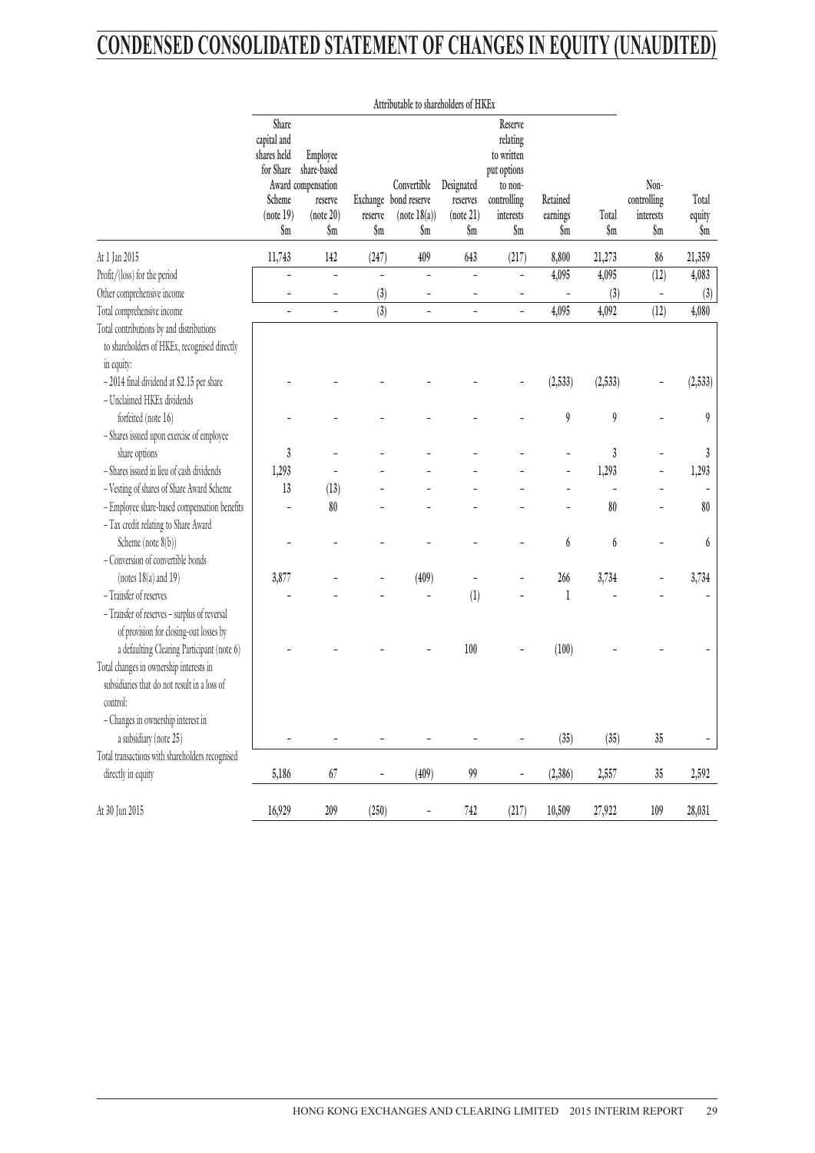## **CONDENSED CONSOLIDATED STATEMENT OF CHANGES IN EQUITY (UNAUDITED)**

|                                                                                                                                                   | Attributable to shareholders of HKEx                                                      |                                                                              |                            |                                                             |                                            |                                                                                                |                             |                         |                                         |                        |
|---------------------------------------------------------------------------------------------------------------------------------------------------|-------------------------------------------------------------------------------------------|------------------------------------------------------------------------------|----------------------------|-------------------------------------------------------------|--------------------------------------------|------------------------------------------------------------------------------------------------|-----------------------------|-------------------------|-----------------------------------------|------------------------|
|                                                                                                                                                   | Share<br>capital and<br>shares held<br>for Share<br>Scheme<br>(note 19)<br>$\mathbf{\$m}$ | Employee<br>share-based<br>Award compensation<br>reserve<br>(note 20)<br>\$m | reserve<br>$\mathbf{\S}$ m | Convertible<br>Exchange bond reserve<br>(note 18(a))<br>\$m | Designated<br>reserves<br>(note 21)<br>\$m | Reserve<br>relating<br>to written<br>put options<br>to non-<br>controlling<br>interests<br>\$m | Retained<br>earnings<br>\$m | Total<br>$\mathbf{\$m}$ | Non-<br>controlling<br>interests<br>\$m | Total<br>equity<br>\$m |
| At 1 Jan 2015                                                                                                                                     | 11,743                                                                                    | 142                                                                          | (247)                      | 409                                                         | 643                                        | (217)                                                                                          | 8,800                       | 21,273                  | 86                                      | 21,359                 |
| Profit/(loss) for the period                                                                                                                      |                                                                                           | $\overline{\phantom{m}}$                                                     | $\overline{\phantom{m}}$   | ÷                                                           | ÷,                                         | $\overline{a}$                                                                                 | 4,095                       | 4,095                   | (12)                                    | 4,083                  |
| Other comprehensive income                                                                                                                        | L,                                                                                        | ÷,                                                                           | (3)                        | ۰                                                           | L.                                         | $\overline{\phantom{a}}$                                                                       |                             | (3)                     |                                         | (3)                    |
| Total comprehensive income                                                                                                                        | L,                                                                                        | $\overline{\phantom{m}}$                                                     | (3)                        | ÷                                                           | $\overline{a}$                             | $\overline{\phantom{0}}$                                                                       | 4,095                       | 4,092                   | (12)                                    | 4,080                  |
| Total contributions by and distributions<br>to shareholders of HKEx, recognised directly<br>in equity:                                            |                                                                                           |                                                                              |                            |                                                             |                                            |                                                                                                |                             |                         |                                         |                        |
| -2014 final dividend at \$2.15 per share<br>- Unclaimed HKEx dividends                                                                            |                                                                                           |                                                                              |                            |                                                             |                                            |                                                                                                | (2, 533)                    | (2, 533)                |                                         | (2, 533)               |
| forfeited (note 16)                                                                                                                               |                                                                                           |                                                                              |                            |                                                             |                                            |                                                                                                | $\boldsymbol{9}$            | $\boldsymbol{9}$        |                                         | 9                      |
| - Shares issued upon exercise of employee                                                                                                         |                                                                                           |                                                                              |                            |                                                             |                                            |                                                                                                |                             |                         |                                         |                        |
| share options                                                                                                                                     | $\boldsymbol{3}$                                                                          |                                                                              |                            |                                                             |                                            |                                                                                                |                             | $\mathfrak{z}$          |                                         | $\boldsymbol{3}$       |
| - Shares issued in lieu of cash dividends                                                                                                         | 1,293                                                                                     |                                                                              |                            |                                                             |                                            |                                                                                                |                             | 1,293                   |                                         | 1,293                  |
| - Vesting of shares of Share Award Scheme                                                                                                         | 13                                                                                        | (13)                                                                         |                            |                                                             |                                            |                                                                                                |                             |                         |                                         |                        |
| - Employee share-based compensation benefits                                                                                                      |                                                                                           | 80                                                                           |                            |                                                             |                                            |                                                                                                |                             | 80                      |                                         | 80                     |
| - Tax credit relating to Share Award                                                                                                              |                                                                                           |                                                                              |                            |                                                             |                                            |                                                                                                |                             |                         |                                         |                        |
| Scheme (note 8(b))                                                                                                                                |                                                                                           |                                                                              |                            |                                                             |                                            |                                                                                                | 6                           | 6                       |                                         | 6                      |
| - Conversion of convertible bonds                                                                                                                 |                                                                                           |                                                                              |                            |                                                             |                                            |                                                                                                |                             |                         |                                         |                        |
| (notes $18(a)$ and $19$ )                                                                                                                         | 3,877                                                                                     |                                                                              |                            | (409)                                                       |                                            |                                                                                                | 266                         | 3,734                   |                                         | 3,734                  |
| - Transfer of reserves                                                                                                                            |                                                                                           |                                                                              |                            |                                                             | (1)                                        |                                                                                                | 1                           |                         |                                         |                        |
| - Transfer of reserves - surplus of reversal<br>of provision for closing-out losses by                                                            |                                                                                           |                                                                              |                            |                                                             |                                            |                                                                                                |                             |                         |                                         |                        |
| a defaulting Clearing Participant (note 6)<br>Total changes in ownership interests in<br>subsidiaries that do not result in a loss of<br>control: |                                                                                           |                                                                              |                            |                                                             | 100                                        |                                                                                                | (100)                       |                         |                                         |                        |
| - Changes in ownership interest in                                                                                                                |                                                                                           |                                                                              |                            |                                                             |                                            |                                                                                                |                             |                         |                                         |                        |
| a subsidiary (note 25)                                                                                                                            | ÷                                                                                         | $\overline{\phantom{0}}$                                                     | $\overline{\phantom{0}}$   | ÷                                                           | -                                          | $\overline{a}$                                                                                 | (35)                        | (35)                    | $35\,$                                  | -                      |
| Total transactions with shareholders recognised                                                                                                   |                                                                                           |                                                                              |                            |                                                             |                                            |                                                                                                |                             |                         |                                         |                        |
| directly in equity                                                                                                                                | 5,186                                                                                     | 67                                                                           | $\overline{\phantom{0}}$   | (409)                                                       | 99                                         | $\overline{\phantom{0}}$                                                                       | (2, 386)                    | 2,557                   | $35\,$                                  | 2,592                  |
| At 30 Jun 2015                                                                                                                                    | 16,929                                                                                    | $209$                                                                        | (250)                      | $\overline{\phantom{a}}$                                    | $742\,$                                    | (217)                                                                                          | 10,509                      | 27,922                  | $109$                                   | 28,031                 |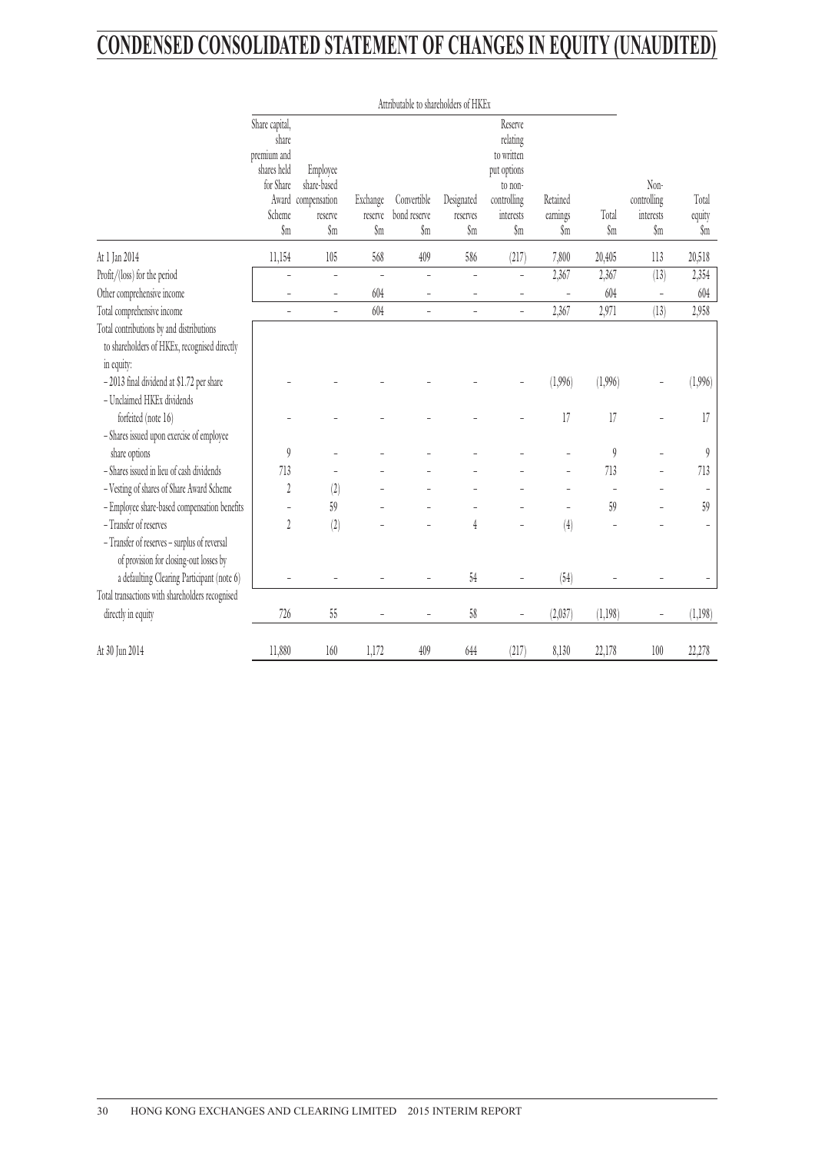## **CONDENSED CONSOLIDATED STATEMENT OF CHANGES IN EQUITY (UNAUDITED)**

|                                                 | Attributable to shareholders of HKEx                                                           |                                                                 |                                       |                                               |                               |                                                                                                |                             |              |                                         |                        |
|-------------------------------------------------|------------------------------------------------------------------------------------------------|-----------------------------------------------------------------|---------------------------------------|-----------------------------------------------|-------------------------------|------------------------------------------------------------------------------------------------|-----------------------------|--------------|-----------------------------------------|------------------------|
|                                                 | Share capital,<br>share<br>premium and<br>shares held<br>for Share<br>Scheme<br>$\mathfrak{m}$ | Employee<br>share-based<br>Award compensation<br>reserve<br>\$m | Exchange<br>reserve<br>$\mathfrak{m}$ | Convertible<br>bond reserve<br>$\mathfrak{m}$ | Designated<br>reserves<br>\$m | Reserve<br>relating<br>to written<br>put options<br>to non-<br>controlling<br>interests<br>\$m | Retained<br>earnings<br>\$m | Total<br>\$m | Non-<br>controlling<br>interests<br>\$m | Total<br>equity<br>\$m |
| At 1 Jan 2014                                   | 11,154                                                                                         | 105                                                             | 568                                   | 409                                           | 586                           | (217)                                                                                          | 7,800                       | 20,405       | 113                                     | 20,518                 |
| Profit/(loss) for the period                    | $\overline{a}$                                                                                 | $\overline{a}$                                                  | $\overline{a}$                        | $\overline{a}$                                | $\frac{1}{2}$                 | $\frac{1}{2}$                                                                                  | 2,367                       | 2,367        | (13)                                    | 2,354                  |
| Other comprehensive income                      | $\overline{a}$                                                                                 | $\qquad \qquad -$                                               | 604                                   |                                               | L,                            |                                                                                                |                             | 604          |                                         | 604                    |
| Total comprehensive income                      | $\overline{\phantom{a}}$                                                                       | $\overline{\phantom{0}}$                                        | 604                                   | $\overline{a}$                                | $\overline{a}$                | $\overline{a}$                                                                                 | 2,367                       | 2,971        | (13)                                    | 2,958                  |
| Total contributions by and distributions        |                                                                                                |                                                                 |                                       |                                               |                               |                                                                                                |                             |              |                                         |                        |
| to shareholders of HKEx, recognised directly    |                                                                                                |                                                                 |                                       |                                               |                               |                                                                                                |                             |              |                                         |                        |
| in equity:                                      |                                                                                                |                                                                 |                                       |                                               |                               |                                                                                                |                             |              |                                         |                        |
| - 2013 final dividend at \$1.72 per share       |                                                                                                |                                                                 |                                       |                                               |                               |                                                                                                | (1,996)                     | (1,996)      |                                         | (1,996)                |
| - Unclaimed HKEx dividends                      |                                                                                                |                                                                 |                                       |                                               |                               |                                                                                                |                             |              |                                         |                        |
| forfeited (note 16)                             |                                                                                                |                                                                 |                                       |                                               |                               |                                                                                                | 17                          | 17           | $\overline{a}$                          | 17                     |
| - Shares issued upon exercise of employee       |                                                                                                |                                                                 |                                       |                                               |                               |                                                                                                |                             |              |                                         |                        |
| share options                                   | $\theta$                                                                                       |                                                                 |                                       |                                               |                               |                                                                                                |                             | 9            |                                         | $\boldsymbol{9}$       |
| - Shares issued in lieu of cash dividends       | 713                                                                                            |                                                                 |                                       |                                               |                               |                                                                                                |                             | 713          |                                         | 713                    |
| - Vesting of shares of Share Award Scheme       | $\sqrt{2}$                                                                                     | (2)                                                             |                                       |                                               |                               |                                                                                                |                             |              |                                         |                        |
| - Employee share-based compensation benefits    | $\overline{\phantom{a}}$                                                                       | 59                                                              |                                       |                                               |                               |                                                                                                | $\overline{a}$              | 59           |                                         | 59                     |
| - Transfer of reserves                          | $\overline{2}$                                                                                 | (2)                                                             |                                       |                                               | 4                             |                                                                                                | (4)                         |              |                                         | $\overline{a}$         |
| - Transfer of reserves - surplus of reversal    |                                                                                                |                                                                 |                                       |                                               |                               |                                                                                                |                             |              |                                         |                        |
| of provision for closing-out losses by          |                                                                                                |                                                                 |                                       |                                               |                               |                                                                                                |                             |              |                                         |                        |
| a defaulting Clearing Participant (note 6)      |                                                                                                |                                                                 |                                       |                                               | $54\,$                        | $\overline{a}$                                                                                 | (54)                        |              |                                         | $\qquad \qquad -$      |
| Total transactions with shareholders recognised |                                                                                                |                                                                 |                                       |                                               |                               |                                                                                                |                             |              |                                         |                        |
| directly in equity                              | 726                                                                                            | $55\,$                                                          |                                       |                                               | $58$                          |                                                                                                | (2,037)                     | (1,198)      | $\overline{a}$                          | (1,198)                |
| At 30 Jun 2014                                  | 11,880                                                                                         | 160                                                             | 1,172                                 | 409                                           | 644                           | (217)                                                                                          | 8,130                       | 22,178       | 100                                     | 22,278                 |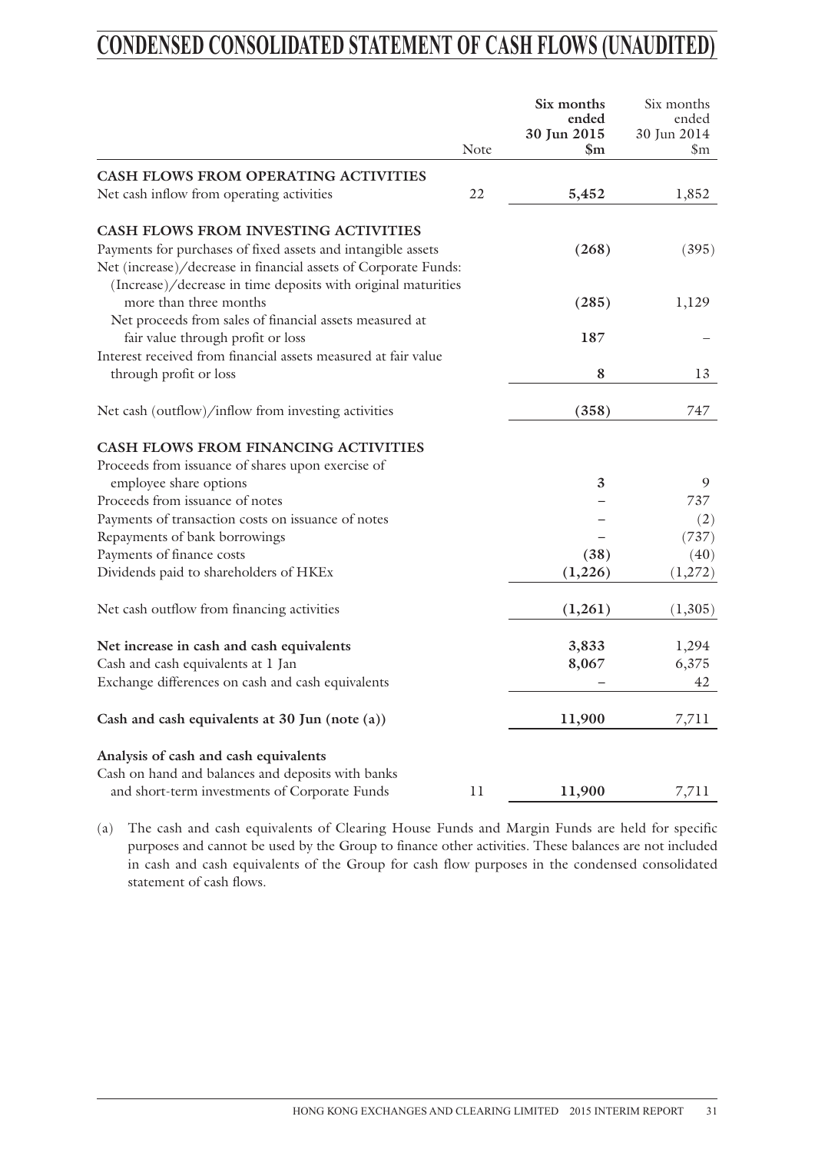## **CONDENSED CONSOLIDATED STATEMENT OF CASH FLOWS (UNAUDITED)**

|                                                                 | Note | Six months<br>ended<br>30 Jun 2015<br>\$m | Six months<br>ended<br>30 Jun 2014<br>$\mathbb{S}_{\mathrm{m}}$ |
|-----------------------------------------------------------------|------|-------------------------------------------|-----------------------------------------------------------------|
| <b>CASH FLOWS FROM OPERATING ACTIVITIES</b>                     |      |                                           |                                                                 |
| Net cash inflow from operating activities                       | 22   | 5,452                                     | 1,852                                                           |
| CASH FLOWS FROM INVESTING ACTIVITIES                            |      |                                           |                                                                 |
| Payments for purchases of fixed assets and intangible assets    |      | (268)                                     | (395)                                                           |
| Net (increase)/decrease in financial assets of Corporate Funds: |      |                                           |                                                                 |
| (Increase)/decrease in time deposits with original maturities   |      |                                           |                                                                 |
| more than three months                                          |      | (285)                                     | 1,129                                                           |
| Net proceeds from sales of financial assets measured at         |      |                                           |                                                                 |
| fair value through profit or loss                               |      | 187                                       |                                                                 |
| Interest received from financial assets measured at fair value  |      |                                           |                                                                 |
| through profit or loss                                          |      | 8                                         | 13                                                              |
| Net cash (outflow)/inflow from investing activities             |      | (358)                                     | 747                                                             |
| CASH FLOWS FROM FINANCING ACTIVITIES                            |      |                                           |                                                                 |
| Proceeds from issuance of shares upon exercise of               |      |                                           |                                                                 |
| employee share options                                          |      | 3                                         | 9                                                               |
| Proceeds from issuance of notes                                 |      |                                           | 737                                                             |
| Payments of transaction costs on issuance of notes              |      |                                           | (2)                                                             |
| Repayments of bank borrowings                                   |      |                                           | (737)                                                           |
| Payments of finance costs                                       |      | (38)                                      | (40)                                                            |
| Dividends paid to shareholders of HKEx                          |      | (1,226)                                   | (1,272)                                                         |
|                                                                 |      |                                           |                                                                 |
| Net cash outflow from financing activities                      |      | (1,261)                                   | (1,305)                                                         |
| Net increase in cash and cash equivalents                       |      | 3,833                                     | 1,294                                                           |
| Cash and cash equivalents at 1 Jan                              |      | 8,067                                     | 6,375                                                           |
| Exchange differences on cash and cash equivalents               |      |                                           | 42                                                              |
|                                                                 |      |                                           |                                                                 |
| Cash and cash equivalents at 30 Jun (note (a))                  |      | 11,900                                    | 7,711                                                           |
| Analysis of cash and cash equivalents                           |      |                                           |                                                                 |
| Cash on hand and balances and deposits with banks               |      |                                           |                                                                 |
| and short-term investments of Corporate Funds                   | 11   | 11,900                                    | 7,711                                                           |

(a) The cash and cash equivalents of Clearing House Funds and Margin Funds are held for specific purposes and cannot be used by the Group to finance other activities. These balances are not included in cash and cash equivalents of the Group for cash flow purposes in the condensed consolidated statement of cash flows.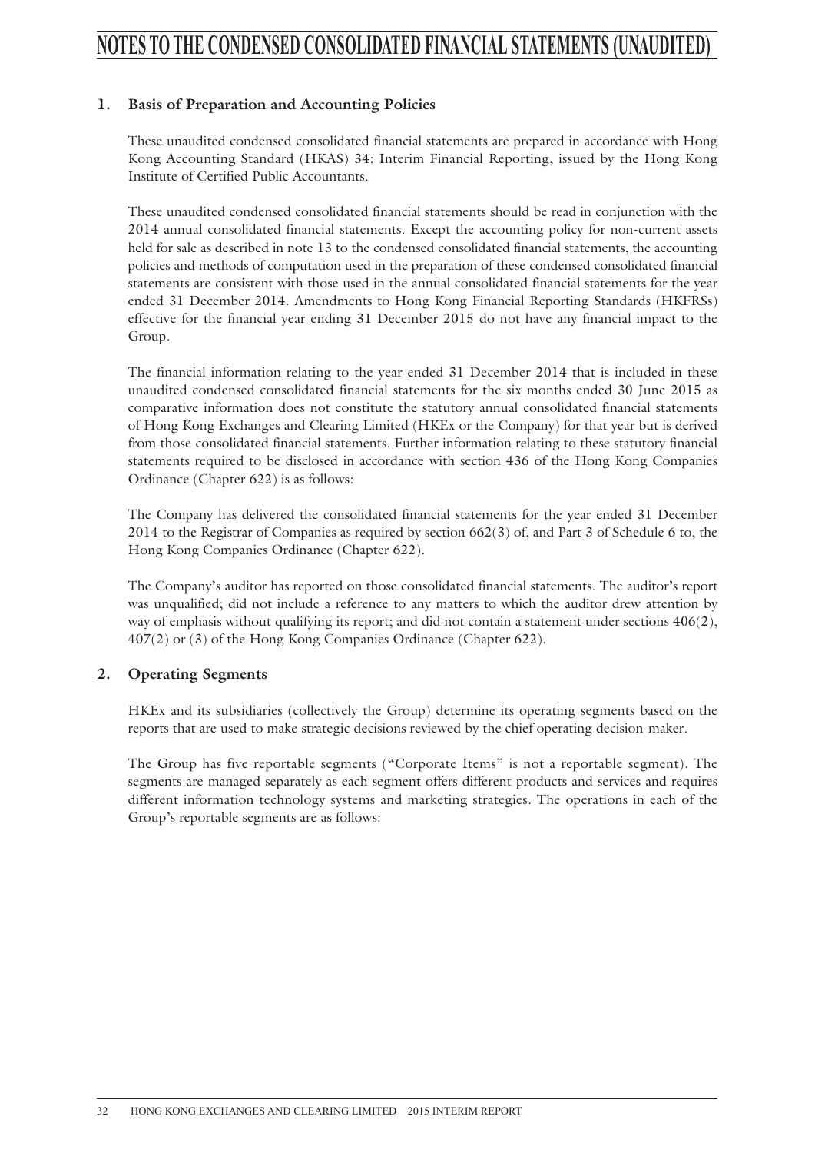## **NOTES TO THE CONDENSED CONSOLIDATED FINANCIAL STATEMENTS (UNAUDITED)**

### **1. Basis of Preparation and Accounting Policies**

These unaudited condensed consolidated financial statements are prepared in accordance with Hong Kong Accounting Standard (HKAS) 34: Interim Financial Reporting, issued by the Hong Kong Institute of Certified Public Accountants.

These unaudited condensed consolidated financial statements should be read in conjunction with the 2014 annual consolidated financial statements. Except the accounting policy for non-current assets held for sale as described in note 13 to the condensed consolidated financial statements, the accounting policies and methods of computation used in the preparation of these condensed consolidated financial statements are consistent with those used in the annual consolidated financial statements for the year ended 31 December 2014. Amendments to Hong Kong Financial Reporting Standards (HKFRSs) effective for the financial year ending 31 December 2015 do not have any financial impact to the Group.

The financial information relating to the year ended 31 December 2014 that is included in these unaudited condensed consolidated financial statements for the six months ended 30 June 2015 as comparative information does not constitute the statutory annual consolidated financial statements of Hong Kong Exchanges and Clearing Limited (HKEx or the Company) for that year but is derived from those consolidated financial statements. Further information relating to these statutory financial statements required to be disclosed in accordance with section 436 of the Hong Kong Companies Ordinance (Chapter 622) is as follows:

The Company has delivered the consolidated financial statements for the year ended 31 December 2014 to the Registrar of Companies as required by section 662(3) of, and Part 3 of Schedule 6 to, the Hong Kong Companies Ordinance (Chapter 622).

The Company's auditor has reported on those consolidated financial statements. The auditor's report was unqualified; did not include a reference to any matters to which the auditor drew attention by way of emphasis without qualifying its report; and did not contain a statement under sections 406(2), 407(2) or (3) of the Hong Kong Companies Ordinance (Chapter 622).

### **2. Operating Segments**

HKEx and its subsidiaries (collectively the Group) determine its operating segments based on the reports that are used to make strategic decisions reviewed by the chief operating decision-maker.

The Group has five reportable segments ("Corporate Items" is not a reportable segment). The segments are managed separately as each segment offers different products and services and requires different information technology systems and marketing strategies. The operations in each of the Group's reportable segments are as follows: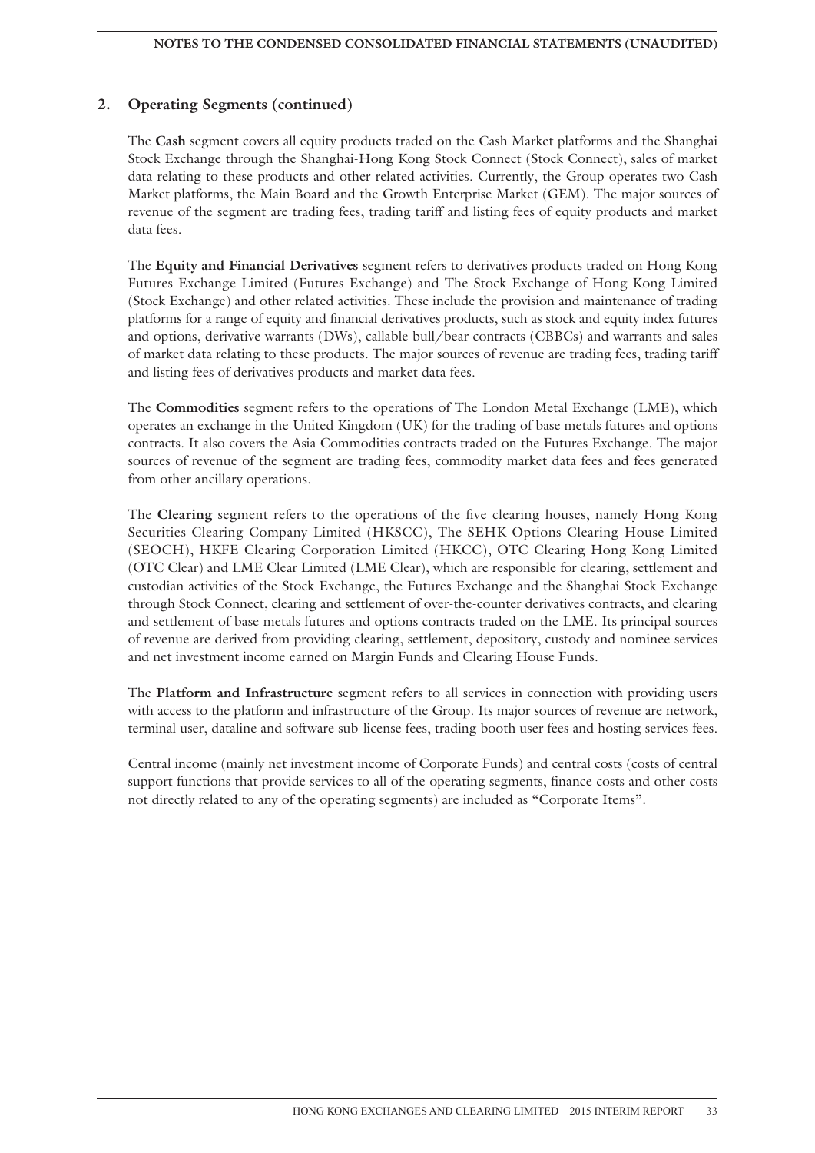### **2. Operating Segments (continued)**

The **Cash** segment covers all equity products traded on the Cash Market platforms and the Shanghai Stock Exchange through the Shanghai-Hong Kong Stock Connect (Stock Connect), sales of market data relating to these products and other related activities. Currently, the Group operates two Cash Market platforms, the Main Board and the Growth Enterprise Market (GEM). The major sources of revenue of the segment are trading fees, trading tariff and listing fees of equity products and market data fees.

The **Equity and Financial Derivatives** segment refers to derivatives products traded on Hong Kong Futures Exchange Limited (Futures Exchange) and The Stock Exchange of Hong Kong Limited (Stock Exchange) and other related activities. These include the provision and maintenance of trading platforms for a range of equity and financial derivatives products, such as stock and equity index futures and options, derivative warrants (DWs), callable bull/bear contracts (CBBCs) and warrants and sales of market data relating to these products. The major sources of revenue are trading fees, trading tariff and listing fees of derivatives products and market data fees.

The **Commodities** segment refers to the operations of The London Metal Exchange (LME), which operates an exchange in the United Kingdom (UK) for the trading of base metals futures and options contracts. It also covers the Asia Commodities contracts traded on the Futures Exchange. The major sources of revenue of the segment are trading fees, commodity market data fees and fees generated from other ancillary operations.

The **Clearing** segment refers to the operations of the five clearing houses, namely Hong Kong Securities Clearing Company Limited (HKSCC), The SEHK Options Clearing House Limited (SEOCH), HKFE Clearing Corporation Limited (HKCC), OTC Clearing Hong Kong Limited (OTC Clear) and LME Clear Limited (LME Clear), which are responsible for clearing, settlement and custodian activities of the Stock Exchange, the Futures Exchange and the Shanghai Stock Exchange through Stock Connect, clearing and settlement of over-the-counter derivatives contracts, and clearing and settlement of base metals futures and options contracts traded on the LME. Its principal sources of revenue are derived from providing clearing, settlement, depository, custody and nominee services and net investment income earned on Margin Funds and Clearing House Funds.

The **Platform and Infrastructure** segment refers to all services in connection with providing users with access to the platform and infrastructure of the Group. Its major sources of revenue are network, terminal user, dataline and software sub-license fees, trading booth user fees and hosting services fees.

Central income (mainly net investment income of Corporate Funds) and central costs (costs of central support functions that provide services to all of the operating segments, finance costs and other costs not directly related to any of the operating segments) are included as "Corporate Items".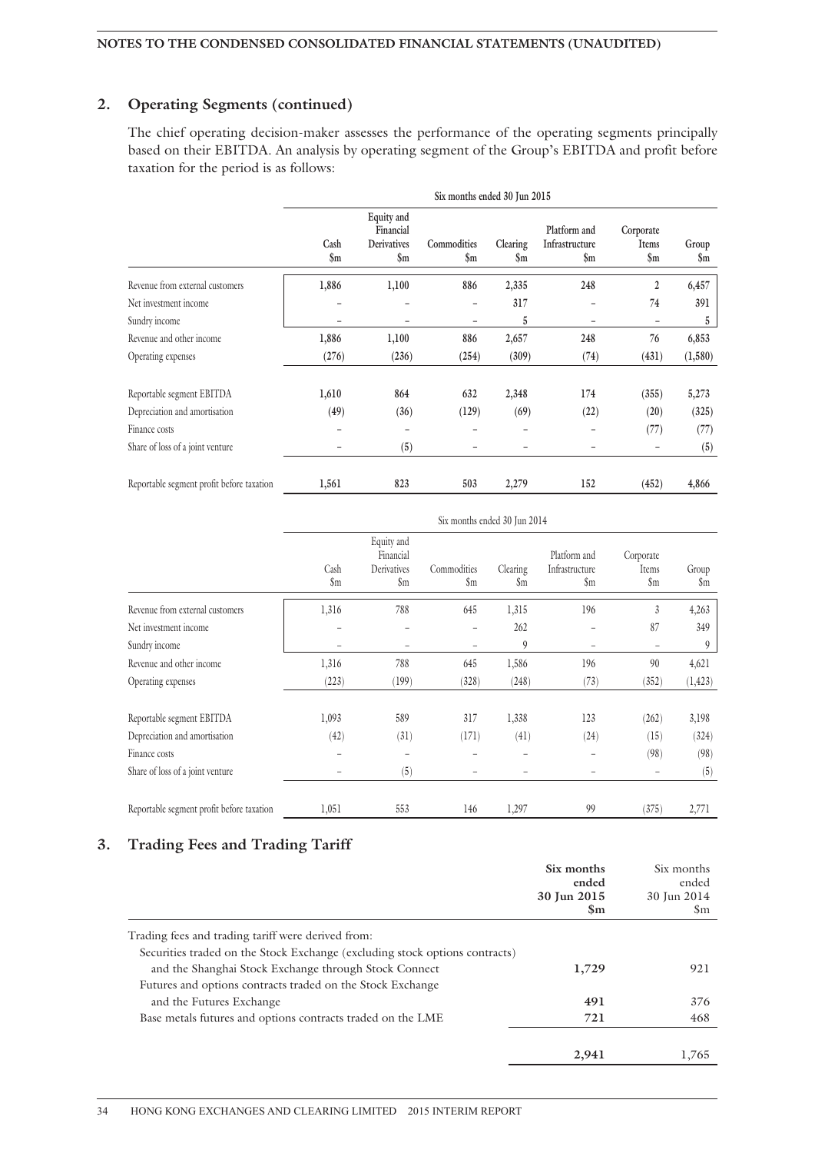### **2. Operating Segments (continued)**

The chief operating decision-maker assesses the performance of the operating segments principally based on their EBITDA. An analysis by operating segment of the Group's EBITDA and profit before taxation for the period is as follows:

|                                           | Six months ended 30 Jun 2015 |                                                           |                                |                            |                                                   |                                       |                         |  |
|-------------------------------------------|------------------------------|-----------------------------------------------------------|--------------------------------|----------------------------|---------------------------------------------------|---------------------------------------|-------------------------|--|
|                                           | Cash<br>\$m                  | Equity and<br>Financial<br>Derivatives<br>$\mathbf{\S}$ m | Commodities<br>$\mathbf{\S}$ m | Clearing<br>$\mathbf{\$m}$ | Platform and<br>Infrastructure<br>$\mathbf{\S}$ m | Corporate<br>Items<br>$\mathbf{\S}$ m | Group<br>$\mathbf{\$m}$ |  |
| Revenue from external customers           | 1,886                        | 1,100                                                     | 886                            | 2,335                      | 248                                               | $\overline{2}$                        | 6,457                   |  |
| Net investment income                     |                              |                                                           |                                | 317                        |                                                   | 74                                    | 391                     |  |
| Sundry income                             |                              | -                                                         |                                | 5                          |                                                   |                                       | 5                       |  |
| Revenue and other income                  | 1,886                        | 1,100                                                     | 886                            | 2,657                      | 248                                               | 76                                    | 6,853                   |  |
| Operating expenses                        | (276)                        | (236)                                                     | (254)                          | (309)                      | (74)                                              | (431)                                 | (1,580)                 |  |
| Reportable segment EBITDA                 | 1,610                        | 864                                                       | 632                            | 2,348                      | 174                                               | (355)                                 | 5,273                   |  |
| Depreciation and amortisation             | (49)                         | (36)                                                      | (129)                          | (69)                       | (22)                                              | (20)                                  | (325)                   |  |
| Finance costs                             |                              | -                                                         |                                | -                          |                                                   | (77)                                  | (77)                    |  |
| Share of loss of a joint venture          |                              | (5)                                                       |                                |                            |                                                   |                                       | (5)                     |  |
| Reportable segment profit before taxation | 1,561                        | 823                                                       | 503                            | 2,279                      | 152                                               | (452)                                 | 4,866                   |  |

|                                           | Six months ended 30 Jun 2014 |                                               |                              |                            |                                       |                                      |                        |  |
|-------------------------------------------|------------------------------|-----------------------------------------------|------------------------------|----------------------------|---------------------------------------|--------------------------------------|------------------------|--|
|                                           | Cash<br>\$m                  | Equity and<br>Financial<br>Derivatives<br>\$m | Commodities<br>$\mathsf{Sm}$ | Clearing<br>$\mathfrak{m}$ | Platform and<br>Infrastructure<br>\$m | Corporate<br>Items<br>$\mathfrak{m}$ | Group<br>$\mathsf{Sm}$ |  |
| Revenue from external customers           | 1,316                        | 788                                           | 645                          | 1,315                      | 196                                   | 3                                    | 4,263                  |  |
| Net investment income                     |                              |                                               |                              | 262                        |                                       | 87                                   | 349                    |  |
| Sundry income                             |                              |                                               |                              | 9                          |                                       |                                      | 9                      |  |
| Revenue and other income                  | 1,316                        | 788                                           | 645                          | 1,586                      | 196                                   | 90                                   | 4,621                  |  |
| Operating expenses                        | (223)                        | (199)                                         | (328)                        | (248)                      | (73)                                  | (352)                                | (1, 423)               |  |
| Reportable segment EBITDA                 | 1,093                        | 589                                           | 317                          | 1,338                      | 123                                   | (262)                                | 3,198                  |  |
| Depreciation and amortisation             | (42)                         | (31)                                          | (171)                        | (41)                       | (24)                                  | (15)                                 | (324)                  |  |
| Finance costs                             |                              |                                               |                              |                            |                                       | (98)                                 | (98)                   |  |
| Share of loss of a joint venture          |                              | (5)                                           |                              |                            |                                       |                                      | (5)                    |  |
| Reportable segment profit before taxation | 1,051                        | 553                                           | 146                          | 1,297                      | 99                                    | (375)                                | 2,771                  |  |

### **3. Trading Fees and Trading Tariff**

|                                                                             | Six months<br>ended<br>30 Jun 2015<br>$\mathbf{Sm}$ | Six months<br>ended<br>30 Jun 2014<br>Sm |
|-----------------------------------------------------------------------------|-----------------------------------------------------|------------------------------------------|
| Trading fees and trading tariff were derived from:                          |                                                     |                                          |
| Securities traded on the Stock Exchange (excluding stock options contracts) |                                                     |                                          |
| and the Shanghai Stock Exchange through Stock Connect                       | 1,729                                               | 921                                      |
| Futures and options contracts traded on the Stock Exchange                  |                                                     |                                          |
| and the Futures Exchange                                                    | 491                                                 | 376                                      |
| Base metals futures and options contracts traded on the LME                 | 721                                                 | 468                                      |
|                                                                             | 2,941                                               | 1,765                                    |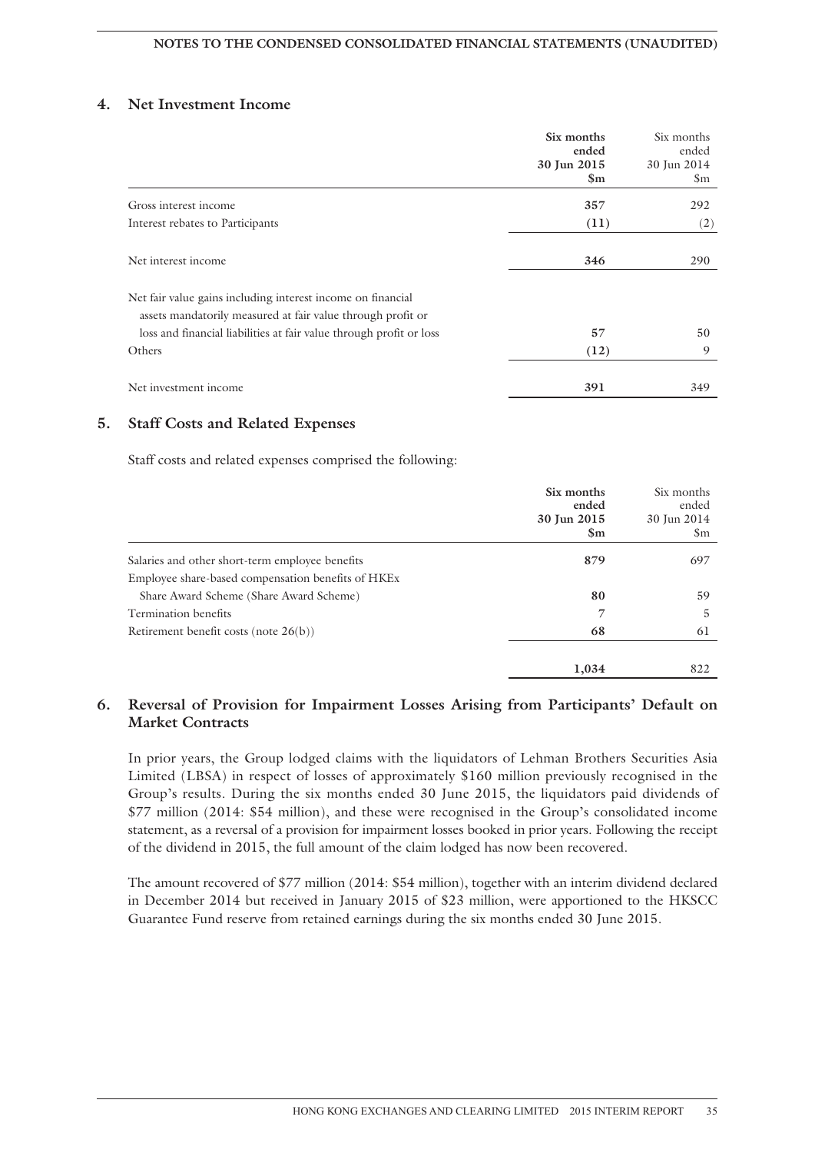### **4. Net Investment Income**

|                                                                                                                            | Six months<br>ended | Six months<br>ended |
|----------------------------------------------------------------------------------------------------------------------------|---------------------|---------------------|
|                                                                                                                            | 30 Jun 2015         | 30 Jun 2014         |
|                                                                                                                            | $\mathbf{Sm}$       | $\mathsf{Sm}$       |
| Gross interest income                                                                                                      | 357                 | 292                 |
| Interest rebates to Participants                                                                                           | (11)                | (2)                 |
| Net interest income                                                                                                        | 346                 | 290                 |
| Net fair value gains including interest income on financial<br>assets mandatorily measured at fair value through profit or |                     |                     |
| loss and financial liabilities at fair value through profit or loss                                                        | 57                  | 50                  |
| Others                                                                                                                     | (12)                | 9                   |
| Net investment income                                                                                                      | 391                 | 349                 |

### **5. Staff Costs and Related Expenses**

Staff costs and related expenses comprised the following:

|                                                                | Six months<br>ended<br>30 Jun 2015<br>$\mathbf{Sm}$ | Six months<br>ended<br>30 Jun 2014<br><b>Sm</b> |
|----------------------------------------------------------------|-----------------------------------------------------|-------------------------------------------------|
| Salaries and other short-term employee benefits                | 879                                                 | 697                                             |
| Employee share-based compensation benefits of HKE <sub>x</sub> |                                                     |                                                 |
| Share Award Scheme (Share Award Scheme)                        | 80                                                  | 59                                              |
| Termination benefits                                           | 7                                                   | 5                                               |
| Retirement benefit costs (note $26(b)$ )                       | 68                                                  | 61                                              |
|                                                                | 1,034                                               | 822                                             |

### **6. Reversal of Provision for Impairment Losses Arising from Participants' Default on Market Contracts**

In prior years, the Group lodged claims with the liquidators of Lehman Brothers Securities Asia Limited (LBSA) in respect of losses of approximately \$160 million previously recognised in the Group's results. During the six months ended 30 June 2015, the liquidators paid dividends of \$77 million (2014: \$54 million), and these were recognised in the Group's consolidated income statement, as a reversal of a provision for impairment losses booked in prior years. Following the receipt of the dividend in 2015, the full amount of the claim lodged has now been recovered.

The amount recovered of \$77 million (2014: \$54 million), together with an interim dividend declared in December 2014 but received in January 2015 of \$23 million, were apportioned to the HKSCC Guarantee Fund reserve from retained earnings during the six months ended 30 June 2015.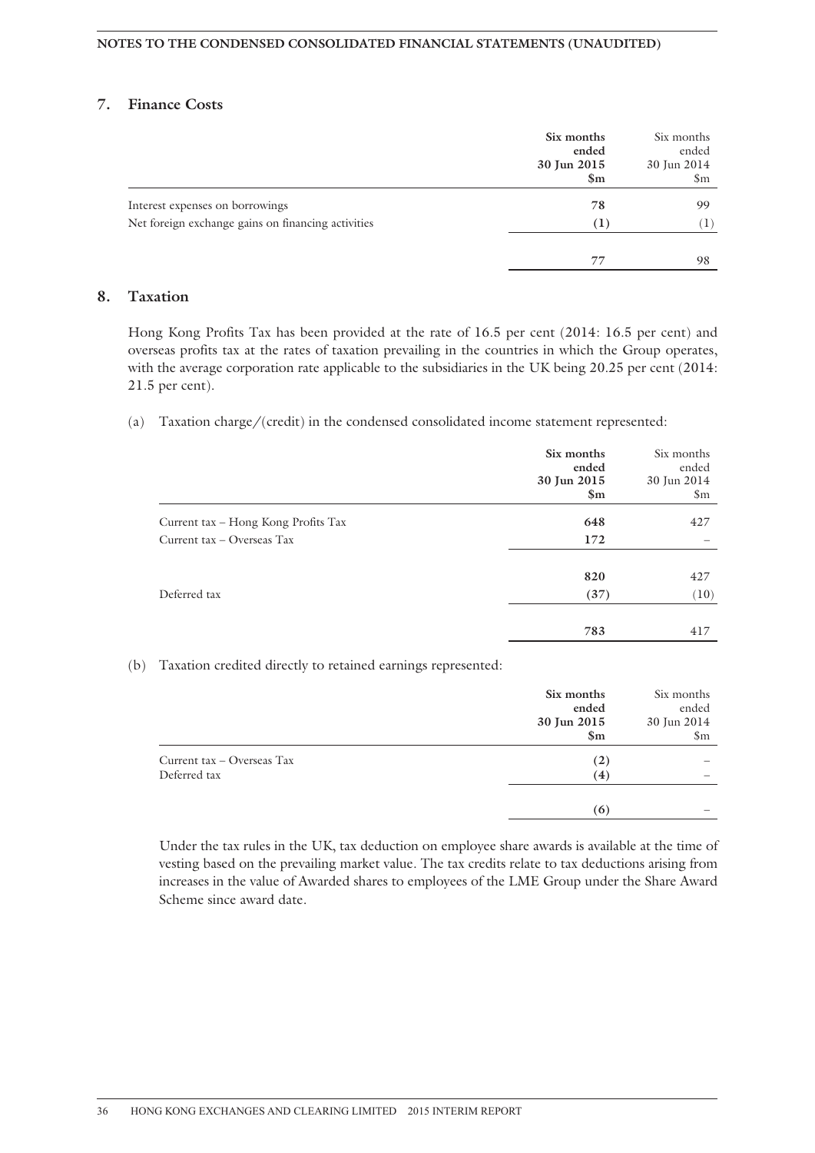### **7. Finance Costs**

|                                                    | Six months<br>ended<br>30 Jun 2015<br>$\mathbf{Sm}$ | Six months<br>ended<br>30 Jun 2014<br>\$m |
|----------------------------------------------------|-----------------------------------------------------|-------------------------------------------|
| Interest expenses on borrowings                    | 78                                                  | 99                                        |
| Net foreign exchange gains on financing activities | $\rm(1)$                                            | T                                         |
|                                                    | 77                                                  | 98                                        |

### **8. Taxation**

Hong Kong Profits Tax has been provided at the rate of 16.5 per cent (2014: 16.5 per cent) and overseas profits tax at the rates of taxation prevailing in the countries in which the Group operates, with the average corporation rate applicable to the subsidiaries in the UK being 20.25 per cent (2014: 21.5 per cent).

(a) Taxation charge/(credit) in the condensed consolidated income statement represented:

|                                     | Six months<br>ended<br>30 Jun 2015<br>$\mathbf{\$m}$ | Six months<br>ended<br>30 Jun 2014<br>$\mathsf{Sm}$ |
|-------------------------------------|------------------------------------------------------|-----------------------------------------------------|
| Current tax – Hong Kong Profits Tax | 648                                                  | 427                                                 |
| Current tax – Overseas Tax          | 172                                                  |                                                     |
|                                     | 820                                                  | 427                                                 |
| Deferred tax                        | (37)                                                 | (10)                                                |
|                                     | 783                                                  | 417                                                 |

#### (b) Taxation credited directly to retained earnings represented:

|                            | Six months<br>ended           | Six months<br>ended               |
|----------------------------|-------------------------------|-----------------------------------|
|                            | 30 Jun 2015<br>$\mathbf{\$m}$ | 30 Jun 2014<br>$\mathfrak{S}_{m}$ |
| Current tax – Overseas Tax | (2)                           |                                   |
| Deferred tax               | (4)                           |                                   |
|                            | (6)                           |                                   |

Under the tax rules in the UK, tax deduction on employee share awards is available at the time of vesting based on the prevailing market value. The tax credits relate to tax deductions arising from increases in the value of Awarded shares to employees of the LME Group under the Share Award Scheme since award date.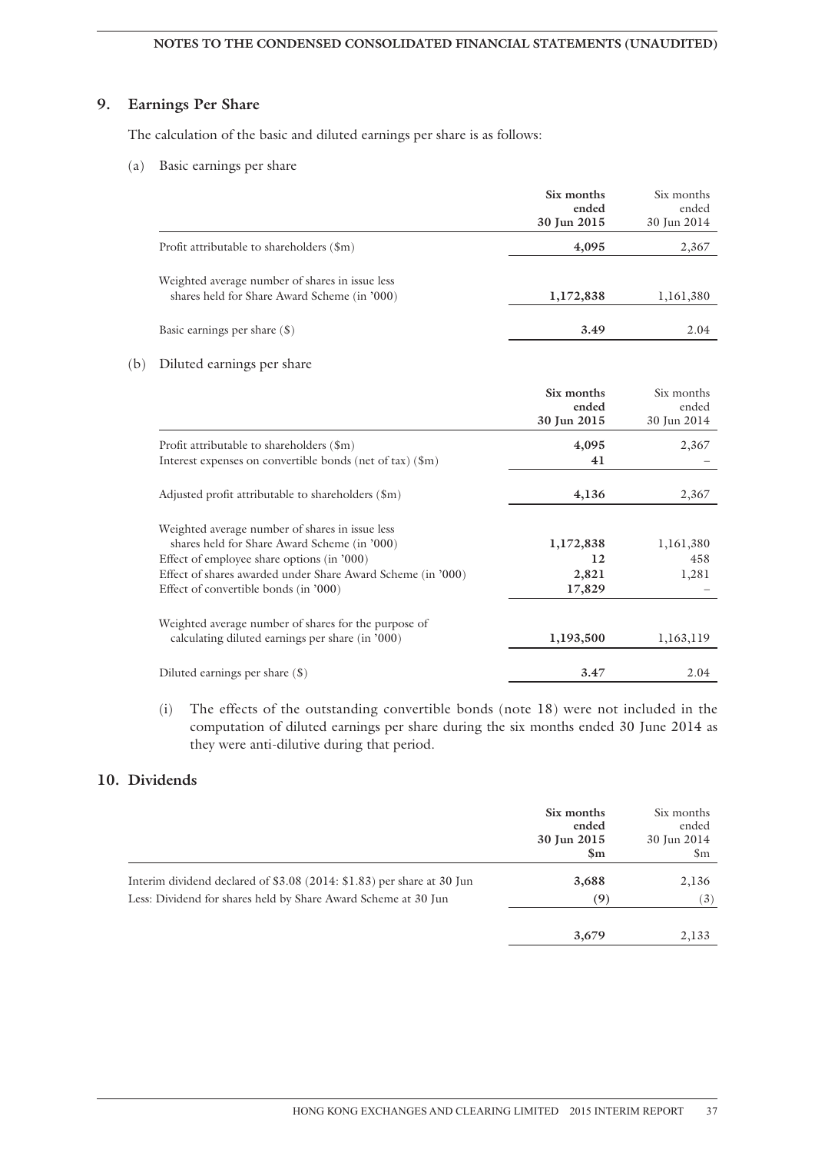### **NOTES TO THE CONDENSED CONSOLIDATED FINANCIAL STATEMENTS (UNAUDITED)**

### **9. Earnings Per Share**

The calculation of the basic and diluted earnings per share is as follows:

(a) Basic earnings per share

|                                                                                                 | Six months<br>ended<br>30 Jun 2015 | Six months<br>ended<br>30 Jun 2014 |
|-------------------------------------------------------------------------------------------------|------------------------------------|------------------------------------|
| Profit attributable to shareholders (\$m)                                                       | 4,095                              | 2,367                              |
| Weighted average number of shares in issue less<br>shares held for Share Award Scheme (in '000) | 1,172,838                          | 1,161,380                          |
| Basic earnings per share (\$)                                                                   | 3.49                               | 2.04                               |

### (b) Diluted earnings per share

|                                                                   | Six months<br>ended<br>30 Jun 2015 | Six months<br>ended<br>30 Jun 2014 |
|-------------------------------------------------------------------|------------------------------------|------------------------------------|
| Profit attributable to shareholders (\$m)                         | 4,095                              | 2,367                              |
| Interest expenses on convertible bonds (net of tax) $(\text{Im})$ | 41                                 |                                    |
| Adjusted profit attributable to shareholders (\$m)                | 4,136                              | 2,367                              |
| Weighted average number of shares in issue less                   |                                    |                                    |
| shares held for Share Award Scheme (in '000)                      | 1,172,838                          | 1,161,380                          |
| Effect of employee share options (in '000)                        | 12                                 | 458                                |
| Effect of shares awarded under Share Award Scheme (in '000)       | 2,821                              | 1,281                              |
| Effect of convertible bonds (in '000)                             | 17,829                             |                                    |
| Weighted average number of shares for the purpose of              |                                    |                                    |
| calculating diluted earnings per share (in '000)                  | 1,193,500                          | 1,163,119                          |
| Diluted earnings per share $(\$)$                                 | 3.47                               | 2.04                               |

(i) The effects of the outstanding convertible bonds (note 18) were not included in the computation of diluted earnings per share during the six months ended 30 June 2014 as they were anti-dilutive during that period.

### **10. Dividends**

|                                                                        | Six months<br>ended<br>30 Jun 2015<br>$\mathbf{Sm}$ | Six months<br>ended<br>30 Jun 2014<br>$\mathfrak{S}_{m}$ |
|------------------------------------------------------------------------|-----------------------------------------------------|----------------------------------------------------------|
| Interim dividend declared of \$3.08 (2014: \$1.83) per share at 30 Jun | 3,688                                               | 2,136                                                    |
| Less: Dividend for shares held by Share Award Scheme at 30 Jun         | (9)                                                 | $\left(3\right)$                                         |
|                                                                        | 3,679                                               | 2,133                                                    |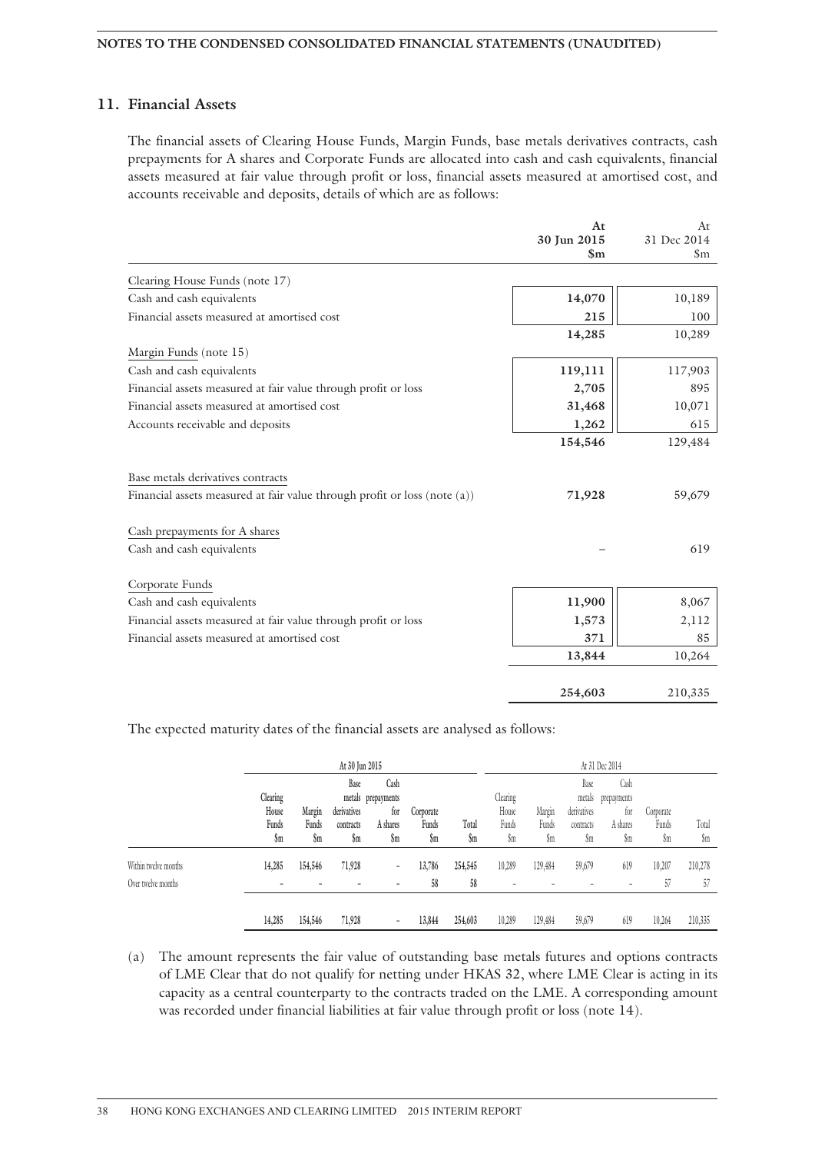### **11. Financial Assets**

The financial assets of Clearing House Funds, Margin Funds, base metals derivatives contracts, cash prepayments for A shares and Corporate Funds are allocated into cash and cash equivalents, financial assets measured at fair value through profit or loss, financial assets measured at amortised cost, and accounts receivable and deposits, details of which are as follows:

|                                                                                                                                                 | At            | At                 |
|-------------------------------------------------------------------------------------------------------------------------------------------------|---------------|--------------------|
|                                                                                                                                                 | 30 Jun 2015   | 31 Dec 2014        |
|                                                                                                                                                 | $\mathbf{Sm}$ | $\mathfrak{S}_{m}$ |
| Clearing House Funds (note 17)                                                                                                                  |               |                    |
| Cash and cash equivalents                                                                                                                       | 14,070        | 10,189             |
| Financial assets measured at amortised cost                                                                                                     | 215           | 100                |
|                                                                                                                                                 | 14,285        | 10,289             |
| Margin Funds (note 15)                                                                                                                          |               |                    |
| Cash and cash equivalents                                                                                                                       | 119,111       | 117,903            |
| Financial assets measured at fair value through profit or loss                                                                                  | 2,705         | 895                |
| Financial assets measured at amortised cost                                                                                                     | 31,468        | 10,071             |
| Accounts receivable and deposits                                                                                                                | 1,262         | 615                |
|                                                                                                                                                 | 154,546       | 129,484            |
| Base metals derivatives contracts<br>Financial assets measured at fair value through profit or loss (note (a))<br>Cash prepayments for A shares | 71,928        | 59,679             |
| Cash and cash equivalents                                                                                                                       |               | 619                |
| Corporate Funds                                                                                                                                 |               |                    |
| Cash and cash equivalents                                                                                                                       | 11,900        | 8,067              |
| Financial assets measured at fair value through profit or loss                                                                                  | 1,573         | 2,112              |
| Financial assets measured at amortised cost                                                                                                     | 371           | 85                 |
|                                                                                                                                                 | 13,844        | 10,264             |
|                                                                                                                                                 |               |                    |
|                                                                                                                                                 | 254,603       | 210,335            |

The expected maturity dates of the financial assets are analysed as follows:

|                      | At 30 Jun 2015             |                 |                                  |                                               |                    |                 | At 31 Dec 2014             |                 |                                            |                                        |                    |         |
|----------------------|----------------------------|-----------------|----------------------------------|-----------------------------------------------|--------------------|-----------------|----------------------------|-----------------|--------------------------------------------|----------------------------------------|--------------------|---------|
|                      | Clearing<br>House<br>Funds | Margin<br>Funds | Base<br>derivatives<br>contracts | Cash<br>metals prepayments<br>for<br>A shares | Corporate<br>Funds | Total           | Clearing<br>House<br>Funds | Margin<br>Funds | Base<br>metals<br>derivatives<br>contracts | Cash<br>prepayments<br>tor<br>A shares | Corporate<br>Funds | Total   |
|                      | \$m                        | \$m             | \$m                              | $\mathbf{\S}$ m                               | \$m                | $\mathbf{\S}$ m | \$m                        | \$m             | \$m                                        | \$m                                    | \$m                | \$m     |
| Within twelve months | 14,285                     | 154,546         | 71,928                           | ۰                                             | 13,786             | 254,545         | 10,289                     | 129,484         | 59,679                                     | 619                                    | 10,207             | 210,278 |
| Over twelve months   |                            |                 |                                  |                                               | 58                 | 58              |                            |                 |                                            | -                                      | 57                 | 57      |
|                      |                            |                 |                                  |                                               |                    |                 |                            |                 |                                            |                                        |                    |         |
|                      | 14,285                     | 154,546         | 71,928                           |                                               | 13,844             | 254,603         | 10,289                     | 129,484         | 59,679                                     | 619                                    | 10,264             | 210,335 |

(a) The amount represents the fair value of outstanding base metals futures and options contracts of LME Clear that do not qualify for netting under HKAS 32, where LME Clear is acting in its capacity as a central counterparty to the contracts traded on the LME. A corresponding amount was recorded under financial liabilities at fair value through profit or loss (note 14).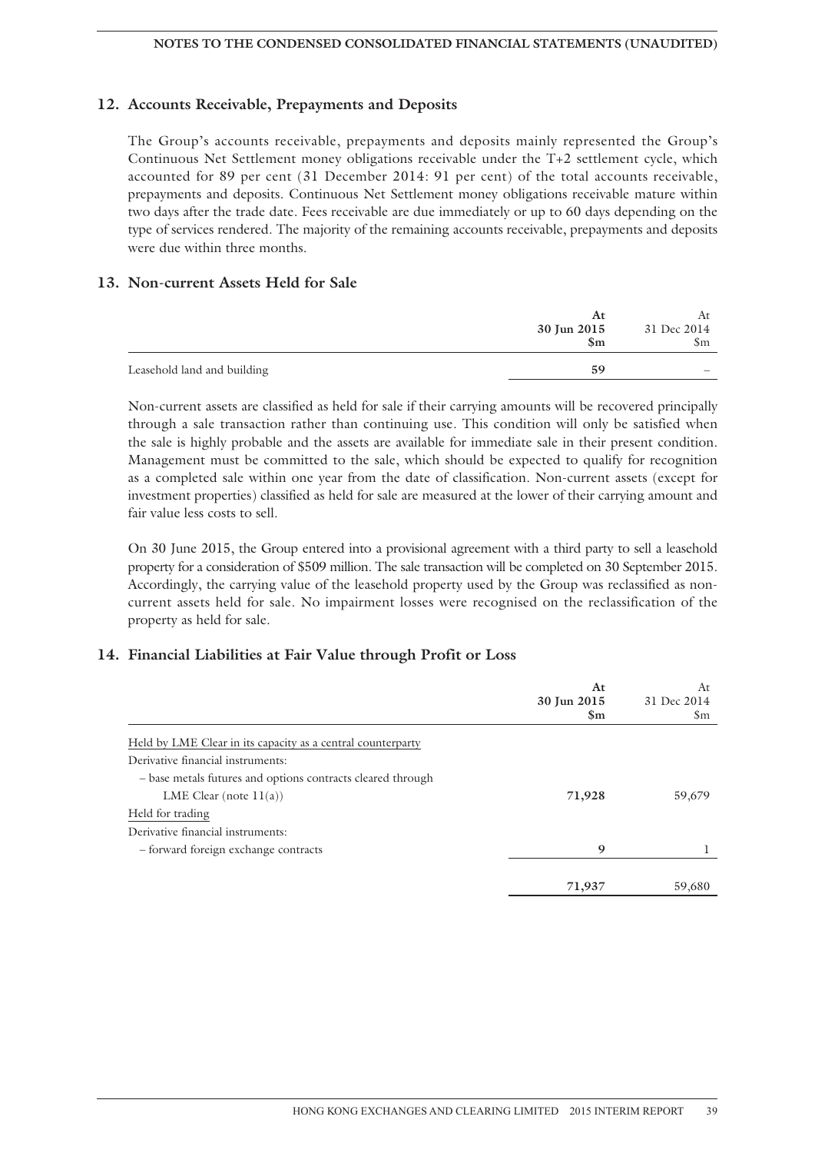### **12. Accounts Receivable, Prepayments and Deposits**

The Group's accounts receivable, prepayments and deposits mainly represented the Group's Continuous Net Settlement money obligations receivable under the T+2 settlement cycle, which accounted for 89 per cent (31 December 2014: 91 per cent) of the total accounts receivable, prepayments and deposits. Continuous Net Settlement money obligations receivable mature within two days after the trade date. Fees receivable are due immediately or up to 60 days depending on the type of services rendered. The majority of the remaining accounts receivable, prepayments and deposits were due within three months.

### **13. Non-current Assets Held for Sale**

|                             | At            |             |  |
|-----------------------------|---------------|-------------|--|
|                             | 30 Jun 2015   | 31 Dec 2014 |  |
|                             | $\mathbf{Sm}$ | Sm          |  |
|                             |               |             |  |
| Leasehold land and building | 59            |             |  |

Non-current assets are classified as held for sale if their carrying amounts will be recovered principally through a sale transaction rather than continuing use. This condition will only be satisfied when the sale is highly probable and the assets are available for immediate sale in their present condition. Management must be committed to the sale, which should be expected to qualify for recognition as a completed sale within one year from the date of classification. Non-current assets (except for investment properties) classified as held for sale are measured at the lower of their carrying amount and fair value less costs to sell.

On 30 June 2015, the Group entered into a provisional agreement with a third party to sell a leasehold property for a consideration of \$509 million. The sale transaction will be completed on 30 September 2015. Accordingly, the carrying value of the leasehold property used by the Group was reclassified as noncurrent assets held for sale. No impairment losses were recognised on the reclassification of the property as held for sale.

### **14. Financial Liabilities at Fair Value through Profit or Loss**

|                                                             | At<br>30 Jun 2015<br>Sm | At<br>31 Dec 2014<br>\$m |
|-------------------------------------------------------------|-------------------------|--------------------------|
| Held by LME Clear in its capacity as a central counterparty |                         |                          |
| Derivative financial instruments:                           |                         |                          |
| - base metals futures and options contracts cleared through |                         |                          |
| LME Clear (note $11(a)$ )                                   | 71,928                  | 59,679                   |
| Held for trading                                            |                         |                          |
| Derivative financial instruments:                           |                         |                          |
| - forward foreign exchange contracts                        | 9                       |                          |
|                                                             |                         |                          |
|                                                             | 71,937                  | 59,680                   |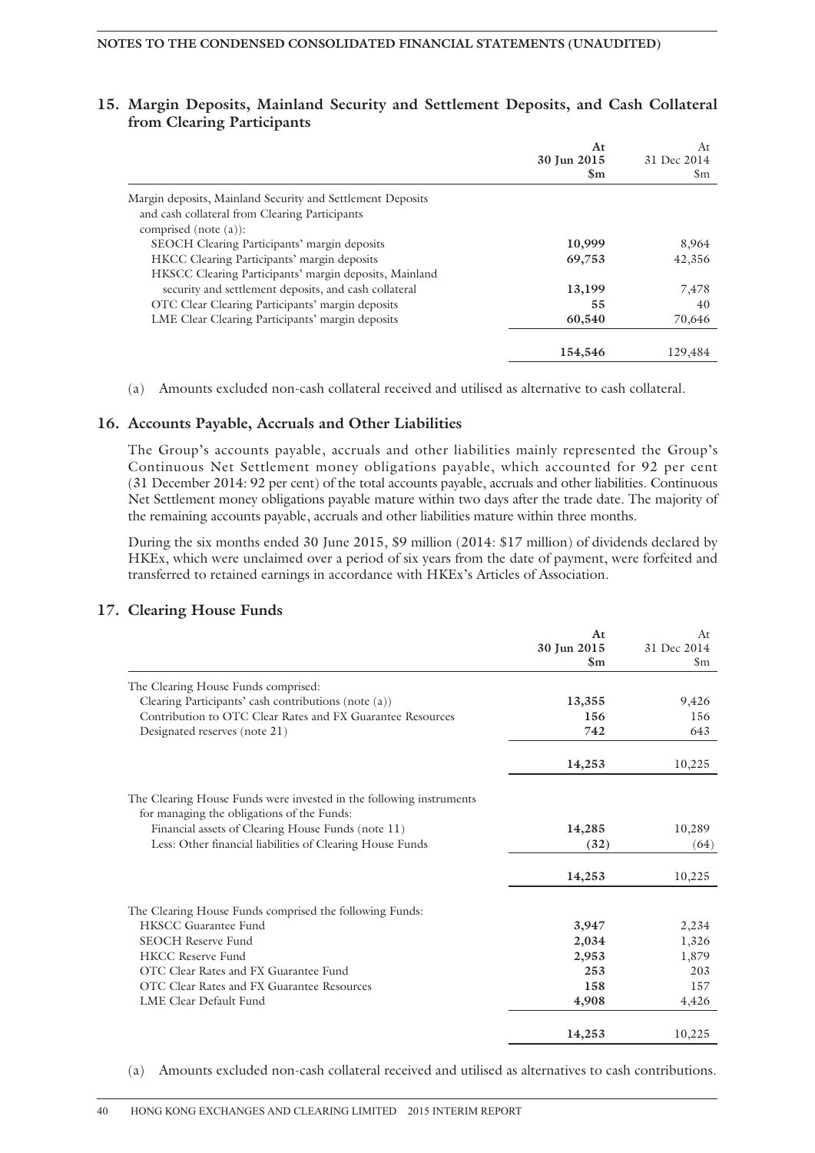### **15. Margin Deposits, Mainland Security and Settlement Deposits, and Cash Collateral from Clearing Participants**

|                                                            | At<br>30 Jun 2015 | At<br>31 Dec 2014 |
|------------------------------------------------------------|-------------------|-------------------|
|                                                            | $\mathbf{Sm}$     | \$m               |
| Margin deposits, Mainland Security and Settlement Deposits |                   |                   |
| and cash collateral from Clearing Participants             |                   |                   |
| comprised (note $(a)$ ):                                   |                   |                   |
| SEOCH Clearing Participants' margin deposits               | 10,999            | 8,964             |
| HKCC Clearing Participants' margin deposits                | 69,753            | 42,356            |
| HKSCC Clearing Participants' margin deposits, Mainland     |                   |                   |
| security and settlement deposits, and cash collateral      | 13,199            | 7,478             |
| OTC Clear Clearing Participants' margin deposits           | 55                | 40                |
| LME Clear Clearing Participants' margin deposits           | 60,540            | 70,646            |
|                                                            | 154,546           | 129,484           |

(a) Amounts excluded non-cash collateral received and utilised as alternative to cash collateral.

### **16. Accounts Payable, Accruals and Other Liabilities**

The Group's accounts payable, accruals and other liabilities mainly represented the Group's Continuous Net Settlement money obligations payable, which accounted for 92 per cent (31 December 2014: 92 per cent) of the total accounts payable, accruals and other liabilities. Continuous Net Settlement money obligations payable mature within two days after the trade date. The majority of the remaining accounts payable, accruals and other liabilities mature within three months.

During the six months ended 30 June 2015, \$9 million (2014: \$17 million) of dividends declared by HKEx, which were unclaimed over a period of six years from the date of payment, were forfeited and transferred to retained earnings in accordance with HKEx's Articles of Association.

#### **17. Clearing House Funds**

|                                                                     | At            | At            |
|---------------------------------------------------------------------|---------------|---------------|
|                                                                     | 30 Jun 2015   | 31 Dec 2014   |
|                                                                     | $\mathbf{Sm}$ | $\mathsf{Sm}$ |
| The Clearing House Funds comprised:                                 |               |               |
| Clearing Participants' cash contributions (note (a))                | 13,355        | 9,426         |
| Contribution to OTC Clear Rates and FX Guarantee Resources          | 156           | 156           |
| Designated reserves (note 21)                                       | 742           | 643           |
|                                                                     | 14,253        | 10,225        |
| The Clearing House Funds were invested in the following instruments |               |               |
| for managing the obligations of the Funds:                          |               |               |
| Financial assets of Clearing House Funds (note 11)                  | 14,285        | 10,289        |
| Less: Other financial liabilities of Clearing House Funds           | (32)          | (64)          |
|                                                                     | 14,253        | 10,225        |
| The Clearing House Funds comprised the following Funds:             |               |               |
| <b>HKSCC Guarantee Fund</b>                                         | 3,947         | 2,234         |
| <b>SEOCH Reserve Fund</b>                                           | 2,034         | 1,326         |
| <b>HKCC Reserve Fund</b>                                            | 2,953         | 1,879         |
| OTC Clear Rates and FX Guarantee Fund                               | 253           | 203           |
| OTC Clear Rates and FX Guarantee Resources                          | 158           | 157           |
| LME Clear Default Fund                                              | 4,908         | 4,426         |
|                                                                     | 14,253        | 10,225        |

(a) Amounts excluded non-cash collateral received and utilised as alternatives to cash contributions.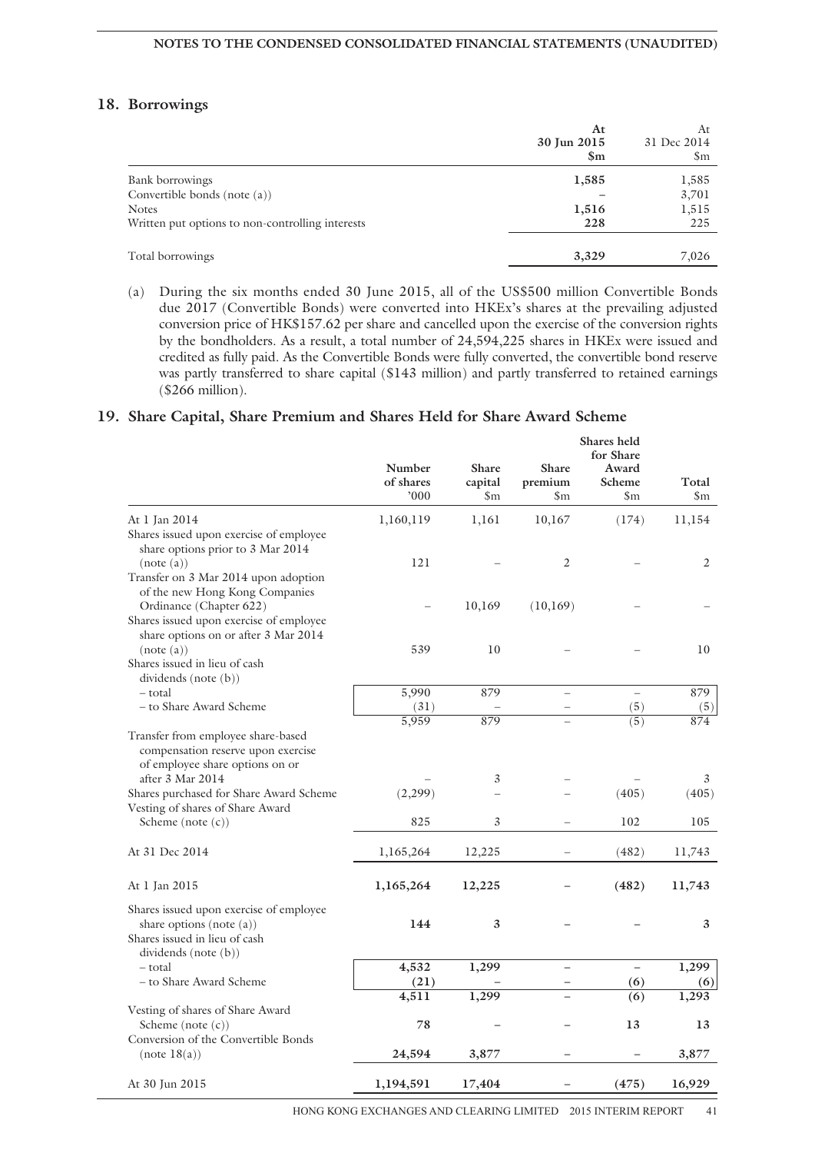### **18. Borrowings**

|                                                  | At<br>30 Jun 2015<br>$\mathbf{Sm}$ | At<br>31 Dec 2014<br>\$m |
|--------------------------------------------------|------------------------------------|--------------------------|
| Bank borrowings                                  | 1,585                              | 1,585                    |
| Convertible bonds (note $(a)$ )                  |                                    | 3,701                    |
| <b>Notes</b>                                     | 1,516                              | 1,515                    |
| Written put options to non-controlling interests | 228                                | 225                      |
| Total borrowings                                 | 3,329                              | 7,026                    |

(a) During the six months ended 30 June 2015, all of the US\$500 million Convertible Bonds due 2017 (Convertible Bonds) were converted into HKEx's shares at the prevailing adjusted conversion price of HK\$157.62 per share and cancelled upon the exercise of the conversion rights by the bondholders. As a result, a total number of 24,594,225 shares in HKEx were issued and credited as fully paid. As the Convertible Bonds were fully converted, the convertible bond reserve was partly transferred to share capital (\$143 million) and partly transferred to retained earnings (\$266 million).

### **19. Share Capital, Share Premium and Shares Held for Share Award Scheme**

|                                                                                                             | Number<br>of shares<br>000 | Share<br>capital<br>$\mathsf{Sm}$ | <b>Share</b><br>premium<br>\$m | Shares held<br>for Share<br>Award<br>Scheme<br>$_{\rm Sm}$ | Total<br>$\mathsf{Sm}$ |
|-------------------------------------------------------------------------------------------------------------|----------------------------|-----------------------------------|--------------------------------|------------------------------------------------------------|------------------------|
| At 1 Jan 2014<br>Shares issued upon exercise of employee<br>share options prior to 3 Mar 2014               | 1,160,119                  | 1,161                             | 10,167                         | (174)                                                      | 11,154                 |
| (note(a))<br>Transfer on 3 Mar 2014 upon adoption<br>of the new Hong Kong Companies                         | 121                        |                                   | $\mathfrak{2}$                 |                                                            | 2                      |
| Ordinance (Chapter 622)<br>Shares issued upon exercise of employee<br>share options on or after 3 Mar 2014  |                            | 10,169                            | (10,169)                       |                                                            |                        |
| (note(a))<br>Shares issued in lieu of cash<br>dividends (note (b))                                          | 539                        | 10                                |                                |                                                            | 10                     |
| - total                                                                                                     | 5,990                      | 879                               |                                | $\overline{\phantom{0}}$                                   | 879                    |
| – to Share Award Scheme                                                                                     | (31)                       |                                   |                                | (5)                                                        | (5)                    |
|                                                                                                             | 5,959                      | 879                               |                                | (5)                                                        | 874                    |
| Transfer from employee share-based<br>compensation reserve upon exercise<br>of employee share options on or |                            |                                   |                                |                                                            |                        |
| after 3 Mar 2014                                                                                            |                            | 3                                 |                                |                                                            | 3                      |
| Shares purchased for Share Award Scheme<br>Vesting of shares of Share Award                                 | (2, 299)                   |                                   |                                | (405)                                                      | (405)                  |
| Scheme (note $(c)$ )                                                                                        | 825                        | 3                                 |                                | 102                                                        | 105                    |
| At 31 Dec 2014                                                                                              | 1,165,264                  | 12,225                            |                                | (482)                                                      | 11,743                 |
| At 1 Jan 2015                                                                                               | 1,165,264                  | 12,225                            |                                | (482)                                                      | 11,743                 |
| Shares issued upon exercise of employee<br>share options (note (a))<br>Shares issued in lieu of cash        | 144                        | 3                                 |                                |                                                            | 3                      |
| dividends (note (b))                                                                                        | 4,532                      | 1,299                             | $\overline{\phantom{0}}$       | $\equiv$                                                   | 1,299                  |
| – total<br>– to Share Award Scheme                                                                          |                            |                                   |                                |                                                            |                        |
|                                                                                                             | (21)                       | 1,299                             |                                | (6)                                                        | (6)                    |
|                                                                                                             | 4,511                      |                                   |                                | (6)                                                        | 1,293                  |
| Vesting of shares of Share Award<br>Scheme (note $(c)$ )                                                    | 78                         |                                   |                                | 13                                                         | 13                     |
| Conversion of the Convertible Bonds<br>(note 18(a))                                                         | 24,594                     | 3,877                             |                                |                                                            | 3,877                  |
| At 30 Jun 2015                                                                                              | 1,194,591                  | 17,404                            |                                | (475)                                                      | 16,929                 |

HONG KONG EXCHANGES AND CLEARING LIMITED 2015 INTERIM REPORT 41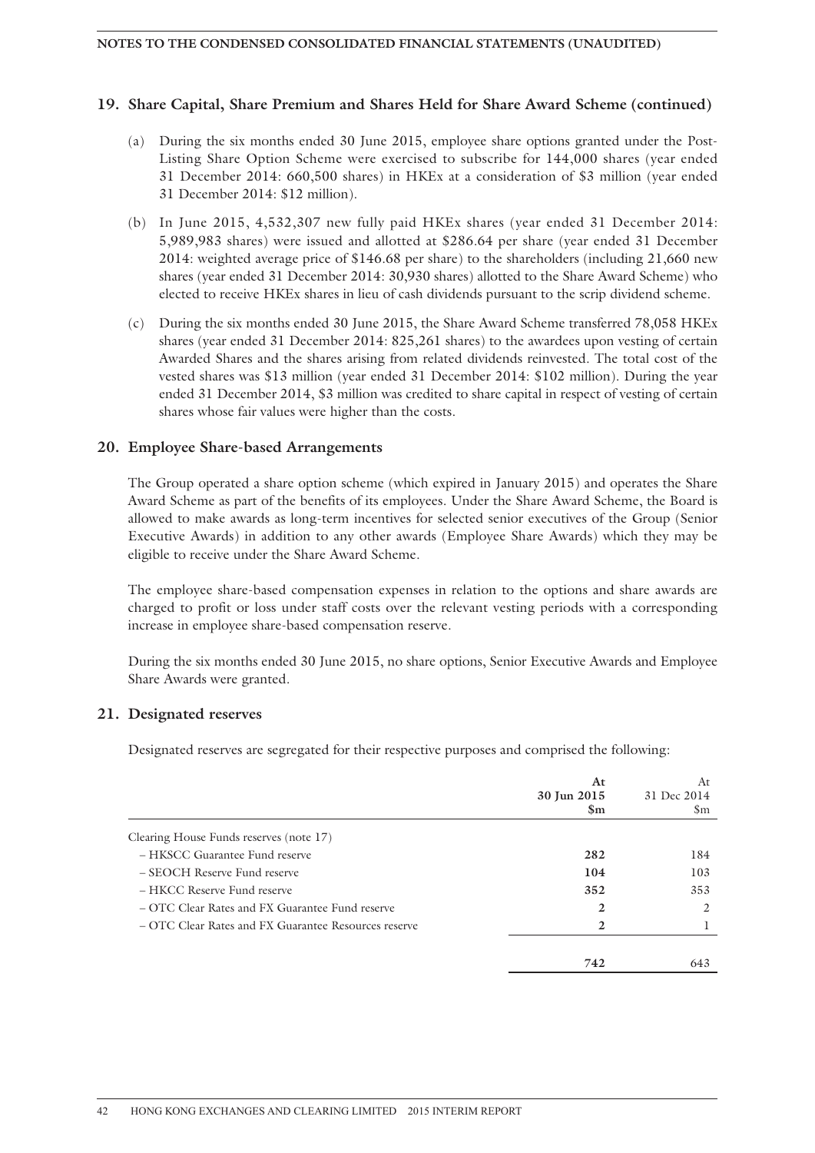### **19. Share Capital, Share Premium and Shares Held for Share Award Scheme (continued)**

- (a) During the six months ended 30 June 2015, employee share options granted under the Post-Listing Share Option Scheme were exercised to subscribe for 144,000 shares (year ended 31 December 2014: 660,500 shares) in HKEx at a consideration of \$3 million (year ended 31 December 2014: \$12 million).
- (b) In June 2015, 4,532,307 new fully paid HKEx shares (year ended 31 December 2014: 5,989,983 shares) were issued and allotted at \$286.64 per share (year ended 31 December 2014: weighted average price of \$146.68 per share) to the shareholders (including 21,660 new shares (year ended 31 December 2014: 30,930 shares) allotted to the Share Award Scheme) who elected to receive HKEx shares in lieu of cash dividends pursuant to the scrip dividend scheme.
- (c) During the six months ended 30 June 2015, the Share Award Scheme transferred 78,058 HKEx shares (year ended 31 December 2014: 825,261 shares) to the awardees upon vesting of certain Awarded Shares and the shares arising from related dividends reinvested. The total cost of the vested shares was \$13 million (year ended 31 December 2014: \$102 million). During the year ended 31 December 2014, \$3 million was credited to share capital in respect of vesting of certain shares whose fair values were higher than the costs.

### **20. Employee Share-based Arrangements**

The Group operated a share option scheme (which expired in January 2015) and operates the Share Award Scheme as part of the benefits of its employees. Under the Share Award Scheme, the Board is allowed to make awards as long-term incentives for selected senior executives of the Group (Senior Executive Awards) in addition to any other awards (Employee Share Awards) which they may be eligible to receive under the Share Award Scheme.

The employee share-based compensation expenses in relation to the options and share awards are charged to profit or loss under staff costs over the relevant vesting periods with a corresponding increase in employee share-based compensation reserve.

During the six months ended 30 June 2015, no share options, Senior Executive Awards and Employee Share Awards were granted.

### **21. Designated reserves**

Designated reserves are segregated for their respective purposes and comprised the following:

|                                                      | At<br>30 Jun 2015<br>$\mathbf{Sm}$ | At<br>31 Dec 2014<br>Sm |
|------------------------------------------------------|------------------------------------|-------------------------|
| Clearing House Funds reserves (note 17)              |                                    |                         |
| - HKSCC Guarantee Fund reserve                       | 282                                | 184                     |
| $-$ SEOCH Reserve Fund reserve                       | 104                                | 103                     |
| – HKCC Reserve Fund reserve                          | 352                                | 353                     |
| – OTC Clear Rates and FX Guarantee Fund reserve      | 2                                  | $\mathfrak{D}$          |
| – OTC Clear Rates and FX Guarantee Resources reserve | 2                                  |                         |
|                                                      | 742                                | 643                     |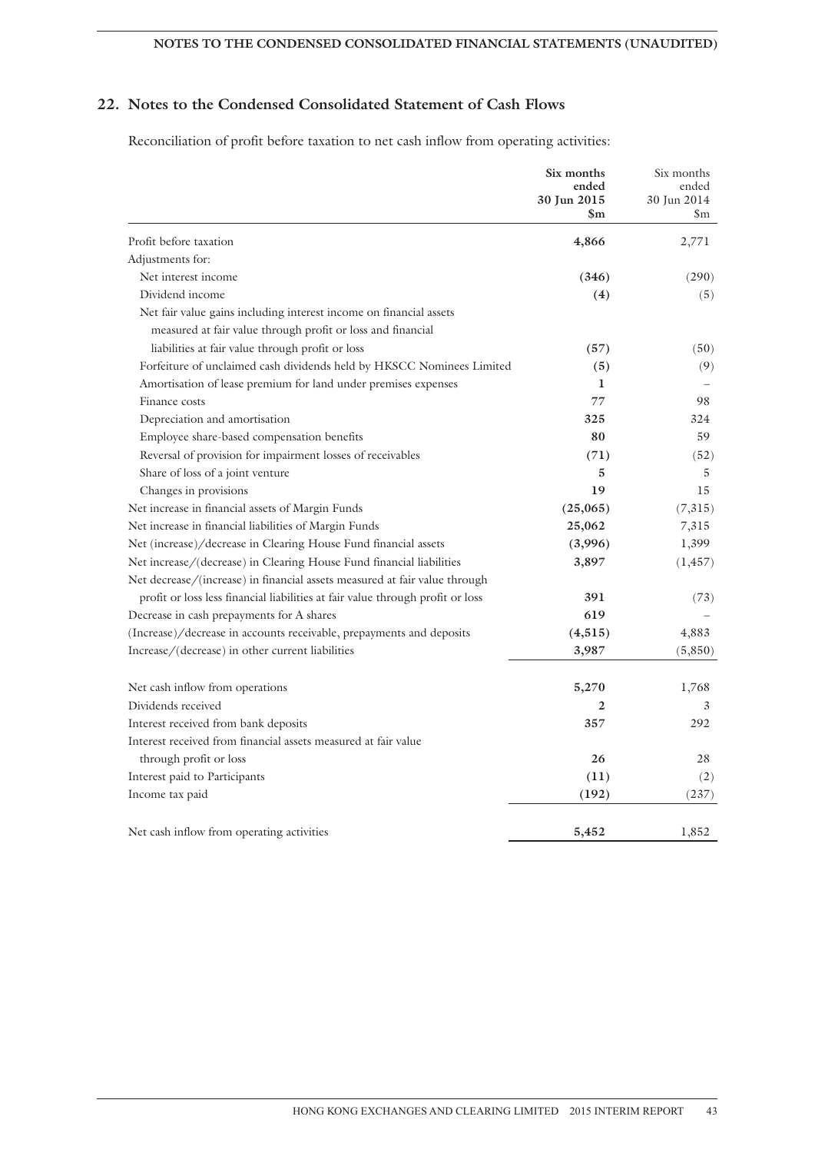### **NOTES TO THE CONDENSED CONSOLIDATED FINANCIAL STATEMENTS (UNAUDITED)**

### **22. Notes to the Condensed Consolidated Statement of Cash Flows**

Reconciliation of profit before taxation to net cash inflow from operating activities:

|                                                                                                                                                              | Six months<br>ended<br>30 Jun 2015<br>\$m | Six months<br>ended<br>30 Jun 2014<br>\$m. |
|--------------------------------------------------------------------------------------------------------------------------------------------------------------|-------------------------------------------|--------------------------------------------|
| Profit before taxation                                                                                                                                       | 4,866                                     | 2,771                                      |
| Adjustments for:                                                                                                                                             |                                           |                                            |
| Net interest income                                                                                                                                          | (346)                                     | (290)                                      |
| Dividend income                                                                                                                                              | (4)                                       | (5)                                        |
| Net fair value gains including interest income on financial assets<br>measured at fair value through profit or loss and financial                            |                                           |                                            |
| liabilities at fair value through profit or loss                                                                                                             | (57)                                      | (50)                                       |
| Forfeiture of unclaimed cash dividends held by HKSCC Nominees Limited                                                                                        | (5)                                       | (9)                                        |
| Amortisation of lease premium for land under premises expenses                                                                                               | 1                                         |                                            |
| Finance costs                                                                                                                                                | 77                                        | 98                                         |
| Depreciation and amortisation                                                                                                                                | 325                                       | 324                                        |
| Employee share-based compensation benefits                                                                                                                   | 80                                        | 59                                         |
| Reversal of provision for impairment losses of receivables                                                                                                   | (71)                                      | (52)                                       |
| Share of loss of a joint venture                                                                                                                             | 5                                         | 5                                          |
| Changes in provisions                                                                                                                                        | 19                                        | 15                                         |
| Net increase in financial assets of Margin Funds                                                                                                             | (25,065)                                  | (7,315)                                    |
| Net increase in financial liabilities of Margin Funds                                                                                                        | 25,062                                    | 7,315                                      |
| Net (increase)/decrease in Clearing House Fund financial assets                                                                                              | (3,996)                                   | 1,399                                      |
| Net increase/(decrease) in Clearing House Fund financial liabilities                                                                                         | 3,897                                     | (1, 457)                                   |
| Net decrease/(increase) in financial assets measured at fair value through<br>profit or loss less financial liabilities at fair value through profit or loss | 391                                       | (73)                                       |
| Decrease in cash prepayments for A shares                                                                                                                    | 619                                       |                                            |
| (Increase)/decrease in accounts receivable, prepayments and deposits                                                                                         | (4,515)                                   | 4,883                                      |
| Increase/(decrease) in other current liabilities                                                                                                             | 3,987                                     | (5,850)                                    |
|                                                                                                                                                              |                                           |                                            |
| Net cash inflow from operations                                                                                                                              | 5,270                                     | 1,768                                      |
| Dividends received                                                                                                                                           | 2                                         | 3                                          |
| Interest received from bank deposits                                                                                                                         | 357                                       | 292                                        |
| Interest received from financial assets measured at fair value                                                                                               |                                           |                                            |
| through profit or loss                                                                                                                                       | 26                                        | 28                                         |
| Interest paid to Participants                                                                                                                                | (11)                                      | (2)                                        |
| Income tax paid                                                                                                                                              | (192)                                     | (237)                                      |
| Net cash inflow from operating activities                                                                                                                    | 5,452                                     | 1,852                                      |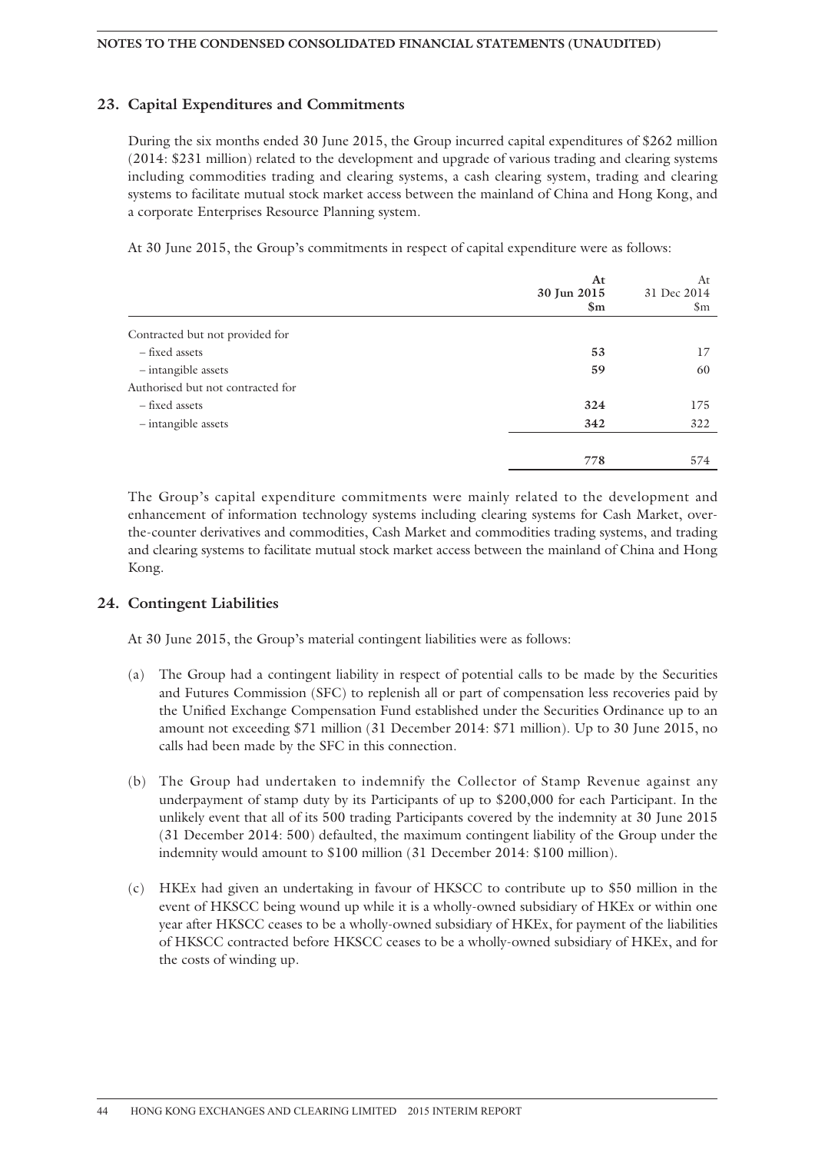### **23. Capital Expenditures and Commitments**

During the six months ended 30 June 2015, the Group incurred capital expenditures of \$262 million (2014: \$231 million) related to the development and upgrade of various trading and clearing systems including commodities trading and clearing systems, a cash clearing system, trading and clearing systems to facilitate mutual stock market access between the mainland of China and Hong Kong, and a corporate Enterprises Resource Planning system.

At 30 June 2015, the Group's commitments in respect of capital expenditure were as follows:

|                                   | At<br>30 Jun 2015<br>$\mathbb{S}_{\mathrm{m}}$ | At<br>31 Dec 2014<br>\$m |
|-----------------------------------|------------------------------------------------|--------------------------|
| Contracted but not provided for   |                                                |                          |
| - fixed assets                    | 53                                             | 17                       |
| - intangible assets               | 59                                             | 60                       |
| Authorised but not contracted for |                                                |                          |
| - fixed assets                    | 324                                            | 175                      |
| - intangible assets               | 342                                            | 322                      |
|                                   |                                                |                          |
|                                   | 778                                            | 574                      |

The Group's capital expenditure commitments were mainly related to the development and enhancement of information technology systems including clearing systems for Cash Market, overthe-counter derivatives and commodities, Cash Market and commodities trading systems, and trading and clearing systems to facilitate mutual stock market access between the mainland of China and Hong Kong.

### **24. Contingent Liabilities**

At 30 June 2015, the Group's material contingent liabilities were as follows:

- (a) The Group had a contingent liability in respect of potential calls to be made by the Securities and Futures Commission (SFC) to replenish all or part of compensation less recoveries paid by the Unified Exchange Compensation Fund established under the Securities Ordinance up to an amount not exceeding \$71 million (31 December 2014: \$71 million). Up to 30 June 2015, no calls had been made by the SFC in this connection.
- (b) The Group had undertaken to indemnify the Collector of Stamp Revenue against any underpayment of stamp duty by its Participants of up to \$200,000 for each Participant. In the unlikely event that all of its 500 trading Participants covered by the indemnity at 30 June 2015 (31 December 2014: 500) defaulted, the maximum contingent liability of the Group under the indemnity would amount to \$100 million (31 December 2014: \$100 million).
- (c) HKEx had given an undertaking in favour of HKSCC to contribute up to \$50 million in the event of HKSCC being wound up while it is a wholly-owned subsidiary of HKEx or within one year after HKSCC ceases to be a wholly-owned subsidiary of HKEx, for payment of the liabilities of HKSCC contracted before HKSCC ceases to be a wholly-owned subsidiary of HKEx, and for the costs of winding up.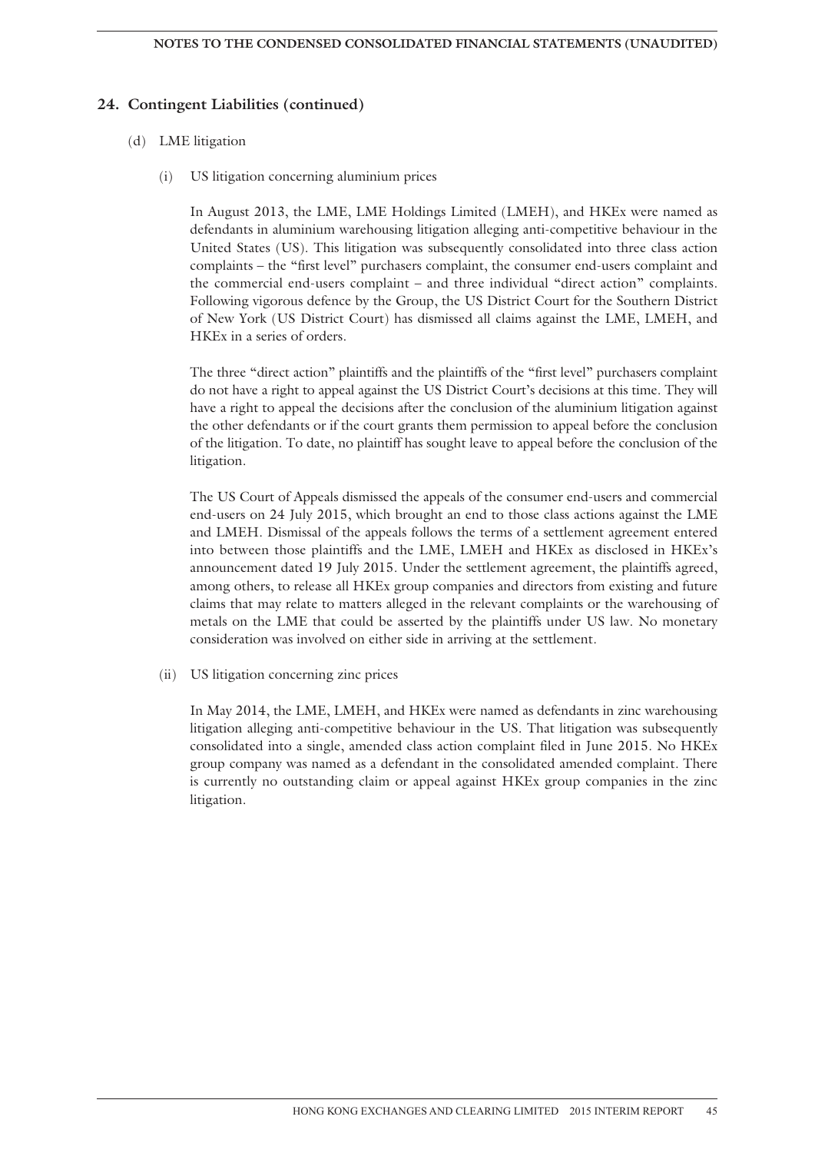### **24. Contingent Liabilities (continued)**

#### (d) LME litigation

(i) US litigation concerning aluminium prices

In August 2013, the LME, LME Holdings Limited (LMEH), and HKEx were named as defendants in aluminium warehousing litigation alleging anti-competitive behaviour in the United States (US). This litigation was subsequently consolidated into three class action complaints – the "first level" purchasers complaint, the consumer end-users complaint and the commercial end-users complaint – and three individual "direct action" complaints. Following vigorous defence by the Group, the US District Court for the Southern District of New York (US District Court) has dismissed all claims against the LME, LMEH, and HKEx in a series of orders.

The three "direct action" plaintiffs and the plaintiffs of the "first level" purchasers complaint do not have a right to appeal against the US District Court's decisions at this time. They will have a right to appeal the decisions after the conclusion of the aluminium litigation against the other defendants or if the court grants them permission to appeal before the conclusion of the litigation. To date, no plaintiff has sought leave to appeal before the conclusion of the litigation.

The US Court of Appeals dismissed the appeals of the consumer end-users and commercial end-users on 24 July 2015, which brought an end to those class actions against the LME and LMEH. Dismissal of the appeals follows the terms of a settlement agreement entered into between those plaintiffs and the LME, LMEH and HKEx as disclosed in HKEx's announcement dated 19 July 2015. Under the settlement agreement, the plaintiffs agreed, among others, to release all HKEx group companies and directors from existing and future claims that may relate to matters alleged in the relevant complaints or the warehousing of metals on the LME that could be asserted by the plaintiffs under US law. No monetary consideration was involved on either side in arriving at the settlement.

(ii) US litigation concerning zinc prices

In May 2014, the LME, LMEH, and HKEx were named as defendants in zinc warehousing litigation alleging anti-competitive behaviour in the US. That litigation was subsequently consolidated into a single, amended class action complaint filed in June 2015. No HKEx group company was named as a defendant in the consolidated amended complaint. There is currently no outstanding claim or appeal against HKEx group companies in the zinc litigation.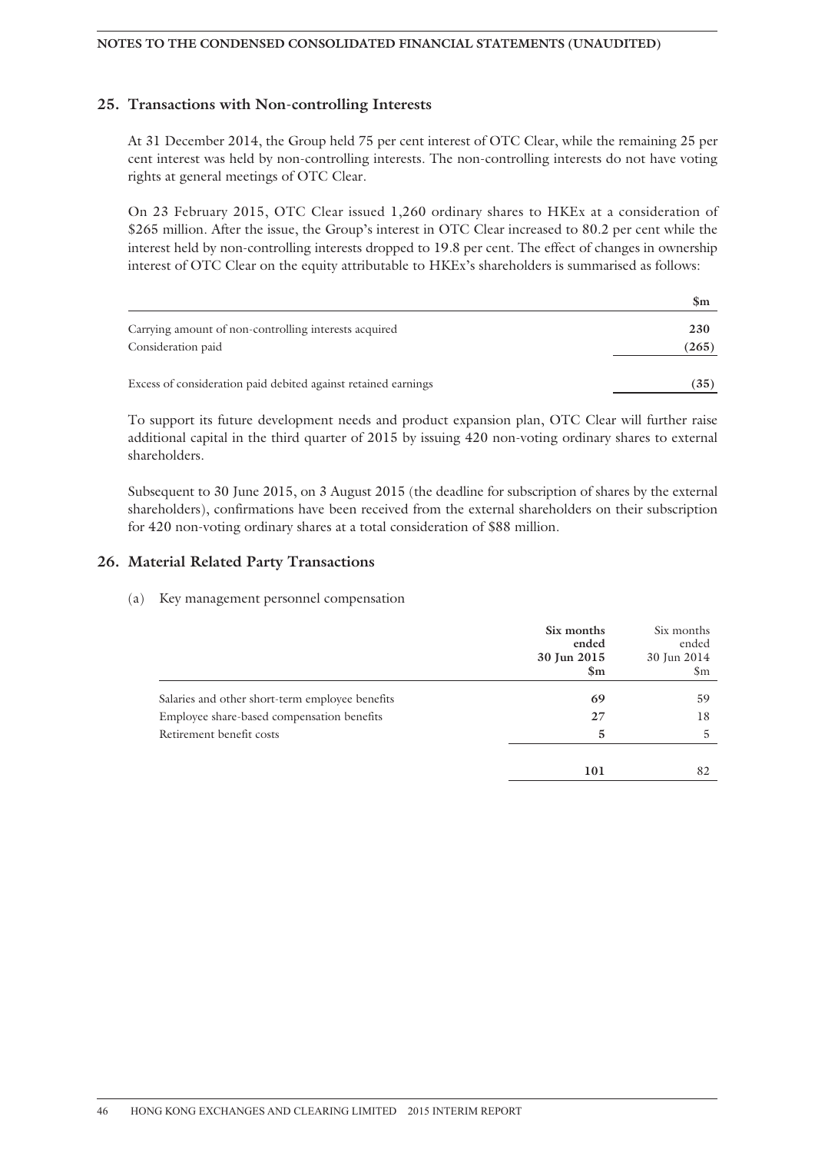#### **NOTES TO THE CONDENSED CONSOLIDATED FINANCIAL STATEMENTS (UNAUDITED)**

### **25. Transactions with Non-controlling Interests**

At 31 December 2014, the Group held 75 per cent interest of OTC Clear, while the remaining 25 per cent interest was held by non-controlling interests. The non-controlling interests do not have voting rights at general meetings of OTC Clear.

On 23 February 2015, OTC Clear issued 1,260 ordinary shares to HKEx at a consideration of \$265 million. After the issue, the Group's interest in OTC Clear increased to 80.2 per cent while the interest held by non-controlling interests dropped to 19.8 per cent. The effect of changes in ownership interest of OTC Clear on the equity attributable to HKEx's shareholders is summarised as follows:

| $\mathbb{S}_{\mathrm{m}}$ |
|---------------------------|
| 230                       |
| (265)                     |
| (35)                      |
|                           |

To support its future development needs and product expansion plan, OTC Clear will further raise additional capital in the third quarter of 2015 by issuing 420 non-voting ordinary shares to external shareholders.

Subsequent to 30 June 2015, on 3 August 2015 (the deadline for subscription of shares by the external shareholders), confirmations have been received from the external shareholders on their subscription for 420 non-voting ordinary shares at a total consideration of \$88 million.

### **26. Material Related Party Transactions**

#### (a) Key management personnel compensation

|                                                 | Six months<br>ended<br>30 Jun 2015<br>$\mathbf{Sm}$ | Six months<br>ended<br>30 Jun 2014<br>\$m |
|-------------------------------------------------|-----------------------------------------------------|-------------------------------------------|
| Salaries and other short-term employee benefits | 69                                                  | 59                                        |
| Employee share-based compensation benefits      | 27                                                  | 18                                        |
| Retirement benefit costs                        | 5                                                   | 5.                                        |
|                                                 |                                                     |                                           |
|                                                 | 101                                                 | 82                                        |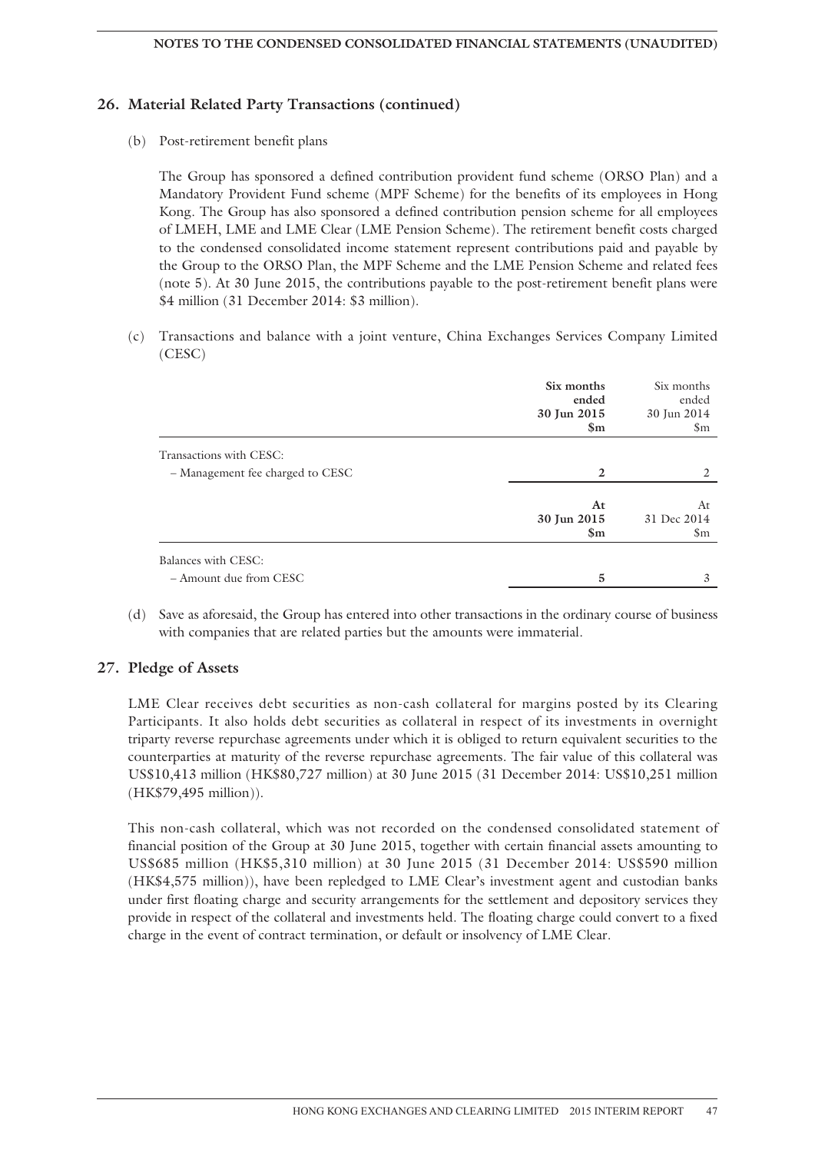### **26. Material Related Party Transactions (continued)**

(b) Post-retirement benefit plans

The Group has sponsored a defined contribution provident fund scheme (ORSO Plan) and a Mandatory Provident Fund scheme (MPF Scheme) for the benefits of its employees in Hong Kong. The Group has also sponsored a defined contribution pension scheme for all employees of LMEH, LME and LME Clear (LME Pension Scheme). The retirement benefit costs charged to the condensed consolidated income statement represent contributions paid and payable by the Group to the ORSO Plan, the MPF Scheme and the LME Pension Scheme and related fees (note 5). At 30 June 2015, the contributions payable to the post-retirement benefit plans were \$4 million (31 December 2014: \$3 million).

(c) Transactions and balance with a joint venture, China Exchanges Services Company Limited (CESC)

|                                                      | Six months<br>ended<br>30 Jun 2015<br>$\mathbf{Sm}$ | Six months<br>ended<br>30 Jun 2014<br>\$m |
|------------------------------------------------------|-----------------------------------------------------|-------------------------------------------|
| Transactions with CESC:                              |                                                     |                                           |
| - Management fee charged to CESC                     | 2                                                   | 2                                         |
|                                                      | At<br>30 Jun 2015<br>$\mathbf{\$m}$                 | At<br>31 Dec 2014<br>\$m                  |
| <b>Balances with CESC:</b><br>- Amount due from CESC | 5                                                   | 3                                         |

(d) Save as aforesaid, the Group has entered into other transactions in the ordinary course of business with companies that are related parties but the amounts were immaterial.

#### **27. Pledge of Assets**

LME Clear receives debt securities as non-cash collateral for margins posted by its Clearing Participants. It also holds debt securities as collateral in respect of its investments in overnight triparty reverse repurchase agreements under which it is obliged to return equivalent securities to the counterparties at maturity of the reverse repurchase agreements. The fair value of this collateral was US\$10,413 million (HK\$80,727 million) at 30 June 2015 (31 December 2014: US\$10,251 million (HK\$79,495 million)).

This non-cash collateral, which was not recorded on the condensed consolidated statement of financial position of the Group at 30 June 2015, together with certain financial assets amounting to US\$685 million (HK\$5,310 million) at 30 June 2015 (31 December 2014: US\$590 million (HK\$4,575 million)), have been repledged to LME Clear's investment agent and custodian banks under first floating charge and security arrangements for the settlement and depository services they provide in respect of the collateral and investments held. The floating charge could convert to a fixed charge in the event of contract termination, or default or insolvency of LME Clear.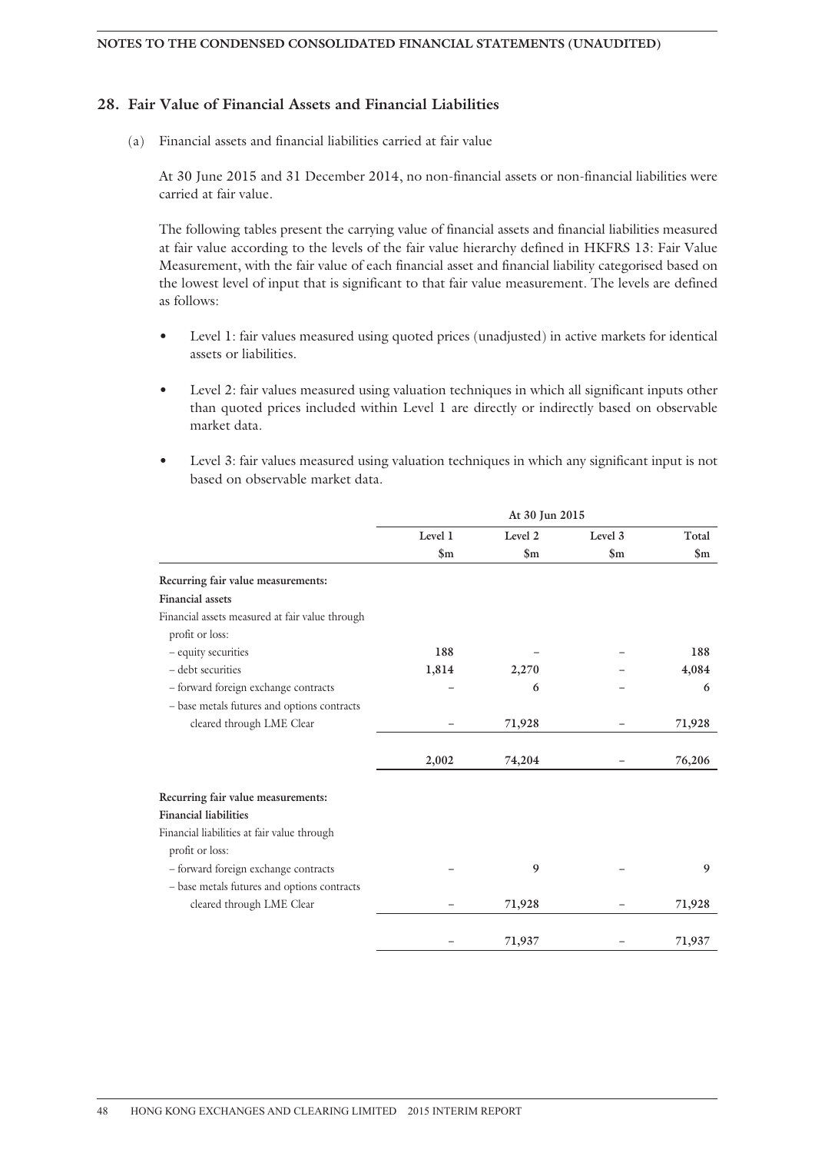### **28. Fair Value of Financial Assets and Financial Liabilities**

(a) Financial assets and financial liabilities carried at fair value

At 30 June 2015 and 31 December 2014, no non-financial assets or non-financial liabilities were carried at fair value.

The following tables present the carrying value of financial assets and financial liabilities measured at fair value according to the levels of the fair value hierarchy defined in HKFRS 13: Fair Value Measurement, with the fair value of each financial asset and financial liability categorised based on the lowest level of input that is significant to that fair value measurement. The levels are defined as follows:

- Level 1: fair values measured using quoted prices (unadjusted) in active markets for identical assets or liabilities.
- Level 2: fair values measured using valuation techniques in which all significant inputs other than quoted prices included within Level 1 are directly or indirectly based on observable market data.
- Level 3: fair values measured using valuation techniques in which any significant input is not based on observable market data.

|                                                 | At 30 Jun 2015 |               |                |                |
|-------------------------------------------------|----------------|---------------|----------------|----------------|
|                                                 | Level 1        | Level 2       | Level 3        | Total          |
|                                                 | $\mathbf{\$m}$ | $\mathbf{Sm}$ | $\mathbf{\$m}$ | $\mathbf{\$m}$ |
| Recurring fair value measurements:              |                |               |                |                |
| <b>Financial assets</b>                         |                |               |                |                |
| Financial assets measured at fair value through |                |               |                |                |
| profit or loss:                                 |                |               |                |                |
| - equity securities                             | 188            |               |                | 188            |
| - debt securities                               | 1,814          | 2,270         |                | 4,084          |
| - forward foreign exchange contracts            |                | 6             |                | 6              |
| - base metals futures and options contracts     |                |               |                |                |
| cleared through LME Clear                       |                | 71,928        |                | 71,928         |
|                                                 | 2,002          | 74,204        |                | 76,206         |
| Recurring fair value measurements:              |                |               |                |                |
| <b>Financial liabilities</b>                    |                |               |                |                |
| Financial liabilities at fair value through     |                |               |                |                |
| profit or loss:                                 |                |               |                |                |
| - forward foreign exchange contracts            |                | 9             |                | 9              |
| - base metals futures and options contracts     |                |               |                |                |
| cleared through LME Clear                       |                | 71,928        |                | 71,928         |
|                                                 |                | 71,937        |                | 71,937         |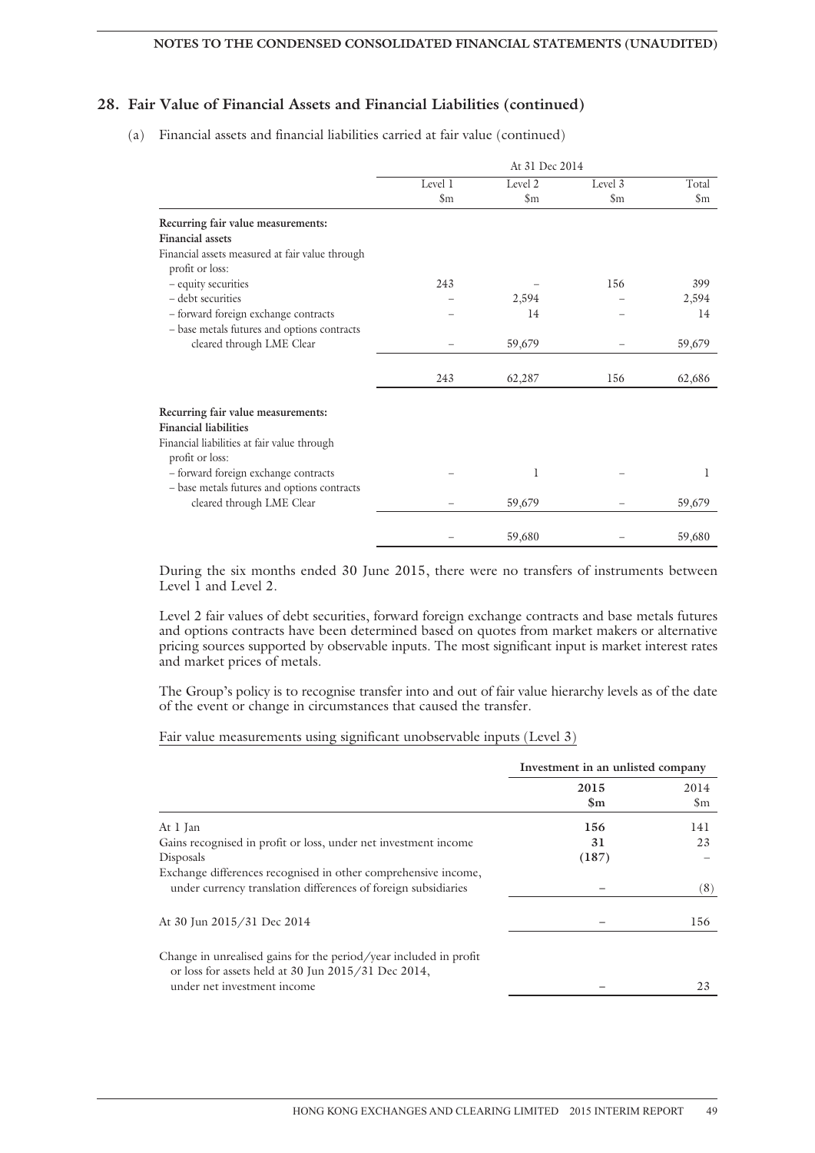### **28. Fair Value of Financial Assets and Financial Liabilities (continued)**

(a) Financial assets and financial liabilities carried at fair value (continued)

|                                                                                     |                        | At 31 Dec 2014     |               |        |
|-------------------------------------------------------------------------------------|------------------------|--------------------|---------------|--------|
|                                                                                     | Level 1                | Level 2            | Level 3       | Total  |
|                                                                                     | $\mathop{\mathrm{Sm}}$ | $\mathfrak{S}_{m}$ | $\mathsf{Sm}$ | \$m    |
| Recurring fair value measurements:<br><b>Financial assets</b>                       |                        |                    |               |        |
| Financial assets measured at fair value through<br>profit or loss:                  |                        |                    |               |        |
| - equity securities                                                                 | 243                    |                    | 156           | 399    |
| - debt securities                                                                   |                        | 2,594              |               | 2,594  |
| - forward foreign exchange contracts<br>- base metals futures and options contracts |                        | 14                 |               | 14     |
| cleared through LME Clear                                                           |                        | 59,679             |               | 59,679 |
|                                                                                     | 243                    | 62,287             | 156           | 62,686 |
| Recurring fair value measurements:                                                  |                        |                    |               |        |
| <b>Financial liabilities</b>                                                        |                        |                    |               |        |
| Financial liabilities at fair value through<br>profit or loss:                      |                        |                    |               |        |
| - forward foreign exchange contracts<br>- base metals futures and options contracts |                        | 1                  |               | 1      |
| cleared through LME Clear                                                           |                        | 59,679             |               | 59,679 |
|                                                                                     |                        |                    |               |        |
|                                                                                     |                        | 59,680             |               | 59,680 |

During the six months ended 30 June 2015, there were no transfers of instruments between Level 1 and Level 2.

Level 2 fair values of debt securities, forward foreign exchange contracts and base metals futures and options contracts have been determined based on quotes from market makers or alternative pricing sources supported by observable inputs. The most significant input is market interest rates and market prices of metals.

The Group's policy is to recognise transfer into and out of fair value hierarchy levels as of the date of the event or change in circumstances that caused the transfer.

#### Fair value measurements using significant unobservable inputs (Level 3)

|                                                                                                                                  | Investment in an unlisted company |      |
|----------------------------------------------------------------------------------------------------------------------------------|-----------------------------------|------|
|                                                                                                                                  | 2015                              | 2014 |
|                                                                                                                                  | $\mathbf{Sm}$                     | \$m  |
| At 1 Jan                                                                                                                         | 156                               | 141  |
| Gains recognised in profit or loss, under net investment income                                                                  | 31                                | 23   |
| Disposals                                                                                                                        | (187)                             |      |
| Exchange differences recognised in other comprehensive income,<br>under currency translation differences of foreign subsidiaries |                                   | (8)  |
| At 30 Jun 2015/31 Dec 2014                                                                                                       |                                   | 156  |
| Change in unrealised gains for the period/year included in profit<br>or loss for assets held at 30 Jun $2015/31$ Dec $2014$ ,    |                                   |      |
| under net investment income                                                                                                      |                                   | 23   |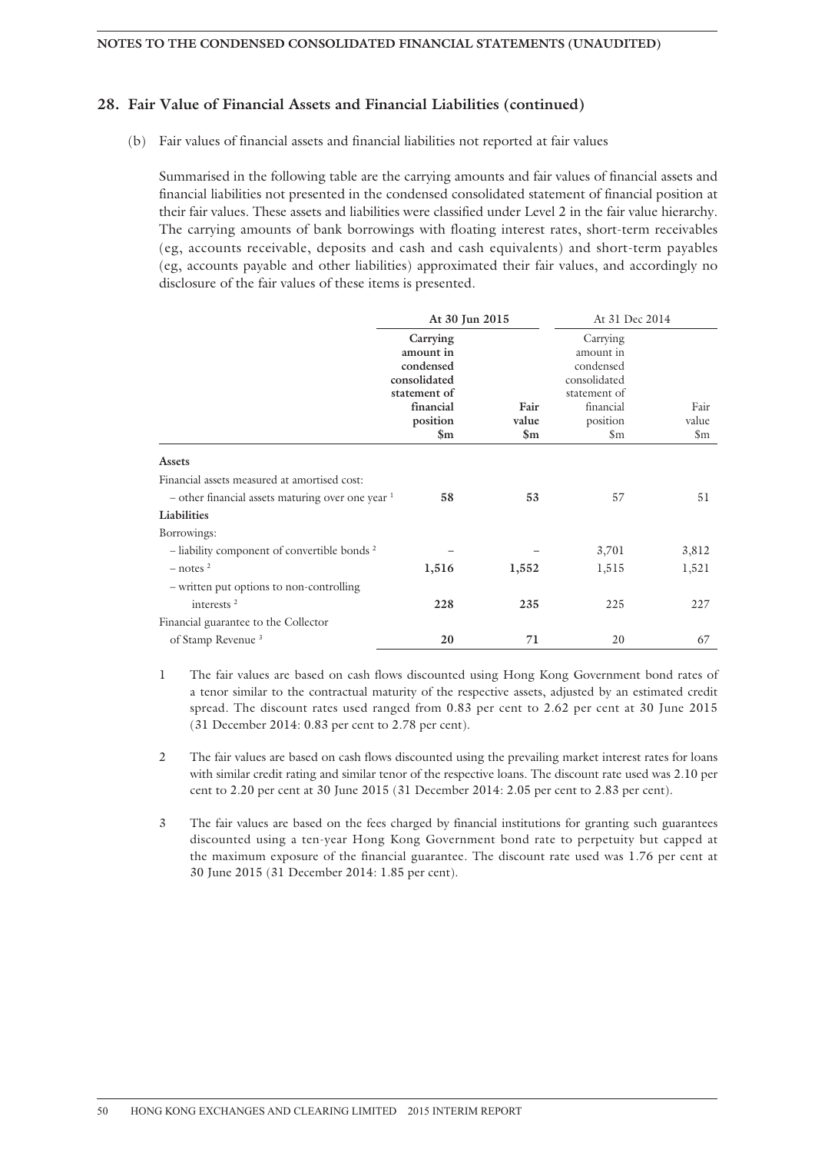#### **28. Fair Value of Financial Assets and Financial Liabilities (continued)**

(b) Fair values of financial assets and financial liabilities not reported at fair values

Summarised in the following table are the carrying amounts and fair values of financial assets and financial liabilities not presented in the condensed consolidated statement of financial position at their fair values. These assets and liabilities were classified under Level 2 in the fair value hierarchy. The carrying amounts of bank borrowings with floating interest rates, short-term receivables (eg, accounts receivable, deposits and cash and cash equivalents) and short-term payables (eg, accounts payable and other liabilities) approximated their fair values, and accordingly no disclosure of the fair values of these items is presented.

|                                                         | At 30 Jun 2015                                                                              |                           | At 31 Dec 2014                                                                              |               |
|---------------------------------------------------------|---------------------------------------------------------------------------------------------|---------------------------|---------------------------------------------------------------------------------------------|---------------|
|                                                         | Carrying<br>amount in<br>condensed<br>consolidated<br>statement of<br>financial<br>position | Fair<br>value             | Carrying<br>amount in<br>condensed<br>consolidated<br>statement of<br>financial<br>position | Fair<br>value |
|                                                         | $\mathbf{\$m}$                                                                              | $\mathbb{S}_{\mathrm{m}}$ | \$m                                                                                         | \$m           |
| <b>Assets</b>                                           |                                                                                             |                           |                                                                                             |               |
| Financial assets measured at amortised cost:            |                                                                                             |                           |                                                                                             |               |
| $-$ other financial assets maturing over one year $1$   | 58                                                                                          | 53                        | 57                                                                                          | 51            |
| Liabilities                                             |                                                                                             |                           |                                                                                             |               |
| Borrowings:                                             |                                                                                             |                           |                                                                                             |               |
| - liability component of convertible bonds <sup>2</sup> |                                                                                             |                           | 3,701                                                                                       | 3,812         |
| $-$ notes $^2$                                          | 1,516                                                                                       | 1,552                     | 1,515                                                                                       | 1,521         |
| - written put options to non-controlling                |                                                                                             |                           |                                                                                             |               |
| interests <sup>2</sup>                                  | 228                                                                                         | 235                       | 225                                                                                         | 227           |
| Financial guarantee to the Collector                    |                                                                                             |                           |                                                                                             |               |
| of Stamp Revenue <sup>3</sup>                           | 20                                                                                          | 71                        | 20                                                                                          | 67            |

1 The fair values are based on cash flows discounted using Hong Kong Government bond rates of a tenor similar to the contractual maturity of the respective assets, adjusted by an estimated credit spread. The discount rates used ranged from 0.83 per cent to 2.62 per cent at 30 June 2015 (31 December 2014: 0.83 per cent to 2.78 per cent).

2 The fair values are based on cash flows discounted using the prevailing market interest rates for loans with similar credit rating and similar tenor of the respective loans. The discount rate used was 2.10 per cent to 2.20 per cent at 30 June 2015 (31 December 2014: 2.05 per cent to 2.83 per cent).

3 The fair values are based on the fees charged by financial institutions for granting such guarantees discounted using a ten-year Hong Kong Government bond rate to perpetuity but capped at the maximum exposure of the financial guarantee. The discount rate used was 1.76 per cent at 30 June 2015 (31 December 2014: 1.85 per cent).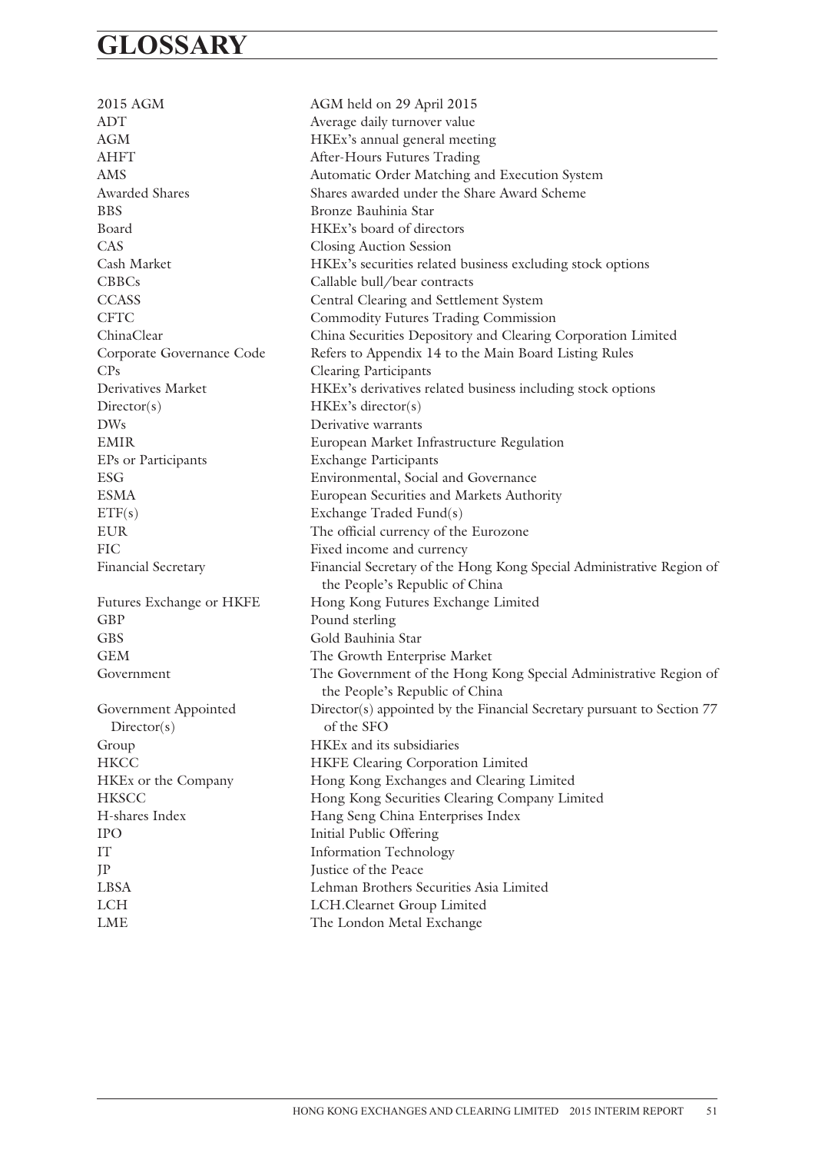## **GLOSSARY**

2015 AGM AGM held on 29 April 2015 ADT Average daily turnover value AGM HKEx's annual general meeting AHFT After-Hours Futures Trading AMS Automatic Order Matching and Execution System Awarded Shares Shares awarded under the Share Award Scheme BBS Bronze Bauhinia Star Board HKEx's board of directors CAS Closing Auction Session Cash Market HKEx's securities related business excluding stock options CBBCs Callable bull/bear contracts CCASS Central Clearing and Settlement System CFTC Commodity Futures Trading Commission ChinaClear China Securities Depository and Clearing Corporation Limited Corporate Governance Code Refers to Appendix 14 to the Main Board Listing Rules CPs Clearing Participants Derivatives Market HKEx's derivatives related business including stock options Director(s) HKEx's director(s) DWs Derivative warrants EMIR European Market Infrastructure Regulation EPs or Participants Exchange Participants ESG Environmental, Social and Governance ESMA European Securities and Markets Authority ETF(s) Exchange Traded Fund(s) EUR The official currency of the Eurozone FIC Fixed income and currency Financial Secretary Financial Secretary of the Hong Kong Special Administrative Region of the People's Republic of China Futures Exchange or HKFE Hong Kong Futures Exchange Limited GBP Pound sterling GBS Gold Bauhinia Star GEM The Growth Enterprise Market Government The Government of the Hong Kong Special Administrative Region of the People's Republic of China Government Appointed Director(s) appointed by the Financial Secretary pursuant to Section 77 Director(s) of the SFO Group HKEx and its subsidiaries HKCC HKFE Clearing Corporation Limited HKEx or the Company Hong Kong Exchanges and Clearing Limited HKSCC Hong Kong Securities Clearing Company Limited H-shares Index Hang Seng China Enterprises Index IPO Initial Public Offering IT Information Technology JP Justice of the Peace LBSA Lehman Brothers Securities Asia Limited LCH LCH.Clearnet Group Limited LME The London Metal Exchange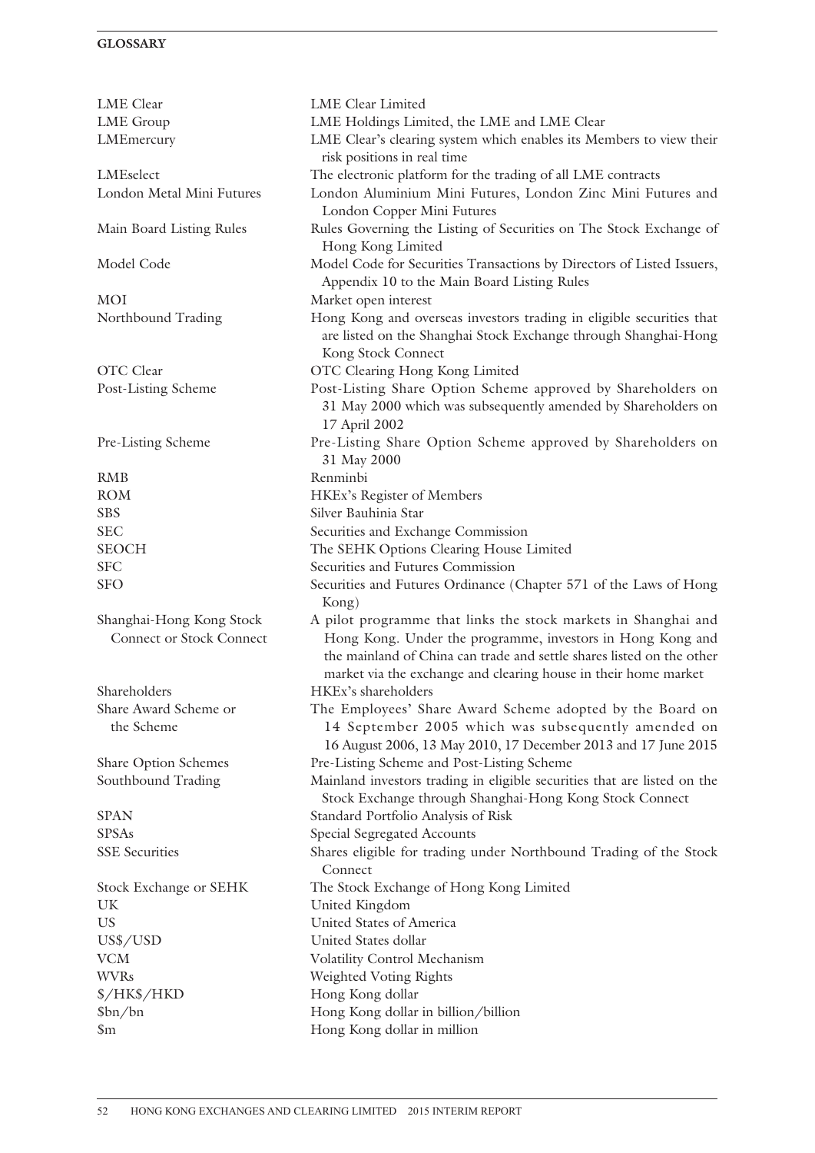### **GLOSSARY**

| LME Clear                                                   | LME Clear Limited                                                                                                                                                                                                                                                        |
|-------------------------------------------------------------|--------------------------------------------------------------------------------------------------------------------------------------------------------------------------------------------------------------------------------------------------------------------------|
| <b>LME</b> Group                                            | LME Holdings Limited, the LME and LME Clear                                                                                                                                                                                                                              |
| LMEmercury                                                  | LME Clear's clearing system which enables its Members to view their<br>risk positions in real time                                                                                                                                                                       |
| LMEselect                                                   | The electronic platform for the trading of all LME contracts                                                                                                                                                                                                             |
| London Metal Mini Futures                                   | London Aluminium Mini Futures, London Zinc Mini Futures and<br>London Copper Mini Futures                                                                                                                                                                                |
| Main Board Listing Rules                                    | Rules Governing the Listing of Securities on The Stock Exchange of<br>Hong Kong Limited                                                                                                                                                                                  |
| Model Code                                                  | Model Code for Securities Transactions by Directors of Listed Issuers,<br>Appendix 10 to the Main Board Listing Rules                                                                                                                                                    |
| <b>MOI</b>                                                  | Market open interest                                                                                                                                                                                                                                                     |
| Northbound Trading                                          | Hong Kong and overseas investors trading in eligible securities that<br>are listed on the Shanghai Stock Exchange through Shanghai-Hong<br>Kong Stock Connect                                                                                                            |
| OTC Clear                                                   | OTC Clearing Hong Kong Limited                                                                                                                                                                                                                                           |
| Post-Listing Scheme                                         | Post-Listing Share Option Scheme approved by Shareholders on<br>31 May 2000 which was subsequently amended by Shareholders on<br>17 April 2002                                                                                                                           |
| Pre-Listing Scheme                                          | Pre-Listing Share Option Scheme approved by Shareholders on<br>31 May 2000                                                                                                                                                                                               |
| <b>RMB</b>                                                  | Renminbi                                                                                                                                                                                                                                                                 |
| <b>ROM</b>                                                  | HKEx's Register of Members                                                                                                                                                                                                                                               |
| <b>SBS</b>                                                  | Silver Bauhinia Star                                                                                                                                                                                                                                                     |
| <b>SEC</b>                                                  | Securities and Exchange Commission                                                                                                                                                                                                                                       |
| <b>SEOCH</b>                                                | The SEHK Options Clearing House Limited                                                                                                                                                                                                                                  |
| <b>SFC</b>                                                  | Securities and Futures Commission                                                                                                                                                                                                                                        |
| <b>SFO</b>                                                  | Securities and Futures Ordinance (Chapter 571 of the Laws of Hong<br>Kong)                                                                                                                                                                                               |
| Shanghai-Hong Kong Stock<br><b>Connect or Stock Connect</b> | A pilot programme that links the stock markets in Shanghai and<br>Hong Kong. Under the programme, investors in Hong Kong and<br>the mainland of China can trade and settle shares listed on the other<br>market via the exchange and clearing house in their home market |
| Shareholders                                                | HKEx's shareholders                                                                                                                                                                                                                                                      |
| Share Award Scheme or<br>the Scheme                         | The Employees' Share Award Scheme adopted by the Board on<br>14 September 2005 which was subsequently amended on<br>16 August 2006, 13 May 2010, 17 December 2013 and 17 June 2015                                                                                       |
| Share Option Schemes                                        | Pre-Listing Scheme and Post-Listing Scheme                                                                                                                                                                                                                               |
| Southbound Trading                                          | Mainland investors trading in eligible securities that are listed on the<br>Stock Exchange through Shanghai-Hong Kong Stock Connect                                                                                                                                      |
| <b>SPAN</b>                                                 | Standard Portfolio Analysis of Risk                                                                                                                                                                                                                                      |
| <b>SPSAs</b>                                                | Special Segregated Accounts                                                                                                                                                                                                                                              |
| <b>SSE</b> Securities                                       | Shares eligible for trading under Northbound Trading of the Stock<br>Connect                                                                                                                                                                                             |
| Stock Exchange or SEHK                                      | The Stock Exchange of Hong Kong Limited                                                                                                                                                                                                                                  |
| UK                                                          | United Kingdom                                                                                                                                                                                                                                                           |
| <b>US</b>                                                   | United States of America                                                                                                                                                                                                                                                 |
| US\$/USD                                                    | United States dollar                                                                                                                                                                                                                                                     |
| <b>VCM</b>                                                  | Volatility Control Mechanism                                                                                                                                                                                                                                             |
| <b>WVRs</b>                                                 | Weighted Voting Rights                                                                                                                                                                                                                                                   |
| \$/HK\$/HKD                                                 | Hong Kong dollar                                                                                                                                                                                                                                                         |
| \$bn/bn                                                     | Hong Kong dollar in billion/billion                                                                                                                                                                                                                                      |
| \$m                                                         | Hong Kong dollar in million                                                                                                                                                                                                                                              |